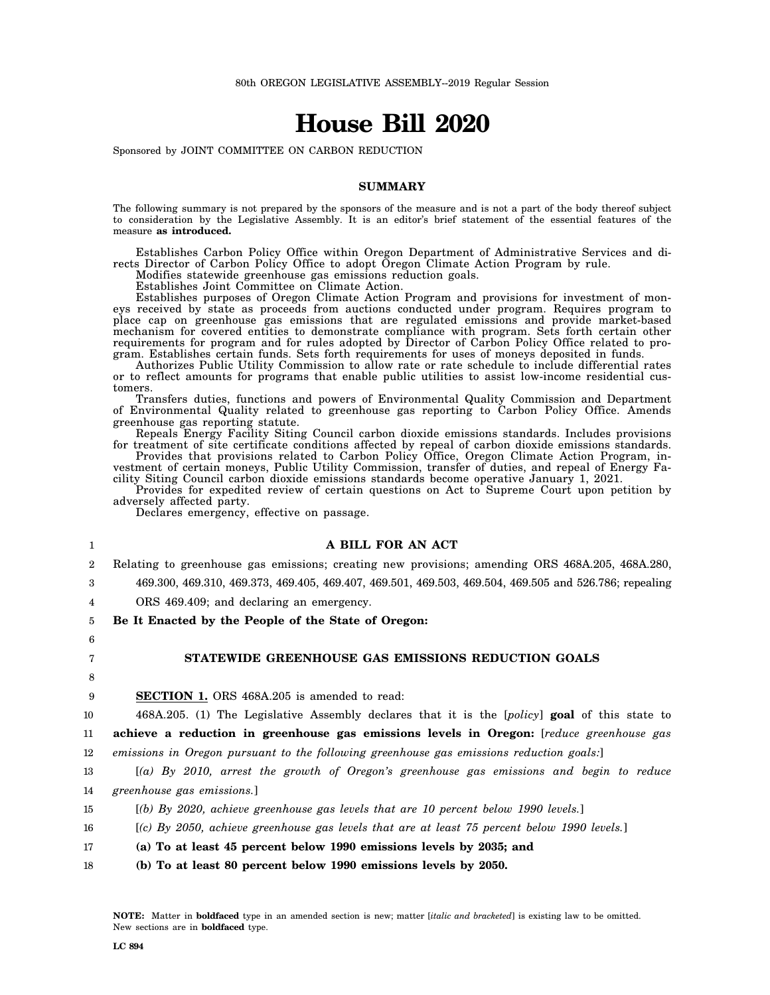# **House Bill 2020**

Sponsored by JOINT COMMITTEE ON CARBON REDUCTION

### **SUMMARY**

The following summary is not prepared by the sponsors of the measure and is not a part of the body thereof subject to consideration by the Legislative Assembly. It is an editor's brief statement of the essential features of the measure **as introduced.**

Establishes Carbon Policy Office within Oregon Department of Administrative Services and directs Director of Carbon Policy Office to adopt Oregon Climate Action Program by rule.

Modifies statewide greenhouse gas emissions reduction goals.

Establishes Joint Committee on Climate Action.

Establishes purposes of Oregon Climate Action Program and provisions for investment of moneys received by state as proceeds from auctions conducted under program. Requires program to place cap on greenhouse gas emissions that are regulated emissions and provide market-based mechanism for covered entities to demonstrate compliance with program. Sets forth certain other requirements for program and for rules adopted by Director of Carbon Policy Office related to program. Establishes certain funds. Sets forth requirements for uses of moneys deposited in funds.

Authorizes Public Utility Commission to allow rate or rate schedule to include differential rates or to reflect amounts for programs that enable public utilities to assist low-income residential customers.

Transfers duties, functions and powers of Environmental Quality Commission and Department of Environmental Quality related to greenhouse gas reporting to Carbon Policy Office. Amends greenhouse gas reporting statute.

Repeals Energy Facility Siting Council carbon dioxide emissions standards. Includes provisions for treatment of site certificate conditions affected by repeal of carbon dioxide emissions standards.

Provides that provisions related to Carbon Policy Office, Oregon Climate Action Program, investment of certain moneys, Public Utility Commission, transfer of duties, and repeal of Energy Facility Siting Council carbon dioxide emissions standards become operative January 1, 2021.

Provides for expedited review of certain questions on Act to Supreme Court upon petition by adversely affected party.

Declares emergency, effective on passage.

# **A BILL FOR AN ACT**

 $\overline{2}$ Relating to greenhouse gas emissions; creating new provisions; amending ORS 468A.205, 468A.280,

3 469.300, 469.310, 469.373, 469.405, 469.407, 469.501, 469.503, 469.504, 469.505 and 526.786; repealing

4 ORS 469.409; and declaring an emergency.

5 **Be It Enacted by the People of the State of Oregon:**

6 7

1

# **STATEWIDE GREENHOUSE GAS EMISSIONS REDUCTION GOALS**

8

9

**SECTION 1.** ORS 468A.205 is amended to read:

10 11 468A.205. (1) The Legislative Assembly declares that it is the [*policy*] **goal** of this state to **achieve a reduction in greenhouse gas emissions levels in Oregon:** [*reduce greenhouse gas*

12 *emissions in Oregon pursuant to the following greenhouse gas emissions reduction goals:*]

13 14 [*(a) By 2010, arrest the growth of Oregon's greenhouse gas emissions and begin to reduce greenhouse gas emissions.*]

- 15 [*(b) By 2020, achieve greenhouse gas levels that are 10 percent below 1990 levels.*]
- 16 [*(c) By 2050, achieve greenhouse gas levels that are at least 75 percent below 1990 levels.*]
- 17 **(a) To at least 45 percent below 1990 emissions levels by 2035; and**
- 18 **(b) To at least 80 percent below 1990 emissions levels by 2050.**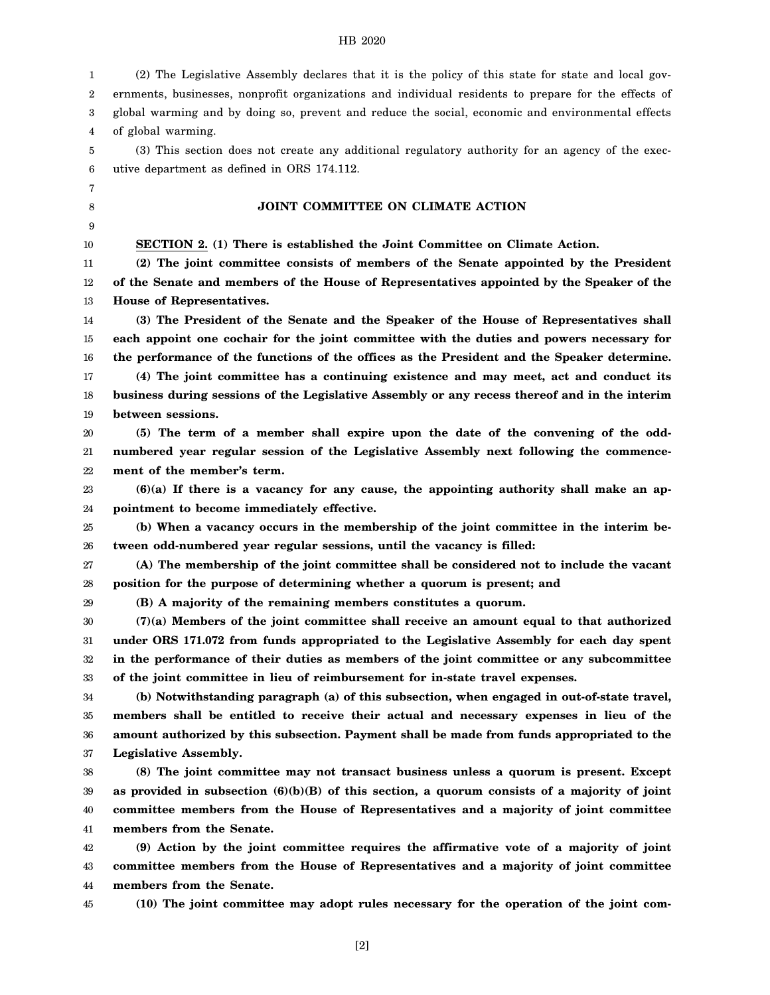| 1  | (2) The Legislative Assembly declares that it is the policy of this state for state and local gov-   |
|----|------------------------------------------------------------------------------------------------------|
| 2  | ernments, businesses, nonprofit organizations and individual residents to prepare for the effects of |
| 3  | global warming and by doing so, prevent and reduce the social, economic and environmental effects    |
| 4  | of global warming.                                                                                   |
| 5  | (3) This section does not create any additional regulatory authority for an agency of the exec-      |
| 6  | utive department as defined in ORS 174.112.                                                          |
| 7  |                                                                                                      |
| 8  | JOINT COMMITTEE ON CLIMATE ACTION                                                                    |
| 9  |                                                                                                      |
| 10 | SECTION 2. (1) There is established the Joint Committee on Climate Action.                           |
| 11 | (2) The joint committee consists of members of the Senate appointed by the President                 |
| 12 | of the Senate and members of the House of Representatives appointed by the Speaker of the            |
| 13 | House of Representatives.                                                                            |
| 14 | (3) The President of the Senate and the Speaker of the House of Representatives shall                |
| 15 | each appoint one cochair for the joint committee with the duties and powers necessary for            |
| 16 | the performance of the functions of the offices as the President and the Speaker determine.          |
| 17 | (4) The joint committee has a continuing existence and may meet, act and conduct its                 |
| 18 | business during sessions of the Legislative Assembly or any recess thereof and in the interim        |
| 19 | between sessions.                                                                                    |
| 20 | (5) The term of a member shall expire upon the date of the convening of the odd-                     |
| 21 | numbered year regular session of the Legislative Assembly next following the commence-               |
| 22 | ment of the member's term.                                                                           |
| 23 | $(6)(a)$ If there is a vacancy for any cause, the appointing authority shall make an ap-             |
| 24 | pointment to become immediately effective.                                                           |
| 25 | (b) When a vacancy occurs in the membership of the joint committee in the interim be-                |
| 26 | tween odd-numbered year regular sessions, until the vacancy is filled:                               |
| 27 | (A) The membership of the joint committee shall be considered not to include the vacant              |
| 28 | position for the purpose of determining whether a quorum is present; and                             |
| 29 | (B) A majority of the remaining members constitutes a quorum.                                        |
| 30 | $(7)(a)$ Members of the joint committee shall receive an amount equal to that authorized             |
| 31 | under ORS 171.072 from funds appropriated to the Legislative Assembly for each day spent             |
| 32 | in the performance of their duties as members of the joint committee or any subcommittee             |
| 33 | of the joint committee in lieu of reimbursement for in-state travel expenses.                        |
| 34 | (b) Notwithstanding paragraph (a) of this subsection, when engaged in out-of-state travel,           |
| 35 | members shall be entitled to receive their actual and necessary expenses in lieu of the              |
| 36 | amount authorized by this subsection. Payment shall be made from funds appropriated to the           |
| 37 | Legislative Assembly.                                                                                |
| 38 | (8) The joint committee may not transact business unless a quorum is present. Except                 |
| 39 | as provided in subsection $(6)(b)(B)$ of this section, a quorum consists of a majority of joint      |
| 40 | committee members from the House of Representatives and a majority of joint committee                |
| 41 | members from the Senate.                                                                             |
| 42 | (9) Action by the joint committee requires the affirmative vote of a majority of joint               |
| 43 | committee members from the House of Representatives and a majority of joint committee                |
| 44 | members from the Senate.                                                                             |
| 45 | (10) The joint committee may adopt rules necessary for the operation of the joint com-               |

[2]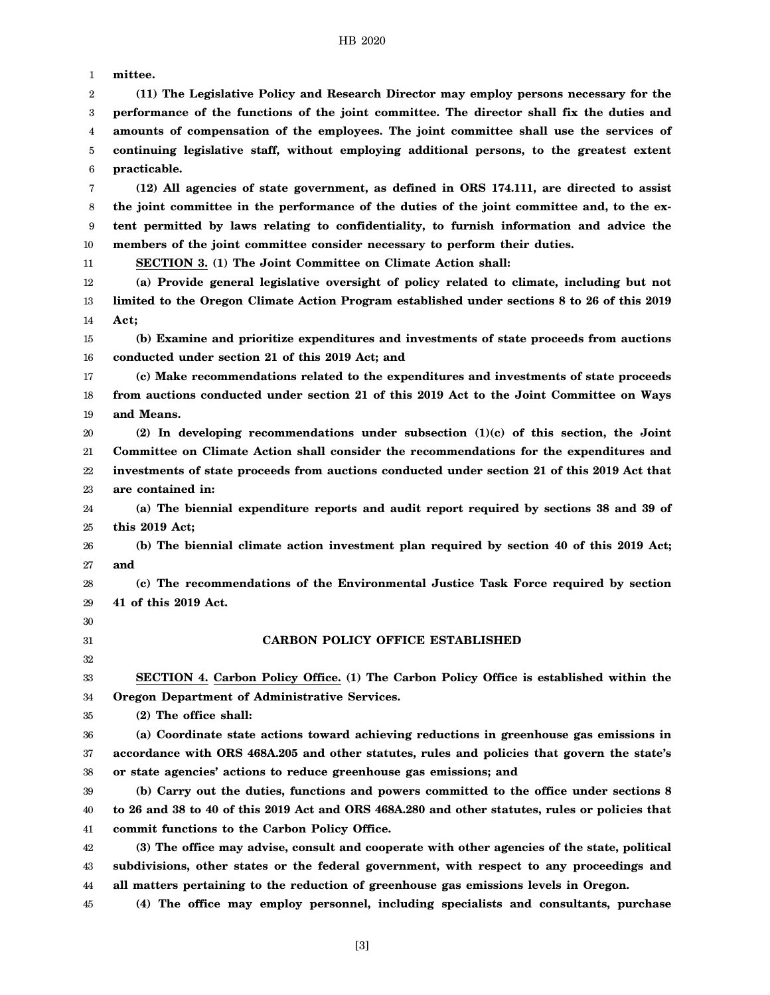1 2 3 4 5 6 7 8 9 10 11 12 13 14 15 16 17 18 19 20 21 22 23 24 25 26 27 28 29 30 31 32 33 34 35 36 37 38 39 40 41 42 43 44 45 **mittee. (11) The Legislative Policy and Research Director may employ persons necessary for the performance of the functions of the joint committee. The director shall fix the duties and amounts of compensation of the employees. The joint committee shall use the services of continuing legislative staff, without employing additional persons, to the greatest extent practicable. (12) All agencies of state government, as defined in ORS 174.111, are directed to assist the joint committee in the performance of the duties of the joint committee and, to the extent permitted by laws relating to confidentiality, to furnish information and advice the members of the joint committee consider necessary to perform their duties. SECTION 3. (1) The Joint Committee on Climate Action shall: (a) Provide general legislative oversight of policy related to climate, including but not limited to the Oregon Climate Action Program established under sections 8 to 26 of this 2019 Act; (b) Examine and prioritize expenditures and investments of state proceeds from auctions conducted under section 21 of this 2019 Act; and (c) Make recommendations related to the expenditures and investments of state proceeds from auctions conducted under section 21 of this 2019 Act to the Joint Committee on Ways and Means. (2) In developing recommendations under subsection (1)(c) of this section, the Joint Committee on Climate Action shall consider the recommendations for the expenditures and investments of state proceeds from auctions conducted under section 21 of this 2019 Act that are contained in: (a) The biennial expenditure reports and audit report required by sections 38 and 39 of this 2019 Act; (b) The biennial climate action investment plan required by section 40 of this 2019 Act; and (c) The recommendations of the Environmental Justice Task Force required by section 41 of this 2019 Act. CARBON POLICY OFFICE ESTABLISHED SECTION 4. Carbon Policy Office. (1) The Carbon Policy Office is established within the Oregon Department of Administrative Services. (2) The office shall: (a) Coordinate state actions toward achieving reductions in greenhouse gas emissions in accordance with ORS 468A.205 and other statutes, rules and policies that govern the state's or state agencies' actions to reduce greenhouse gas emissions; and (b) Carry out the duties, functions and powers committed to the office under sections 8 to 26 and 38 to 40 of this 2019 Act and ORS 468A.280 and other statutes, rules or policies that commit functions to the Carbon Policy Office. (3) The office may advise, consult and cooperate with other agencies of the state, political subdivisions, other states or the federal government, with respect to any proceedings and all matters pertaining to the reduction of greenhouse gas emissions levels in Oregon. (4) The office may employ personnel, including specialists and consultants, purchase**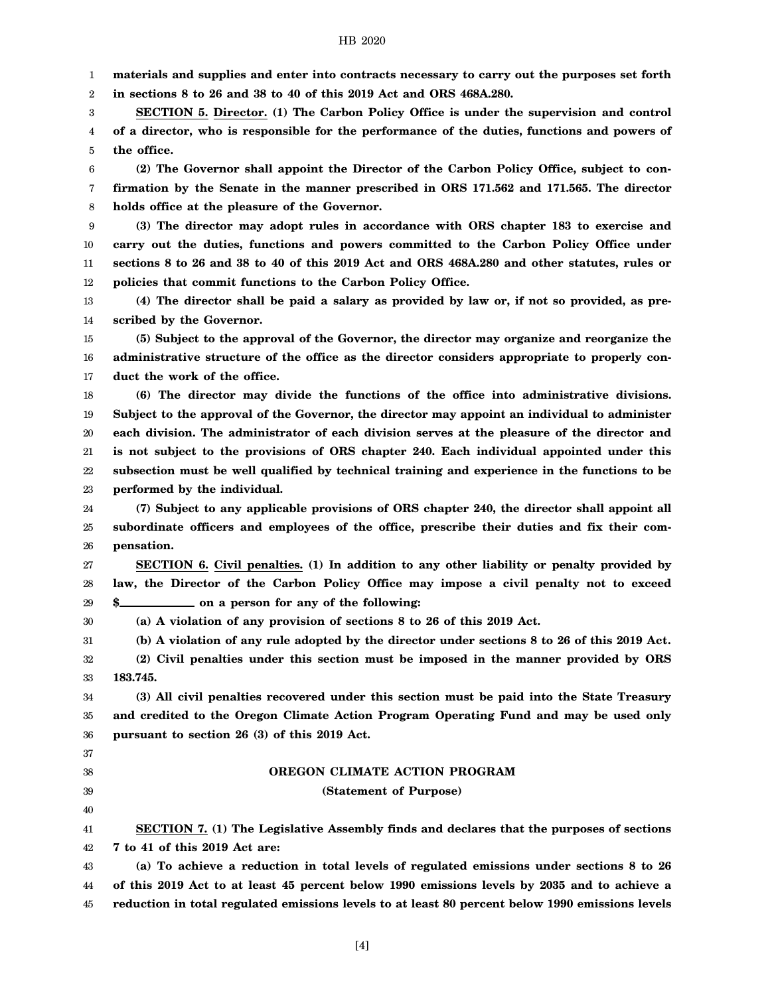1 **materials and supplies and enter into contracts necessary to carry out the purposes set forth**

2 **in sections 8 to 26 and 38 to 40 of this 2019 Act and ORS 468A.280.**

3 4 5 **SECTION 5. Director. (1) The Carbon Policy Office is under the supervision and control of a director, who is responsible for the performance of the duties, functions and powers of the office.**

6 7 8 **(2) The Governor shall appoint the Director of the Carbon Policy Office, subject to confirmation by the Senate in the manner prescribed in ORS 171.562 and 171.565. The director holds office at the pleasure of the Governor.**

9 10 11 12 **(3) The director may adopt rules in accordance with ORS chapter 183 to exercise and carry out the duties, functions and powers committed to the Carbon Policy Office under sections 8 to 26 and 38 to 40 of this 2019 Act and ORS 468A.280 and other statutes, rules or policies that commit functions to the Carbon Policy Office.**

13 14 **(4) The director shall be paid a salary as provided by law or, if not so provided, as prescribed by the Governor.**

15 16 17 **(5) Subject to the approval of the Governor, the director may organize and reorganize the administrative structure of the office as the director considers appropriate to properly conduct the work of the office.**

18 19 20 21 22 23 **(6) The director may divide the functions of the office into administrative divisions. Subject to the approval of the Governor, the director may appoint an individual to administer each division. The administrator of each division serves at the pleasure of the director and is not subject to the provisions of ORS chapter 240. Each individual appointed under this subsection must be well qualified by technical training and experience in the functions to be performed by the individual.**

24 25 26 **(7) Subject to any applicable provisions of ORS chapter 240, the director shall appoint all subordinate officers and employees of the office, prescribe their duties and fix their compensation.**

27 28 29 **SECTION 6. Civil penalties. (1) In addition to any other liability or penalty provided by law, the Director of the Carbon Policy Office may impose a civil penalty not to exceed \$** on a person for any of the following:

30 **(a) A violation of any provision of sections 8 to 26 of this 2019 Act.**

31 32 **(b) A violation of any rule adopted by the director under sections 8 to 26 of this 2019 Act. (2) Civil penalties under this section must be imposed in the manner provided by ORS**

33 **183.745.**

34 35 36 **(3) All civil penalties recovered under this section must be paid into the State Treasury and credited to the Oregon Climate Action Program Operating Fund and may be used only pursuant to section 26 (3) of this 2019 Act.**

37 38

39 40

# **OREGON CLIMATE ACTION PROGRAM**

# **(Statement of Purpose)**

41 42 **SECTION 7. (1) The Legislative Assembly finds and declares that the purposes of sections 7 to 41 of this 2019 Act are:**

43 44 45 **(a) To achieve a reduction in total levels of regulated emissions under sections 8 to 26 of this 2019 Act to at least 45 percent below 1990 emissions levels by 2035 and to achieve a reduction in total regulated emissions levels to at least 80 percent below 1990 emissions levels**

[4]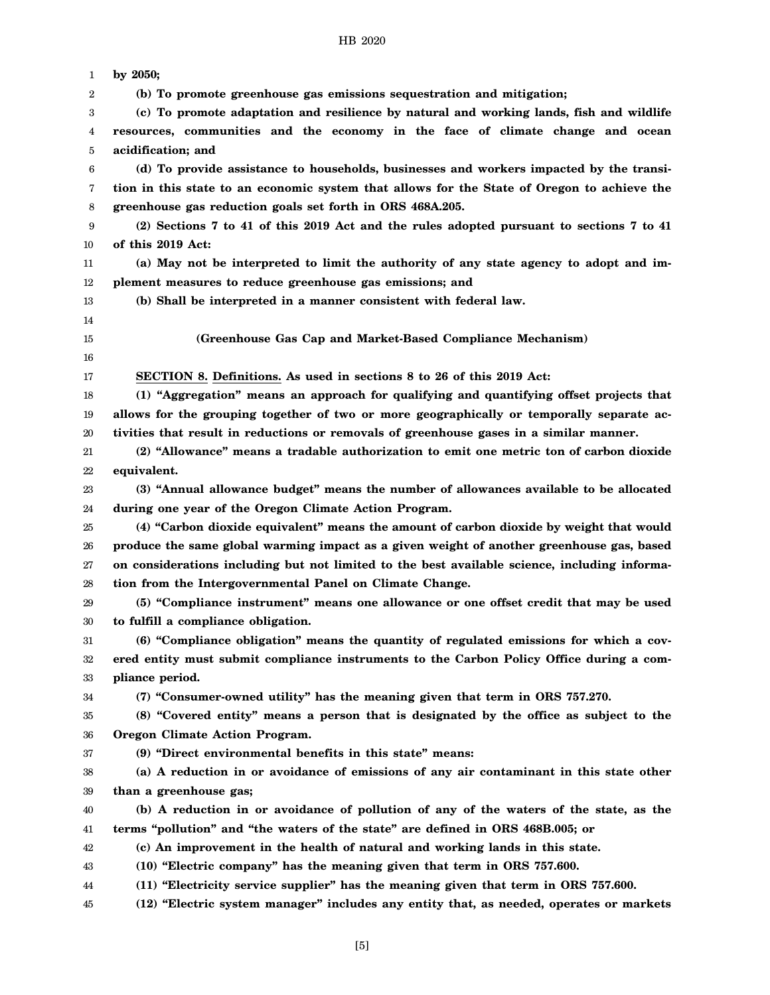| 1  | by 2050;                                                                                      |
|----|-----------------------------------------------------------------------------------------------|
| 2  | (b) To promote greenhouse gas emissions sequestration and mitigation;                         |
| 3  | (c) To promote adaptation and resilience by natural and working lands, fish and wildlife      |
| 4  | resources, communities and the economy in the face of climate change and ocean                |
| 5  | acidification; and                                                                            |
| 6  | (d) To provide assistance to households, businesses and workers impacted by the transi-       |
| 7  | tion in this state to an economic system that allows for the State of Oregon to achieve the   |
| 8  | greenhouse gas reduction goals set forth in ORS 468A.205.                                     |
| 9  | (2) Sections 7 to 41 of this 2019 Act and the rules adopted pursuant to sections 7 to 41      |
| 10 | of this 2019 Act:                                                                             |
| 11 | (a) May not be interpreted to limit the authority of any state agency to adopt and im-        |
| 12 | plement measures to reduce greenhouse gas emissions; and                                      |
| 13 | (b) Shall be interpreted in a manner consistent with federal law.                             |
| 14 |                                                                                               |
| 15 | (Greenhouse Gas Cap and Market-Based Compliance Mechanism)                                    |
| 16 |                                                                                               |
| 17 | SECTION 8. Definitions. As used in sections 8 to 26 of this 2019 Act:                         |
| 18 | (1) "Aggregation" means an approach for qualifying and quantifying offset projects that       |
| 19 | allows for the grouping together of two or more geographically or temporally separate ac-     |
| 20 | tivities that result in reductions or removals of greenhouse gases in a similar manner.       |
| 21 | (2) "Allowance" means a tradable authorization to emit one metric ton of carbon dioxide       |
| 22 | equivalent.                                                                                   |
| 23 | (3) "Annual allowance budget" means the number of allowances available to be allocated        |
| 24 | during one year of the Oregon Climate Action Program.                                         |
| 25 | (4) "Carbon dioxide equivalent" means the amount of carbon dioxide by weight that would       |
| 26 | produce the same global warming impact as a given weight of another greenhouse gas, based     |
| 27 | on considerations including but not limited to the best available science, including informa- |
| 28 | tion from the Intergovernmental Panel on Climate Change.                                      |
| 29 | (5) "Compliance instrument" means one allowance or one offset credit that may be used         |
| 30 | to fulfill a compliance obligation.                                                           |
| 31 | (6) "Compliance obligation" means the quantity of regulated emissions for which a cov-        |
| 32 | ered entity must submit compliance instruments to the Carbon Policy Office during a com-      |
| 33 | pliance period.                                                                               |
| 34 | (7) "Consumer-owned utility" has the meaning given that term in ORS 757.270.                  |
| 35 | (8) "Covered entity" means a person that is designated by the office as subject to the        |
| 36 | Oregon Climate Action Program.                                                                |
| 37 | (9) "Direct environmental benefits in this state" means:                                      |
| 38 | (a) A reduction in or avoidance of emissions of any air contaminant in this state other       |
| 39 | than a greenhouse gas;                                                                        |
| 40 | (b) A reduction in or avoidance of pollution of any of the waters of the state, as the        |
| 41 | terms "pollution" and "the waters of the state" are defined in ORS 468B.005; or               |
| 42 | (c) An improvement in the health of natural and working lands in this state.                  |
| 43 | (10) "Electric company" has the meaning given that term in ORS 757.600.                       |
| 44 | (11) "Electricity service supplier" has the meaning given that term in ORS 757.600.           |
| 45 | (12) "Electric system manager" includes any entity that, as needed, operates or markets       |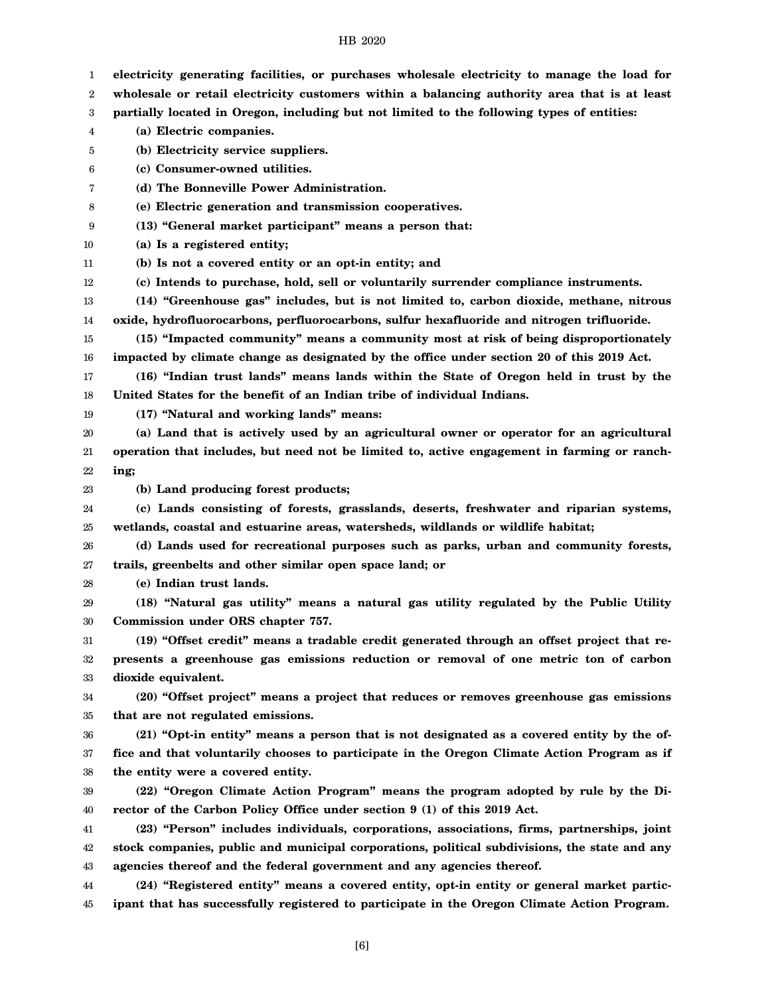| 1                | electricity generating facilities, or purchases wholesale electricity to manage the load for  |
|------------------|-----------------------------------------------------------------------------------------------|
| 2                | wholesale or retail electricity customers within a balancing authority area that is at least  |
| $\boldsymbol{3}$ | partially located in Oregon, including but not limited to the following types of entities:    |
| 4                | (a) Electric companies.                                                                       |
| 5                | (b) Electricity service suppliers.                                                            |
| 6                | (c) Consumer-owned utilities.                                                                 |
| 7                | (d) The Bonneville Power Administration.                                                      |
| 8                | (e) Electric generation and transmission cooperatives.                                        |
| 9                | (13) "General market participant" means a person that:                                        |
| 10               | (a) Is a registered entity;                                                                   |
| 11               | (b) Is not a covered entity or an opt-in entity; and                                          |
| 12               | (c) Intends to purchase, hold, sell or voluntarily surrender compliance instruments.          |
| 13               | (14) "Greenhouse gas" includes, but is not limited to, carbon dioxide, methane, nitrous       |
| 14               | oxide, hydrofluorocarbons, perfluorocarbons, sulfur hexafluoride and nitrogen trifluoride.    |
| 15               | (15) "Impacted community" means a community most at risk of being disproportionately          |
| 16               | impacted by climate change as designated by the office under section 20 of this 2019 Act.     |
| 17               | (16) "Indian trust lands" means lands within the State of Oregon held in trust by the         |
| 18               | United States for the benefit of an Indian tribe of individual Indians.                       |
| 19               | (17) "Natural and working lands" means:                                                       |
| 20               | (a) Land that is actively used by an agricultural owner or operator for an agricultural       |
| 21               | operation that includes, but need not be limited to, active engagement in farming or ranch-   |
| 22               | ing;                                                                                          |
| 23               | (b) Land producing forest products;                                                           |
| 24               | (c) Lands consisting of forests, grasslands, deserts, freshwater and riparian systems,        |
| 25               | wetlands, coastal and estuarine areas, watersheds, wildlands or wildlife habitat;             |
| 26               | (d) Lands used for recreational purposes such as parks, urban and community forests,          |
| 27               | trails, greenbelts and other similar open space land; or                                      |
| 28               | (e) Indian trust lands.                                                                       |
| 29               | (18) "Natural gas utility" means a natural gas utility regulated by the Public Utility        |
| 30               | Commission under ORS chapter 757.                                                             |
| 31               | (19) "Offset credit" means a tradable credit generated through an offset project that re-     |
| 32               | presents a greenhouse gas emissions reduction or removal of one metric ton of carbon          |
| 33               | dioxide equivalent.                                                                           |
| 34               | (20) "Offset project" means a project that reduces or removes greenhouse gas emissions        |
| 35               | that are not regulated emissions.                                                             |
| 36               | (21) "Opt-in entity" means a person that is not designated as a covered entity by the of-     |
| 37               | fice and that voluntarily chooses to participate in the Oregon Climate Action Program as if   |
| 38               | the entity were a covered entity.                                                             |
| 39               | (22) "Oregon Climate Action Program" means the program adopted by rule by the Di-             |
| 40               | rector of the Carbon Policy Office under section 9 (1) of this 2019 Act.                      |
| 41               | (23) "Person" includes individuals, corporations, associations, firms, partnerships, joint    |
| 42               | stock companies, public and municipal corporations, political subdivisions, the state and any |
| 43               | agencies thereof and the federal government and any agencies thereof.                         |
| 44               | (24) "Registered entity" means a covered entity, opt-in entity or general market partic-      |
| 45               | ipant that has successfully registered to participate in the Oregon Climate Action Program.   |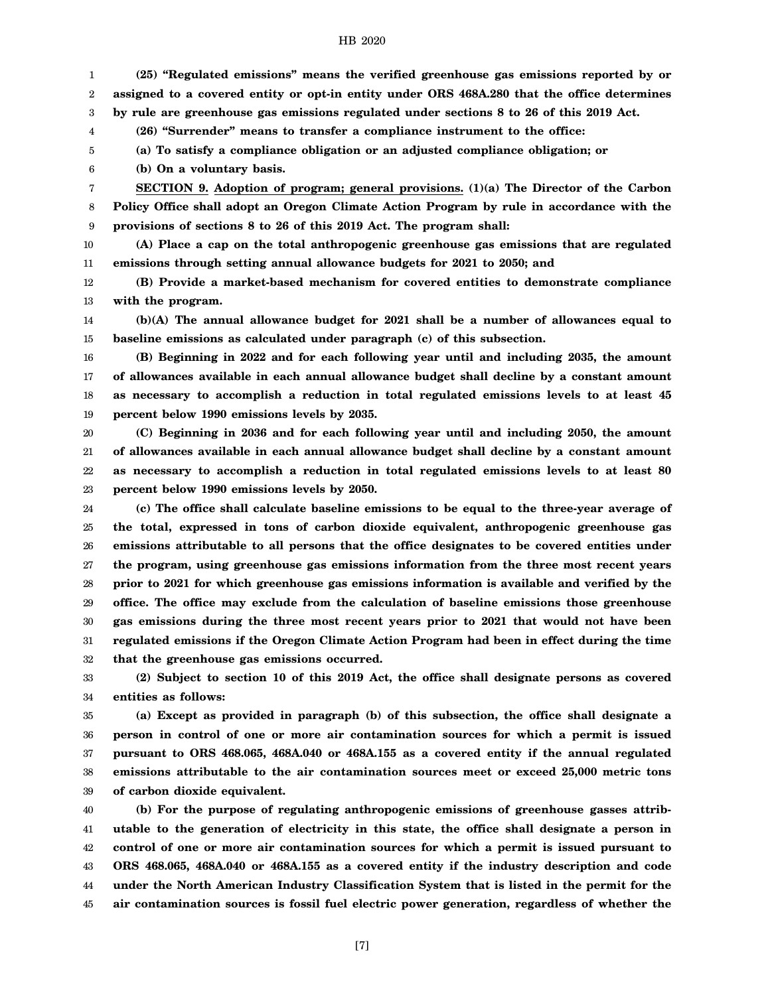1 2 3 4 5 6 7 8 9 10 11 12 13 14 15 16 17 18 19 **(25) "Regulated emissions" means the verified greenhouse gas emissions reported by or assigned to a covered entity or opt-in entity under ORS 468A.280 that the office determines by rule are greenhouse gas emissions regulated under sections 8 to 26 of this 2019 Act. (26) "Surrender" means to transfer a compliance instrument to the office: (a) To satisfy a compliance obligation or an adjusted compliance obligation; or (b) On a voluntary basis. SECTION 9. Adoption of program; general provisions. (1)(a) The Director of the Carbon Policy Office shall adopt an Oregon Climate Action Program by rule in accordance with the provisions of sections 8 to 26 of this 2019 Act. The program shall: (A) Place a cap on the total anthropogenic greenhouse gas emissions that are regulated emissions through setting annual allowance budgets for 2021 to 2050; and (B) Provide a market-based mechanism for covered entities to demonstrate compliance with the program. (b)(A) The annual allowance budget for 2021 shall be a number of allowances equal to baseline emissions as calculated under paragraph (c) of this subsection. (B) Beginning in 2022 and for each following year until and including 2035, the amount of allowances available in each annual allowance budget shall decline by a constant amount as necessary to accomplish a reduction in total regulated emissions levels to at least 45 percent below 1990 emissions levels by 2035.**

20 21 22 23 **(C) Beginning in 2036 and for each following year until and including 2050, the amount of allowances available in each annual allowance budget shall decline by a constant amount as necessary to accomplish a reduction in total regulated emissions levels to at least 80 percent below 1990 emissions levels by 2050.**

24 25 26 27 28 29 30 31 32 **(c) The office shall calculate baseline emissions to be equal to the three-year average of the total, expressed in tons of carbon dioxide equivalent, anthropogenic greenhouse gas emissions attributable to all persons that the office designates to be covered entities under the program, using greenhouse gas emissions information from the three most recent years prior to 2021 for which greenhouse gas emissions information is available and verified by the office. The office may exclude from the calculation of baseline emissions those greenhouse gas emissions during the three most recent years prior to 2021 that would not have been regulated emissions if the Oregon Climate Action Program had been in effect during the time that the greenhouse gas emissions occurred.**

33 34 **(2) Subject to section 10 of this 2019 Act, the office shall designate persons as covered entities as follows:**

35 36 37 38 39 **(a) Except as provided in paragraph (b) of this subsection, the office shall designate a person in control of one or more air contamination sources for which a permit is issued pursuant to ORS 468.065, 468A.040 or 468A.155 as a covered entity if the annual regulated emissions attributable to the air contamination sources meet or exceed 25,000 metric tons of carbon dioxide equivalent.**

40 41 42 43 44 45 **(b) For the purpose of regulating anthropogenic emissions of greenhouse gasses attributable to the generation of electricity in this state, the office shall designate a person in control of one or more air contamination sources for which a permit is issued pursuant to ORS 468.065, 468A.040 or 468A.155 as a covered entity if the industry description and code under the North American Industry Classification System that is listed in the permit for the air contamination sources is fossil fuel electric power generation, regardless of whether the**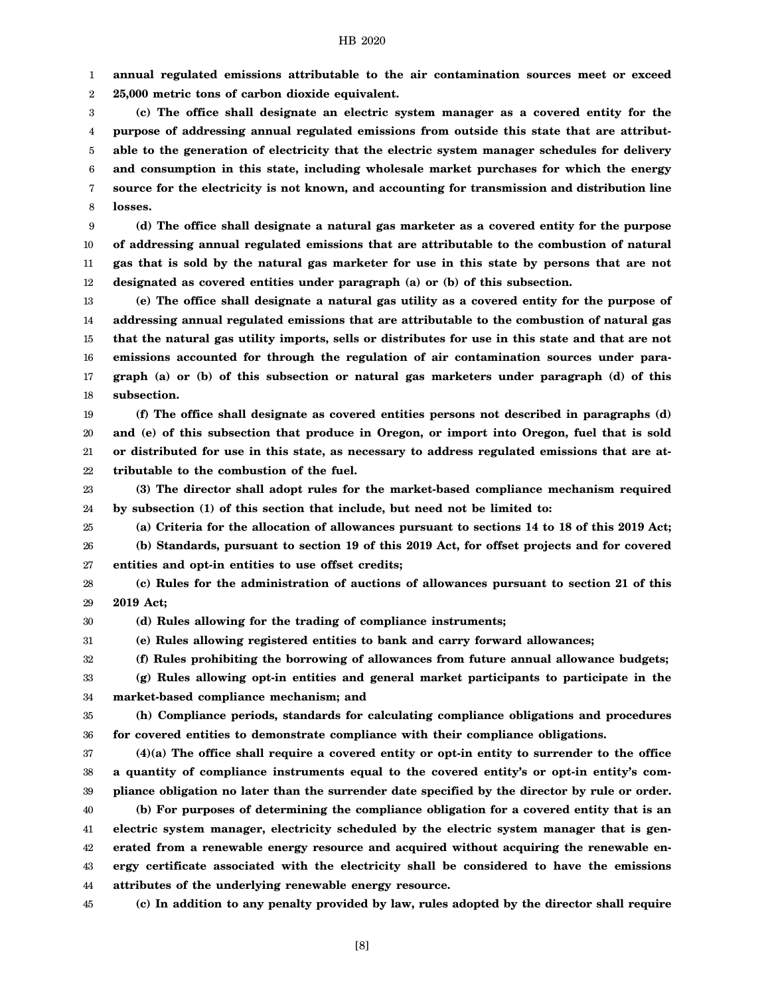1 **annual regulated emissions attributable to the air contamination sources meet or exceed**

2 **25,000 metric tons of carbon dioxide equivalent.**

3 4 5 6 7 8 **(c) The office shall designate an electric system manager as a covered entity for the purpose of addressing annual regulated emissions from outside this state that are attributable to the generation of electricity that the electric system manager schedules for delivery and consumption in this state, including wholesale market purchases for which the energy source for the electricity is not known, and accounting for transmission and distribution line losses.**

9 10 11 12 **(d) The office shall designate a natural gas marketer as a covered entity for the purpose of addressing annual regulated emissions that are attributable to the combustion of natural gas that is sold by the natural gas marketer for use in this state by persons that are not designated as covered entities under paragraph (a) or (b) of this subsection.**

13 14 15 16 17 18 **(e) The office shall designate a natural gas utility as a covered entity for the purpose of addressing annual regulated emissions that are attributable to the combustion of natural gas that the natural gas utility imports, sells or distributes for use in this state and that are not emissions accounted for through the regulation of air contamination sources under paragraph (a) or (b) of this subsection or natural gas marketers under paragraph (d) of this subsection.**

19 20 21 22 **(f) The office shall designate as covered entities persons not described in paragraphs (d) and (e) of this subsection that produce in Oregon, or import into Oregon, fuel that is sold or distributed for use in this state, as necessary to address regulated emissions that are attributable to the combustion of the fuel.**

23 24 **(3) The director shall adopt rules for the market-based compliance mechanism required by subsection (1) of this section that include, but need not be limited to:**

25 26 27 **(a) Criteria for the allocation of allowances pursuant to sections 14 to 18 of this 2019 Act; (b) Standards, pursuant to section 19 of this 2019 Act, for offset projects and for covered entities and opt-in entities to use offset credits;**

28 29 **(c) Rules for the administration of auctions of allowances pursuant to section 21 of this 2019 Act;**

30 **(d) Rules allowing for the trading of compliance instruments;**

31 **(e) Rules allowing registered entities to bank and carry forward allowances;**

32 **(f) Rules prohibiting the borrowing of allowances from future annual allowance budgets;**

33 34 **(g) Rules allowing opt-in entities and general market participants to participate in the market-based compliance mechanism; and**

35 36 **(h) Compliance periods, standards for calculating compliance obligations and procedures for covered entities to demonstrate compliance with their compliance obligations.**

37 38 39 **(4)(a) The office shall require a covered entity or opt-in entity to surrender to the office a quantity of compliance instruments equal to the covered entity's or opt-in entity's compliance obligation no later than the surrender date specified by the director by rule or order.**

40 41 42 43 44 **(b) For purposes of determining the compliance obligation for a covered entity that is an electric system manager, electricity scheduled by the electric system manager that is generated from a renewable energy resource and acquired without acquiring the renewable energy certificate associated with the electricity shall be considered to have the emissions attributes of the underlying renewable energy resource.**

45 **(c) In addition to any penalty provided by law, rules adopted by the director shall require**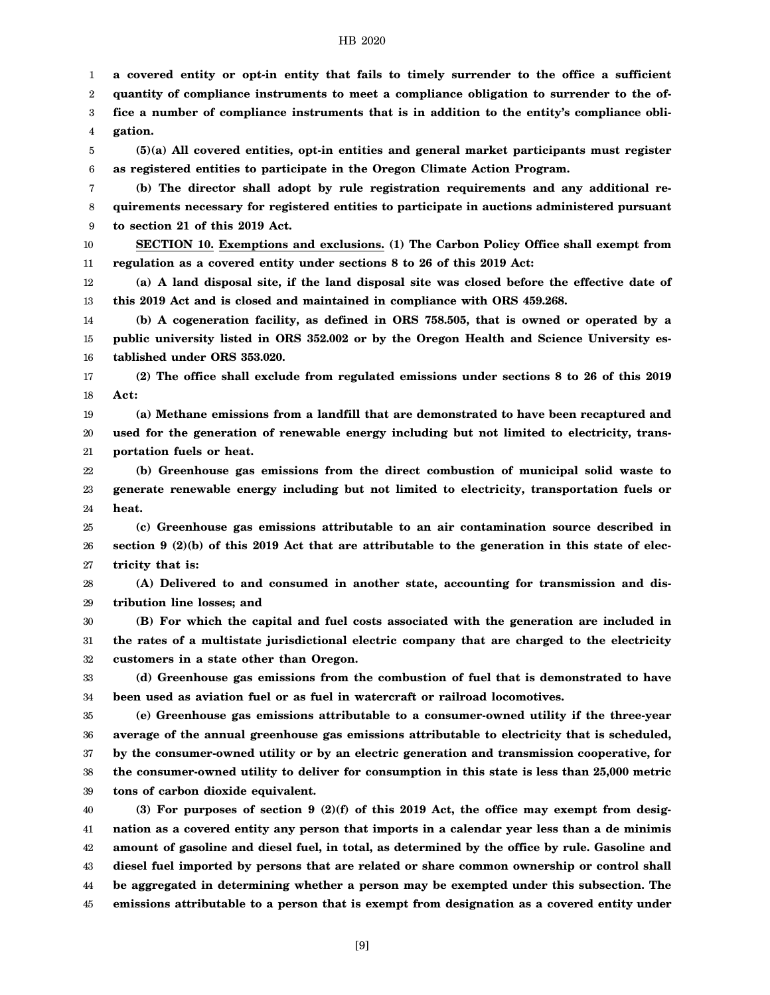**a covered entity or opt-in entity that fails to timely surrender to the office a sufficient quantity of compliance instruments to meet a compliance obligation to surrender to the of-**

1 2

3 4 5 6 7 8 9 10 11 12 13 14 15 16 17 18 19 20 21 22 23 24 25 26 27 28 29 30 31 32 33 34 35 36 37 38 39 40 41 42 43 44 45 **fice a number of compliance instruments that is in addition to the entity's compliance obligation. (5)(a) All covered entities, opt-in entities and general market participants must register as registered entities to participate in the Oregon Climate Action Program. (b) The director shall adopt by rule registration requirements and any additional requirements necessary for registered entities to participate in auctions administered pursuant to section 21 of this 2019 Act. SECTION 10. Exemptions and exclusions. (1) The Carbon Policy Office shall exempt from regulation as a covered entity under sections 8 to 26 of this 2019 Act: (a) A land disposal site, if the land disposal site was closed before the effective date of this 2019 Act and is closed and maintained in compliance with ORS 459.268. (b) A cogeneration facility, as defined in ORS 758.505, that is owned or operated by a public university listed in ORS 352.002 or by the Oregon Health and Science University established under ORS 353.020. (2) The office shall exclude from regulated emissions under sections 8 to 26 of this 2019 Act: (a) Methane emissions from a landfill that are demonstrated to have been recaptured and used for the generation of renewable energy including but not limited to electricity, transportation fuels or heat. (b) Greenhouse gas emissions from the direct combustion of municipal solid waste to generate renewable energy including but not limited to electricity, transportation fuels or heat. (c) Greenhouse gas emissions attributable to an air contamination source described in section 9 (2)(b) of this 2019 Act that are attributable to the generation in this state of electricity that is: (A) Delivered to and consumed in another state, accounting for transmission and distribution line losses; and (B) For which the capital and fuel costs associated with the generation are included in the rates of a multistate jurisdictional electric company that are charged to the electricity customers in a state other than Oregon. (d) Greenhouse gas emissions from the combustion of fuel that is demonstrated to have been used as aviation fuel or as fuel in watercraft or railroad locomotives. (e) Greenhouse gas emissions attributable to a consumer-owned utility if the three-year average of the annual greenhouse gas emissions attributable to electricity that is scheduled, by the consumer-owned utility or by an electric generation and transmission cooperative, for the consumer-owned utility to deliver for consumption in this state is less than 25,000 metric tons of carbon dioxide equivalent. (3) For purposes of section 9 (2)(f) of this 2019 Act, the office may exempt from designation as a covered entity any person that imports in a calendar year less than a de minimis amount of gasoline and diesel fuel, in total, as determined by the office by rule. Gasoline and diesel fuel imported by persons that are related or share common ownership or control shall be aggregated in determining whether a person may be exempted under this subsection. The emissions attributable to a person that is exempt from designation as a covered entity under**

[9]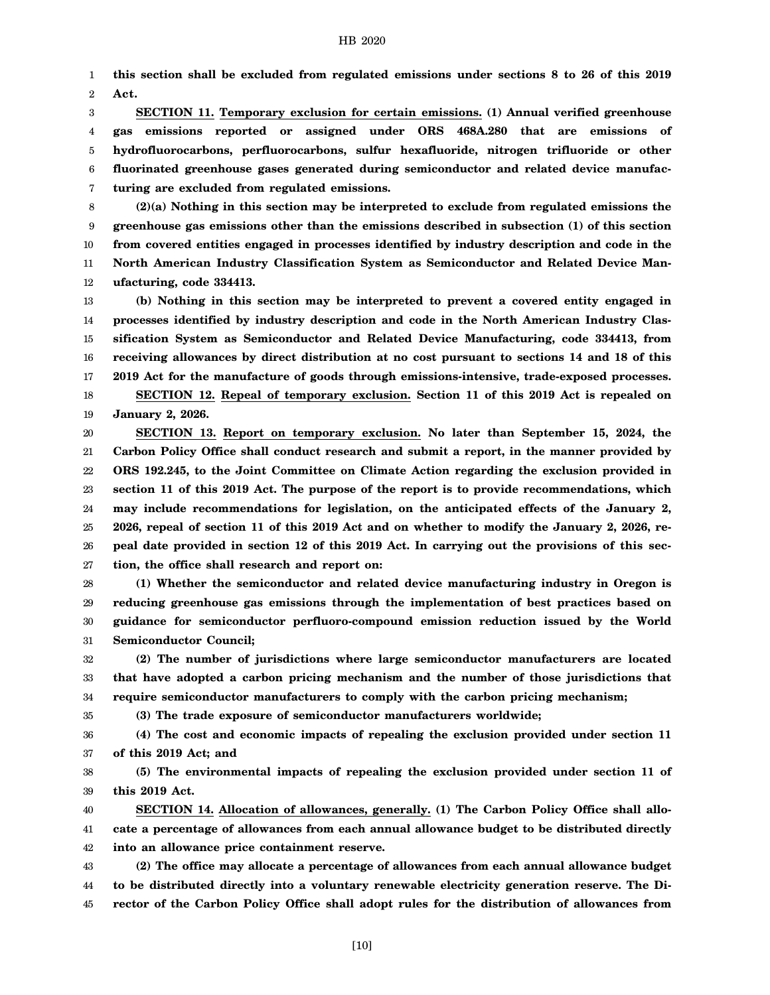1 2 **this section shall be excluded from regulated emissions under sections 8 to 26 of this 2019 Act.**

3 4 5 6 7 **SECTION 11. Temporary exclusion for certain emissions. (1) Annual verified greenhouse gas emissions reported or assigned under ORS 468A.280 that are emissions of hydrofluorocarbons, perfluorocarbons, sulfur hexafluoride, nitrogen trifluoride or other fluorinated greenhouse gases generated during semiconductor and related device manufacturing are excluded from regulated emissions.**

8 9 10 11 12 **(2)(a) Nothing in this section may be interpreted to exclude from regulated emissions the greenhouse gas emissions other than the emissions described in subsection (1) of this section from covered entities engaged in processes identified by industry description and code in the North American Industry Classification System as Semiconductor and Related Device Manufacturing, code 334413.**

13 14 15 16 17 18 **(b) Nothing in this section may be interpreted to prevent a covered entity engaged in processes identified by industry description and code in the North American Industry Classification System as Semiconductor and Related Device Manufacturing, code 334413, from receiving allowances by direct distribution at no cost pursuant to sections 14 and 18 of this 2019 Act for the manufacture of goods through emissions-intensive, trade-exposed processes. SECTION 12. Repeal of temporary exclusion. Section 11 of this 2019 Act is repealed on**

19 **January 2, 2026.**

20 21 22 23 24 25 26 27 **SECTION 13. Report on temporary exclusion. No later than September 15, 2024, the Carbon Policy Office shall conduct research and submit a report, in the manner provided by ORS 192.245, to the Joint Committee on Climate Action regarding the exclusion provided in section 11 of this 2019 Act. The purpose of the report is to provide recommendations, which may include recommendations for legislation, on the anticipated effects of the January 2, 2026, repeal of section 11 of this 2019 Act and on whether to modify the January 2, 2026, repeal date provided in section 12 of this 2019 Act. In carrying out the provisions of this section, the office shall research and report on:**

28 29 30 31 **(1) Whether the semiconductor and related device manufacturing industry in Oregon is reducing greenhouse gas emissions through the implementation of best practices based on guidance for semiconductor perfluoro-compound emission reduction issued by the World Semiconductor Council;**

32 33 34 **(2) The number of jurisdictions where large semiconductor manufacturers are located that have adopted a carbon pricing mechanism and the number of those jurisdictions that require semiconductor manufacturers to comply with the carbon pricing mechanism;**

35

**(3) The trade exposure of semiconductor manufacturers worldwide;**

36 37 **(4) The cost and economic impacts of repealing the exclusion provided under section 11 of this 2019 Act; and**

38 39 **(5) The environmental impacts of repealing the exclusion provided under section 11 of this 2019 Act.**

40 41 42 **SECTION 14. Allocation of allowances, generally. (1) The Carbon Policy Office shall allocate a percentage of allowances from each annual allowance budget to be distributed directly into an allowance price containment reserve.**

43 44 45 **(2) The office may allocate a percentage of allowances from each annual allowance budget to be distributed directly into a voluntary renewable electricity generation reserve. The Director of the Carbon Policy Office shall adopt rules for the distribution of allowances from**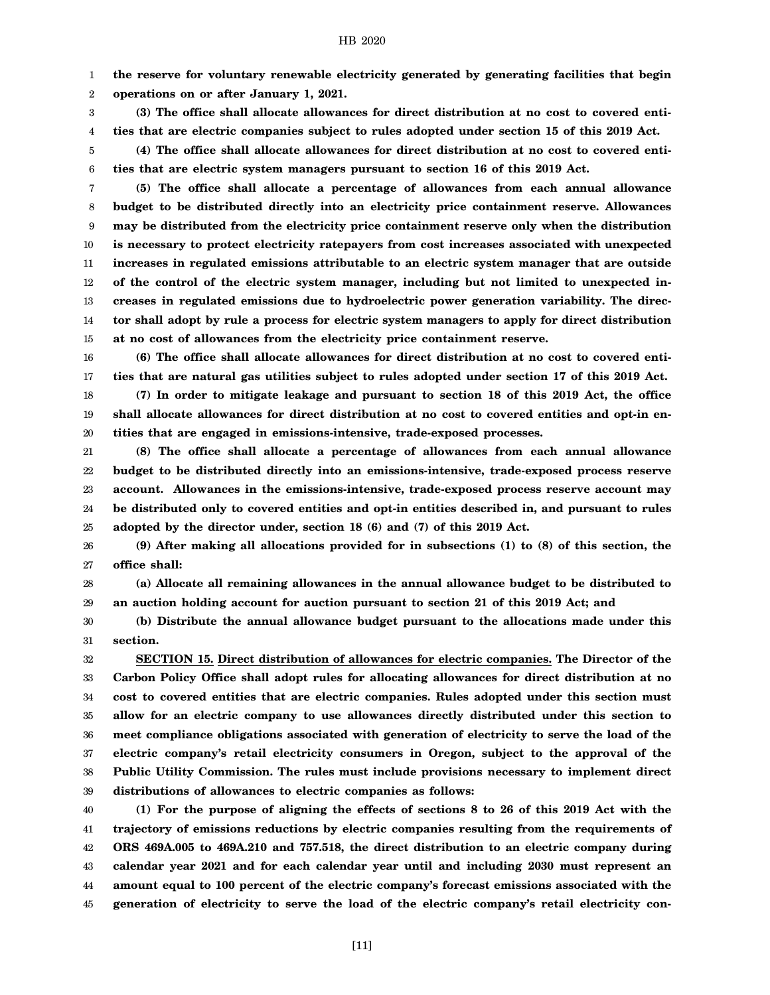1 **the reserve for voluntary renewable electricity generated by generating facilities that begin**

2 **operations on or after January 1, 2021.**

3 4 **(3) The office shall allocate allowances for direct distribution at no cost to covered entities that are electric companies subject to rules adopted under section 15 of this 2019 Act.**

5 6 **(4) The office shall allocate allowances for direct distribution at no cost to covered entities that are electric system managers pursuant to section 16 of this 2019 Act.**

7 8 9 10 11 12 13 14 15 **(5) The office shall allocate a percentage of allowances from each annual allowance budget to be distributed directly into an electricity price containment reserve. Allowances may be distributed from the electricity price containment reserve only when the distribution is necessary to protect electricity ratepayers from cost increases associated with unexpected increases in regulated emissions attributable to an electric system manager that are outside of the control of the electric system manager, including but not limited to unexpected increases in regulated emissions due to hydroelectric power generation variability. The director shall adopt by rule a process for electric system managers to apply for direct distribution at no cost of allowances from the electricity price containment reserve.**

16 17 18 **(6) The office shall allocate allowances for direct distribution at no cost to covered entities that are natural gas utilities subject to rules adopted under section 17 of this 2019 Act. (7) In order to mitigate leakage and pursuant to section 18 of this 2019 Act, the office**

19 20 **shall allocate allowances for direct distribution at no cost to covered entities and opt-in entities that are engaged in emissions-intensive, trade-exposed processes.**

21 22 23 24 25 **(8) The office shall allocate a percentage of allowances from each annual allowance budget to be distributed directly into an emissions-intensive, trade-exposed process reserve account. Allowances in the emissions-intensive, trade-exposed process reserve account may be distributed only to covered entities and opt-in entities described in, and pursuant to rules adopted by the director under, section 18 (6) and (7) of this 2019 Act.**

26 27 **(9) After making all allocations provided for in subsections (1) to (8) of this section, the office shall:**

28 29 **(a) Allocate all remaining allowances in the annual allowance budget to be distributed to an auction holding account for auction pursuant to section 21 of this 2019 Act; and**

30 31 **(b) Distribute the annual allowance budget pursuant to the allocations made under this section.**

32 33 34 35 36 37 38 39 **SECTION 15. Direct distribution of allowances for electric companies. The Director of the Carbon Policy Office shall adopt rules for allocating allowances for direct distribution at no cost to covered entities that are electric companies. Rules adopted under this section must allow for an electric company to use allowances directly distributed under this section to meet compliance obligations associated with generation of electricity to serve the load of the electric company's retail electricity consumers in Oregon, subject to the approval of the Public Utility Commission. The rules must include provisions necessary to implement direct distributions of allowances to electric companies as follows:**

40 41 42 43 44 45 **(1) For the purpose of aligning the effects of sections 8 to 26 of this 2019 Act with the trajectory of emissions reductions by electric companies resulting from the requirements of ORS 469A.005 to 469A.210 and 757.518, the direct distribution to an electric company during calendar year 2021 and for each calendar year until and including 2030 must represent an amount equal to 100 percent of the electric company's forecast emissions associated with the generation of electricity to serve the load of the electric company's retail electricity con-**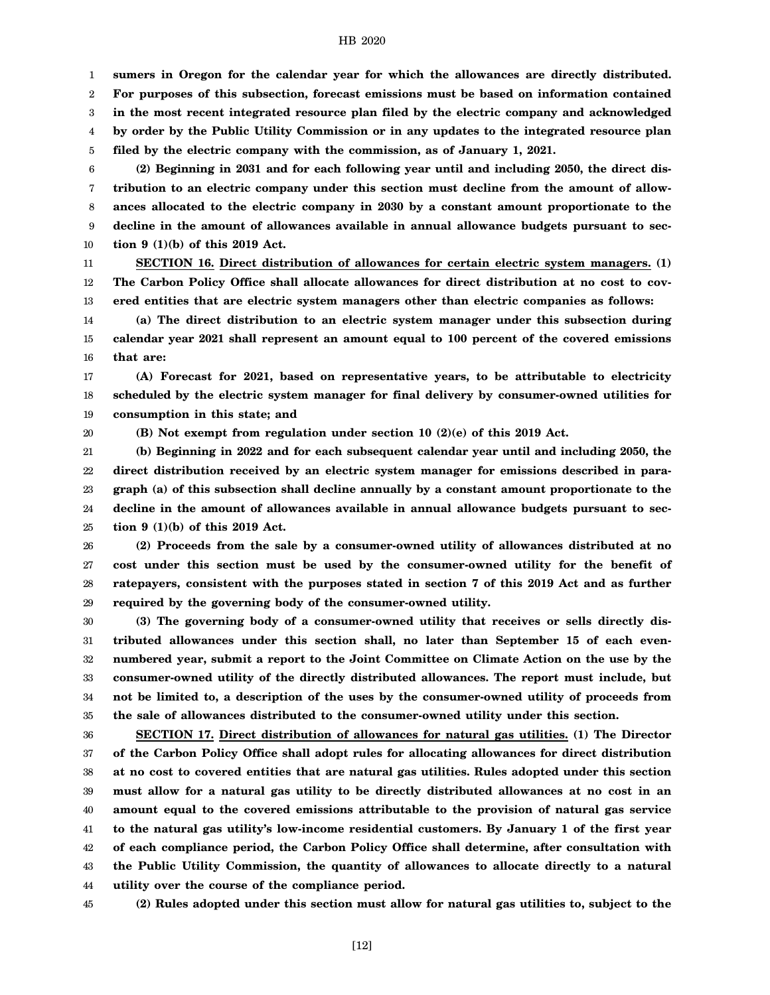1 **sumers in Oregon for the calendar year for which the allowances are directly distributed.**

2 **For purposes of this subsection, forecast emissions must be based on information contained**

3 4 **in the most recent integrated resource plan filed by the electric company and acknowledged by order by the Public Utility Commission or in any updates to the integrated resource plan**

5 **filed by the electric company with the commission, as of January 1, 2021.**

6 7 8 9 10 **(2) Beginning in 2031 and for each following year until and including 2050, the direct distribution to an electric company under this section must decline from the amount of allowances allocated to the electric company in 2030 by a constant amount proportionate to the decline in the amount of allowances available in annual allowance budgets pursuant to section 9 (1)(b) of this 2019 Act.**

11 12 13 **SECTION 16. Direct distribution of allowances for certain electric system managers. (1) The Carbon Policy Office shall allocate allowances for direct distribution at no cost to covered entities that are electric system managers other than electric companies as follows:**

14 15 16 **(a) The direct distribution to an electric system manager under this subsection during calendar year 2021 shall represent an amount equal to 100 percent of the covered emissions that are:**

17 18 19 **(A) Forecast for 2021, based on representative years, to be attributable to electricity scheduled by the electric system manager for final delivery by consumer-owned utilities for consumption in this state; and**

20

**(B) Not exempt from regulation under section 10 (2)(e) of this 2019 Act.**

21 22 23 24 25 **(b) Beginning in 2022 and for each subsequent calendar year until and including 2050, the direct distribution received by an electric system manager for emissions described in paragraph (a) of this subsection shall decline annually by a constant amount proportionate to the decline in the amount of allowances available in annual allowance budgets pursuant to section 9 (1)(b) of this 2019 Act.**

26 27 28 29 **(2) Proceeds from the sale by a consumer-owned utility of allowances distributed at no cost under this section must be used by the consumer-owned utility for the benefit of ratepayers, consistent with the purposes stated in section 7 of this 2019 Act and as further required by the governing body of the consumer-owned utility.**

30 31 32 33 34 35 **(3) The governing body of a consumer-owned utility that receives or sells directly distributed allowances under this section shall, no later than September 15 of each evennumbered year, submit a report to the Joint Committee on Climate Action on the use by the consumer-owned utility of the directly distributed allowances. The report must include, but not be limited to, a description of the uses by the consumer-owned utility of proceeds from the sale of allowances distributed to the consumer-owned utility under this section.**

36 37 38 39 40 41 42 43 44 **SECTION 17. Direct distribution of allowances for natural gas utilities. (1) The Director of the Carbon Policy Office shall adopt rules for allocating allowances for direct distribution at no cost to covered entities that are natural gas utilities. Rules adopted under this section must allow for a natural gas utility to be directly distributed allowances at no cost in an amount equal to the covered emissions attributable to the provision of natural gas service to the natural gas utility's low-income residential customers. By January 1 of the first year of each compliance period, the Carbon Policy Office shall determine, after consultation with the Public Utility Commission, the quantity of allowances to allocate directly to a natural utility over the course of the compliance period.**

45 **(2) Rules adopted under this section must allow for natural gas utilities to, subject to the**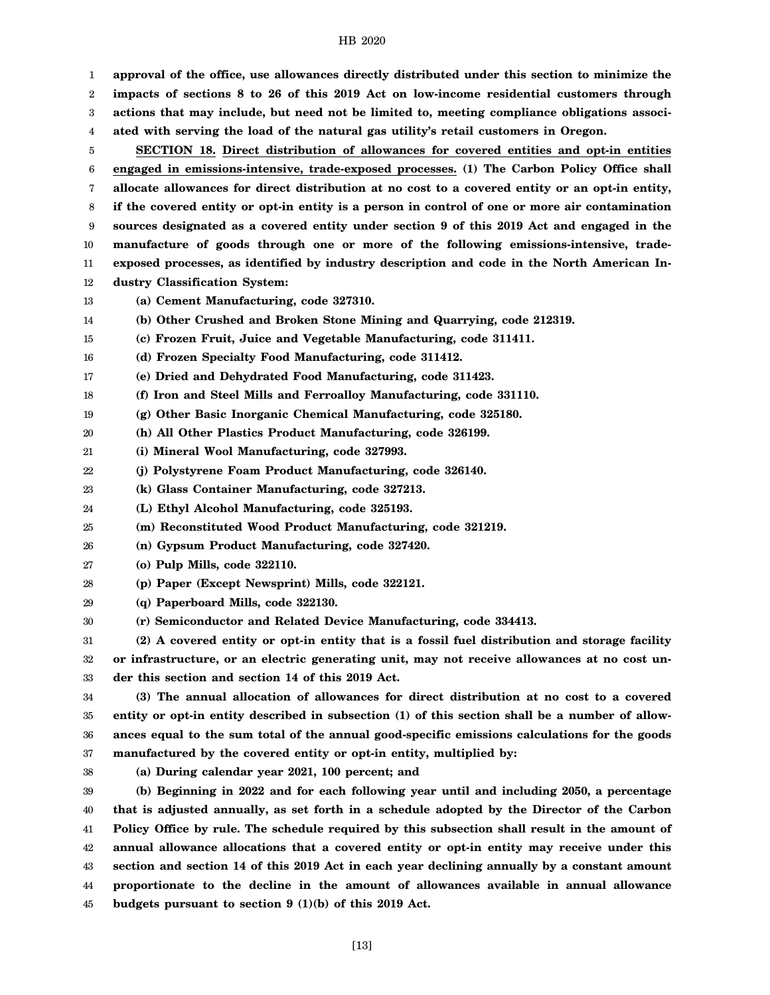1 2 3 4 5 6 7 8 9 10 11 12 13 14 15 16 17 18 19 20 21 22 23 24 25 26 27 28 29 30 31 32 33 34 35 36 37 38 39 40 41 42 43 44 **approval of the office, use allowances directly distributed under this section to minimize the impacts of sections 8 to 26 of this 2019 Act on low-income residential customers through actions that may include, but need not be limited to, meeting compliance obligations associated with serving the load of the natural gas utility's retail customers in Oregon. SECTION 18. Direct distribution of allowances for covered entities and opt-in entities engaged in emissions-intensive, trade-exposed processes. (1) The Carbon Policy Office shall allocate allowances for direct distribution at no cost to a covered entity or an opt-in entity, if the covered entity or opt-in entity is a person in control of one or more air contamination sources designated as a covered entity under section 9 of this 2019 Act and engaged in the manufacture of goods through one or more of the following emissions-intensive, tradeexposed processes, as identified by industry description and code in the North American Industry Classification System: (a) Cement Manufacturing, code 327310. (b) Other Crushed and Broken Stone Mining and Quarrying, code 212319. (c) Frozen Fruit, Juice and Vegetable Manufacturing, code 311411. (d) Frozen Specialty Food Manufacturing, code 311412. (e) Dried and Dehydrated Food Manufacturing, code 311423. (f) Iron and Steel Mills and Ferroalloy Manufacturing, code 331110. (g) Other Basic Inorganic Chemical Manufacturing, code 325180. (h) All Other Plastics Product Manufacturing, code 326199. (i) Mineral Wool Manufacturing, code 327993. (j) Polystyrene Foam Product Manufacturing, code 326140. (k) Glass Container Manufacturing, code 327213. (L) Ethyl Alcohol Manufacturing, code 325193. (m) Reconstituted Wood Product Manufacturing, code 321219. (n) Gypsum Product Manufacturing, code 327420. (o) Pulp Mills, code 322110. (p) Paper (Except Newsprint) Mills, code 322121. (q) Paperboard Mills, code 322130. (r) Semiconductor and Related Device Manufacturing, code 334413. (2) A covered entity or opt-in entity that is a fossil fuel distribution and storage facility or infrastructure, or an electric generating unit, may not receive allowances at no cost under this section and section 14 of this 2019 Act. (3) The annual allocation of allowances for direct distribution at no cost to a covered entity or opt-in entity described in subsection (1) of this section shall be a number of allowances equal to the sum total of the annual good-specific emissions calculations for the goods manufactured by the covered entity or opt-in entity, multiplied by: (a) During calendar year 2021, 100 percent; and (b) Beginning in 2022 and for each following year until and including 2050, a percentage that is adjusted annually, as set forth in a schedule adopted by the Director of the Carbon Policy Office by rule. The schedule required by this subsection shall result in the amount of annual allowance allocations that a covered entity or opt-in entity may receive under this section and section 14 of this 2019 Act in each year declining annually by a constant amount proportionate to the decline in the amount of allowances available in annual allowance**

45 **budgets pursuant to section 9 (1)(b) of this 2019 Act.**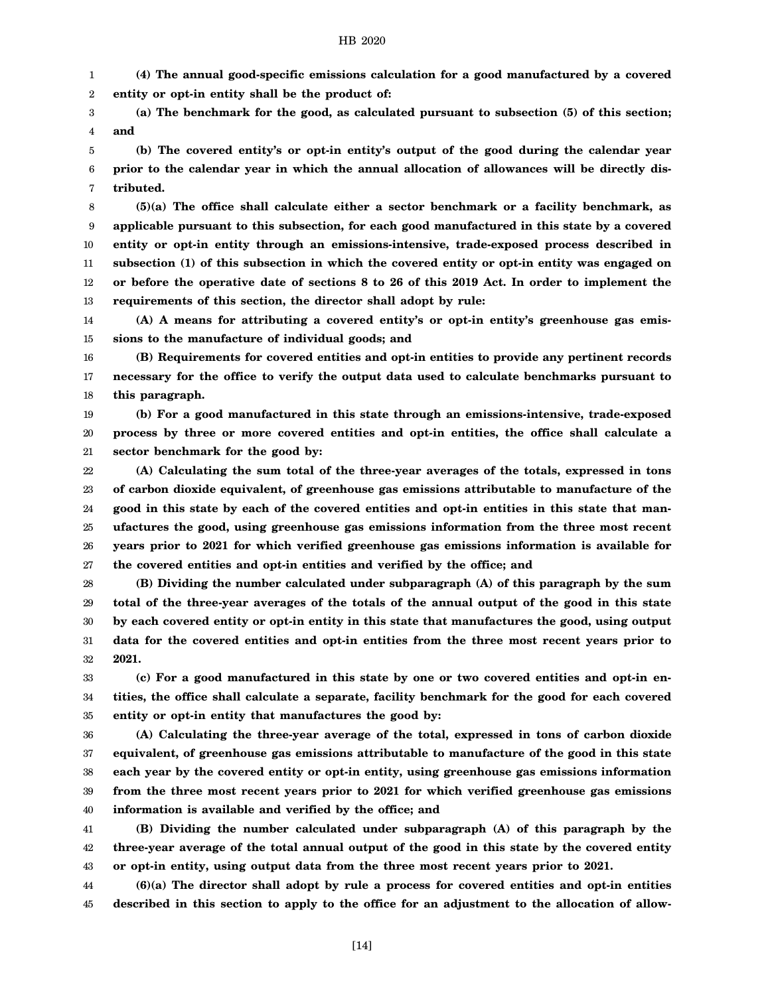1 2 **(4) The annual good-specific emissions calculation for a good manufactured by a covered entity or opt-in entity shall be the product of:**

3 4 **(a) The benchmark for the good, as calculated pursuant to subsection (5) of this section; and**

5 6 7 **(b) The covered entity's or opt-in entity's output of the good during the calendar year prior to the calendar year in which the annual allocation of allowances will be directly distributed.**

8 9 10 11 12 13 **(5)(a) The office shall calculate either a sector benchmark or a facility benchmark, as applicable pursuant to this subsection, for each good manufactured in this state by a covered entity or opt-in entity through an emissions-intensive, trade-exposed process described in subsection (1) of this subsection in which the covered entity or opt-in entity was engaged on or before the operative date of sections 8 to 26 of this 2019 Act. In order to implement the requirements of this section, the director shall adopt by rule:**

14 15 **(A) A means for attributing a covered entity's or opt-in entity's greenhouse gas emissions to the manufacture of individual goods; and**

16 17 18 **(B) Requirements for covered entities and opt-in entities to provide any pertinent records necessary for the office to verify the output data used to calculate benchmarks pursuant to this paragraph.**

19 20 21 **(b) For a good manufactured in this state through an emissions-intensive, trade-exposed process by three or more covered entities and opt-in entities, the office shall calculate a sector benchmark for the good by:**

22 23 24 25 26 27 **(A) Calculating the sum total of the three-year averages of the totals, expressed in tons of carbon dioxide equivalent, of greenhouse gas emissions attributable to manufacture of the good in this state by each of the covered entities and opt-in entities in this state that manufactures the good, using greenhouse gas emissions information from the three most recent years prior to 2021 for which verified greenhouse gas emissions information is available for the covered entities and opt-in entities and verified by the office; and**

28 29 30 31 32 **(B) Dividing the number calculated under subparagraph (A) of this paragraph by the sum total of the three-year averages of the totals of the annual output of the good in this state by each covered entity or opt-in entity in this state that manufactures the good, using output data for the covered entities and opt-in entities from the three most recent years prior to 2021.**

33 34 35 **(c) For a good manufactured in this state by one or two covered entities and opt-in entities, the office shall calculate a separate, facility benchmark for the good for each covered entity or opt-in entity that manufactures the good by:**

36 37 38 39 40 **(A) Calculating the three-year average of the total, expressed in tons of carbon dioxide equivalent, of greenhouse gas emissions attributable to manufacture of the good in this state each year by the covered entity or opt-in entity, using greenhouse gas emissions information from the three most recent years prior to 2021 for which verified greenhouse gas emissions information is available and verified by the office; and**

41 42 43 **(B) Dividing the number calculated under subparagraph (A) of this paragraph by the three-year average of the total annual output of the good in this state by the covered entity or opt-in entity, using output data from the three most recent years prior to 2021.**

44 45 **(6)(a) The director shall adopt by rule a process for covered entities and opt-in entities described in this section to apply to the office for an adjustment to the allocation of allow-**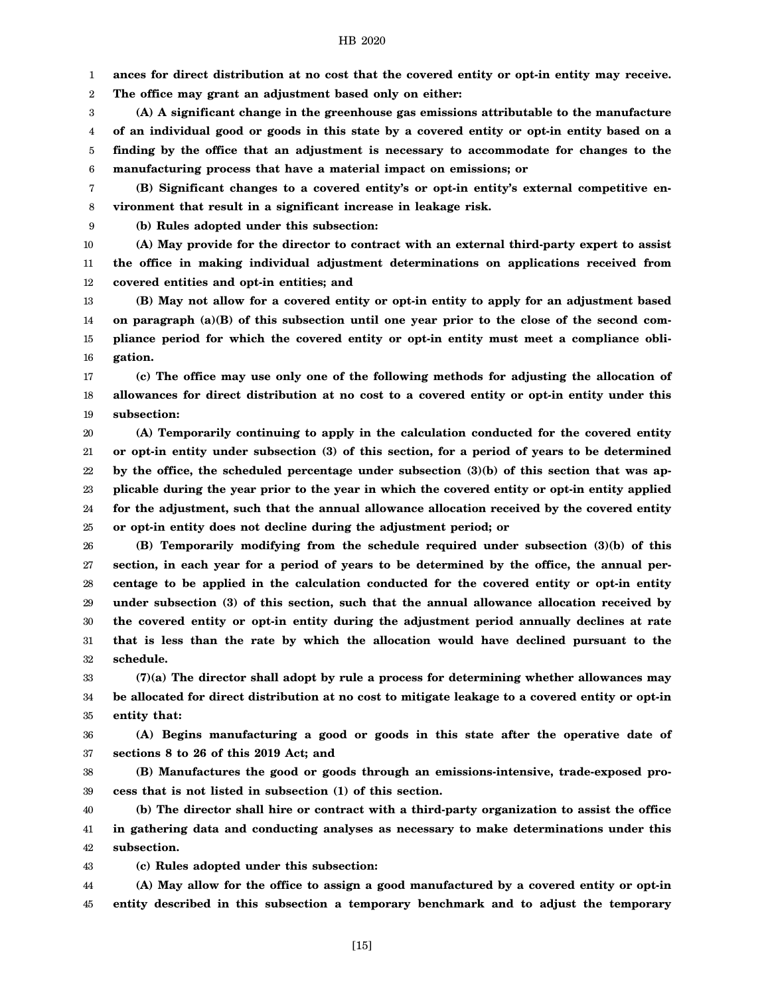1 **ances for direct distribution at no cost that the covered entity or opt-in entity may receive.**

2 **The office may grant an adjustment based only on either:**

3 4 5 6 **(A) A significant change in the greenhouse gas emissions attributable to the manufacture of an individual good or goods in this state by a covered entity or opt-in entity based on a finding by the office that an adjustment is necessary to accommodate for changes to the manufacturing process that have a material impact on emissions; or**

7 8 **(B) Significant changes to a covered entity's or opt-in entity's external competitive environment that result in a significant increase in leakage risk.**

9 **(b) Rules adopted under this subsection:**

10 11 12 **(A) May provide for the director to contract with an external third-party expert to assist the office in making individual adjustment determinations on applications received from covered entities and opt-in entities; and**

13 14 15 16 **(B) May not allow for a covered entity or opt-in entity to apply for an adjustment based on paragraph (a)(B) of this subsection until one year prior to the close of the second compliance period for which the covered entity or opt-in entity must meet a compliance obligation.**

17 18 19 **(c) The office may use only one of the following methods for adjusting the allocation of allowances for direct distribution at no cost to a covered entity or opt-in entity under this subsection:**

20 21 22 23 24 25 **(A) Temporarily continuing to apply in the calculation conducted for the covered entity or opt-in entity under subsection (3) of this section, for a period of years to be determined by the office, the scheduled percentage under subsection (3)(b) of this section that was applicable during the year prior to the year in which the covered entity or opt-in entity applied for the adjustment, such that the annual allowance allocation received by the covered entity or opt-in entity does not decline during the adjustment period; or**

26 27 28 29 30 31 32 **(B) Temporarily modifying from the schedule required under subsection (3)(b) of this section, in each year for a period of years to be determined by the office, the annual percentage to be applied in the calculation conducted for the covered entity or opt-in entity under subsection (3) of this section, such that the annual allowance allocation received by the covered entity or opt-in entity during the adjustment period annually declines at rate that is less than the rate by which the allocation would have declined pursuant to the schedule.**

33 34 35 **(7)(a) The director shall adopt by rule a process for determining whether allowances may be allocated for direct distribution at no cost to mitigate leakage to a covered entity or opt-in entity that:**

36 37 **(A) Begins manufacturing a good or goods in this state after the operative date of sections 8 to 26 of this 2019 Act; and**

38 39 **(B) Manufactures the good or goods through an emissions-intensive, trade-exposed process that is not listed in subsection (1) of this section.**

40 41 42 **(b) The director shall hire or contract with a third-party organization to assist the office in gathering data and conducting analyses as necessary to make determinations under this subsection.**

43 **(c) Rules adopted under this subsection:**

44 45 **(A) May allow for the office to assign a good manufactured by a covered entity or opt-in entity described in this subsection a temporary benchmark and to adjust the temporary**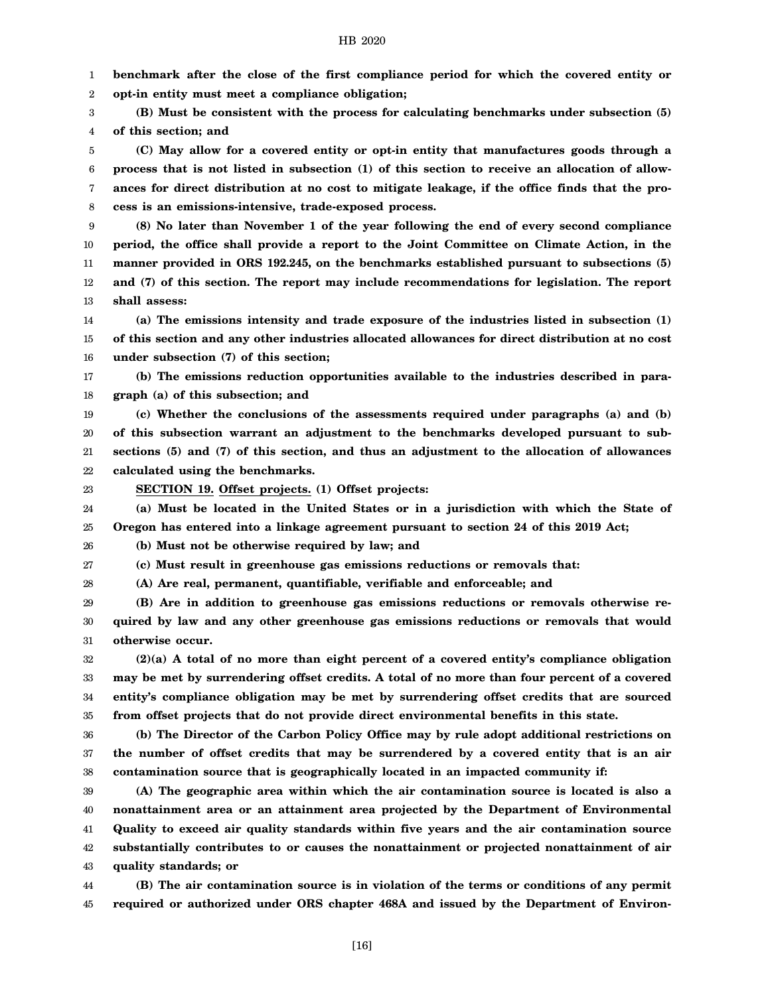1 2 **benchmark after the close of the first compliance period for which the covered entity or opt-in entity must meet a compliance obligation;**

3 4 **(B) Must be consistent with the process for calculating benchmarks under subsection (5) of this section; and**

5 6 7 8 **(C) May allow for a covered entity or opt-in entity that manufactures goods through a process that is not listed in subsection (1) of this section to receive an allocation of allowances for direct distribution at no cost to mitigate leakage, if the office finds that the process is an emissions-intensive, trade-exposed process.**

9 10 11 12 13 **(8) No later than November 1 of the year following the end of every second compliance period, the office shall provide a report to the Joint Committee on Climate Action, in the manner provided in ORS 192.245, on the benchmarks established pursuant to subsections (5) and (7) of this section. The report may include recommendations for legislation. The report shall assess:**

14 15 16 **(a) The emissions intensity and trade exposure of the industries listed in subsection (1) of this section and any other industries allocated allowances for direct distribution at no cost under subsection (7) of this section;**

17 18 **(b) The emissions reduction opportunities available to the industries described in paragraph (a) of this subsection; and**

19 20 21 22 **(c) Whether the conclusions of the assessments required under paragraphs (a) and (b) of this subsection warrant an adjustment to the benchmarks developed pursuant to subsections (5) and (7) of this section, and thus an adjustment to the allocation of allowances calculated using the benchmarks.**

23

**SECTION 19. Offset projects. (1) Offset projects:**

24 25 **(a) Must be located in the United States or in a jurisdiction with which the State of Oregon has entered into a linkage agreement pursuant to section 24 of this 2019 Act;**

26 **(b) Must not be otherwise required by law; and**

27 **(c) Must result in greenhouse gas emissions reductions or removals that:**

28 **(A) Are real, permanent, quantifiable, verifiable and enforceable; and**

29 30 31 **(B) Are in addition to greenhouse gas emissions reductions or removals otherwise required by law and any other greenhouse gas emissions reductions or removals that would otherwise occur.**

32 33 34 35 **(2)(a) A total of no more than eight percent of a covered entity's compliance obligation may be met by surrendering offset credits. A total of no more than four percent of a covered entity's compliance obligation may be met by surrendering offset credits that are sourced from offset projects that do not provide direct environmental benefits in this state.**

36 37 38 **(b) The Director of the Carbon Policy Office may by rule adopt additional restrictions on the number of offset credits that may be surrendered by a covered entity that is an air contamination source that is geographically located in an impacted community if:**

39 40 41 42 43 **(A) The geographic area within which the air contamination source is located is also a nonattainment area or an attainment area projected by the Department of Environmental Quality to exceed air quality standards within five years and the air contamination source substantially contributes to or causes the nonattainment or projected nonattainment of air quality standards; or**

44 45 **(B) The air contamination source is in violation of the terms or conditions of any permit required or authorized under ORS chapter 468A and issued by the Department of Environ-**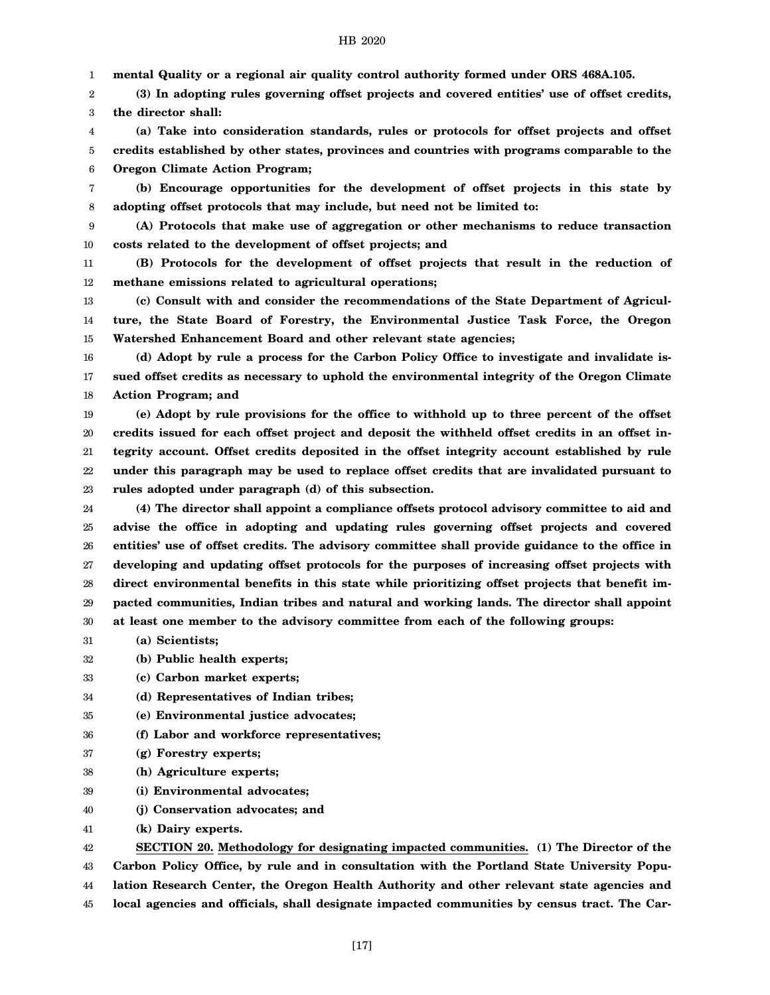1 **mental Quality or a regional air quality control authority formed under ORS 468A.105.**

2 3 **(3) In adopting rules governing offset projects and covered entities' use of offset credits, the director shall:**

4 5 6 **(a) Take into consideration standards, rules or protocols for offset projects and offset credits established by other states, provinces and countries with programs comparable to the Oregon Climate Action Program;**

7 8 **(b) Encourage opportunities for the development of offset projects in this state by adopting offset protocols that may include, but need not be limited to:**

9 10 **(A) Protocols that make use of aggregation or other mechanisms to reduce transaction costs related to the development of offset projects; and**

11 12 **(B) Protocols for the development of offset projects that result in the reduction of methane emissions related to agricultural operations;**

13 14 15 **(c) Consult with and consider the recommendations of the State Department of Agriculture, the State Board of Forestry, the Environmental Justice Task Force, the Oregon Watershed Enhancement Board and other relevant state agencies;**

16 17 18 **(d) Adopt by rule a process for the Carbon Policy Office to investigate and invalidate issued offset credits as necessary to uphold the environmental integrity of the Oregon Climate Action Program; and**

19 20 21 22 23 **(e) Adopt by rule provisions for the office to withhold up to three percent of the offset credits issued for each offset project and deposit the withheld offset credits in an offset integrity account. Offset credits deposited in the offset integrity account established by rule under this paragraph may be used to replace offset credits that are invalidated pursuant to rules adopted under paragraph (d) of this subsection.**

24 25 26 27 28 29 30 **(4) The director shall appoint a compliance offsets protocol advisory committee to aid and advise the office in adopting and updating rules governing offset projects and covered entities' use of offset credits. The advisory committee shall provide guidance to the office in developing and updating offset protocols for the purposes of increasing offset projects with direct environmental benefits in this state while prioritizing offset projects that benefit impacted communities, Indian tribes and natural and working lands. The director shall appoint at least one member to the advisory committee from each of the following groups:**

31 **(a) Scientists;**

32 **(b) Public health experts;**

33 **(c) Carbon market experts;**

34 **(d) Representatives of Indian tribes;**

- 35 **(e) Environmental justice advocates;**
- 36 **(f) Labor and workforce representatives;**
- 37 **(g) Forestry experts;**
- 38 **(h) Agriculture experts;**
- 39 **(i) Environmental advocates;**
- 40 **(j) Conservation advocates; and**
- 41 **(k) Dairy experts.**

42 43 44 45 **SECTION 20. Methodology for designating impacted communities. (1) The Director of the Carbon Policy Office, by rule and in consultation with the Portland State University Population Research Center, the Oregon Health Authority and other relevant state agencies and local agencies and officials, shall designate impacted communities by census tract. The Car-**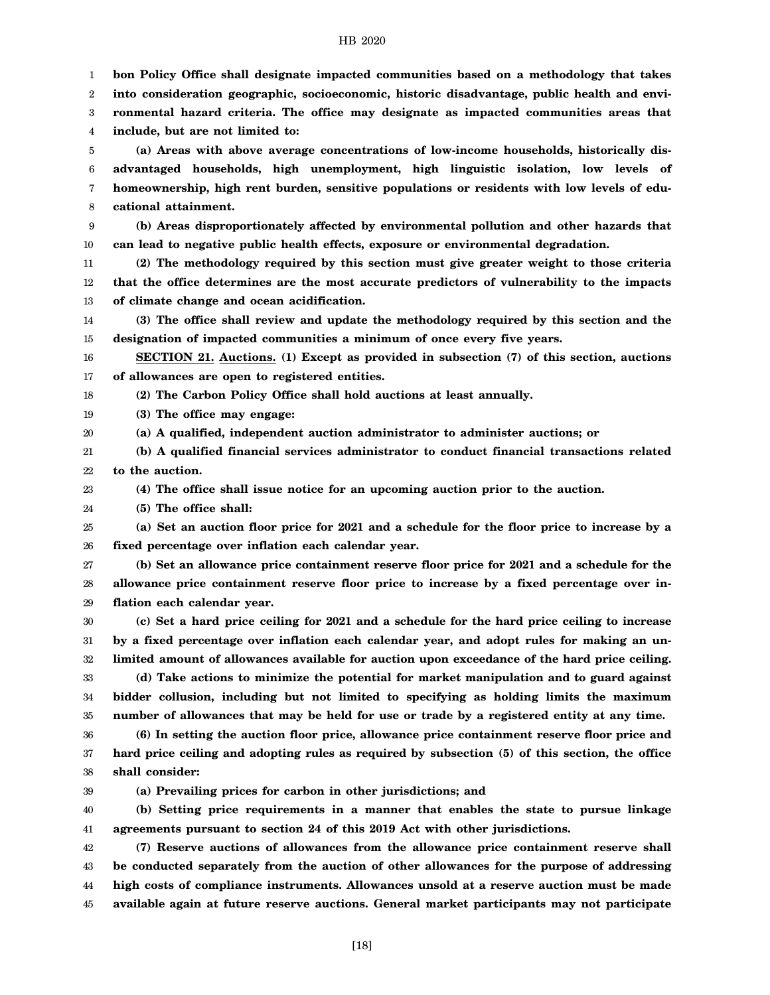1 2 3 4 5 6 7 8 9 10 11 12 13 14 15 16 17 18 19 20 21 22 23 24 25 26 27 28 29 30 31 32 33 34 35 36 37 38 39 40 41 42 43 44 45 **bon Policy Office shall designate impacted communities based on a methodology that takes into consideration geographic, socioeconomic, historic disadvantage, public health and environmental hazard criteria. The office may designate as impacted communities areas that include, but are not limited to: (a) Areas with above average concentrations of low-income households, historically disadvantaged households, high unemployment, high linguistic isolation, low levels of homeownership, high rent burden, sensitive populations or residents with low levels of educational attainment. (b) Areas disproportionately affected by environmental pollution and other hazards that can lead to negative public health effects, exposure or environmental degradation. (2) The methodology required by this section must give greater weight to those criteria that the office determines are the most accurate predictors of vulnerability to the impacts of climate change and ocean acidification. (3) The office shall review and update the methodology required by this section and the designation of impacted communities a minimum of once every five years. SECTION 21. Auctions. (1) Except as provided in subsection (7) of this section, auctions of allowances are open to registered entities. (2) The Carbon Policy Office shall hold auctions at least annually. (3) The office may engage: (a) A qualified, independent auction administrator to administer auctions; or (b) A qualified financial services administrator to conduct financial transactions related to the auction. (4) The office shall issue notice for an upcoming auction prior to the auction. (5) The office shall: (a) Set an auction floor price for 2021 and a schedule for the floor price to increase by a fixed percentage over inflation each calendar year. (b) Set an allowance price containment reserve floor price for 2021 and a schedule for the allowance price containment reserve floor price to increase by a fixed percentage over inflation each calendar year. (c) Set a hard price ceiling for 2021 and a schedule for the hard price ceiling to increase by a fixed percentage over inflation each calendar year, and adopt rules for making an unlimited amount of allowances available for auction upon exceedance of the hard price ceiling. (d) Take actions to minimize the potential for market manipulation and to guard against bidder collusion, including but not limited to specifying as holding limits the maximum number of allowances that may be held for use or trade by a registered entity at any time. (6) In setting the auction floor price, allowance price containment reserve floor price and hard price ceiling and adopting rules as required by subsection (5) of this section, the office shall consider: (a) Prevailing prices for carbon in other jurisdictions; and (b) Setting price requirements in a manner that enables the state to pursue linkage agreements pursuant to section 24 of this 2019 Act with other jurisdictions. (7) Reserve auctions of allowances from the allowance price containment reserve shall be conducted separately from the auction of other allowances for the purpose of addressing high costs of compliance instruments. Allowances unsold at a reserve auction must be made available again at future reserve auctions. General market participants may not participate**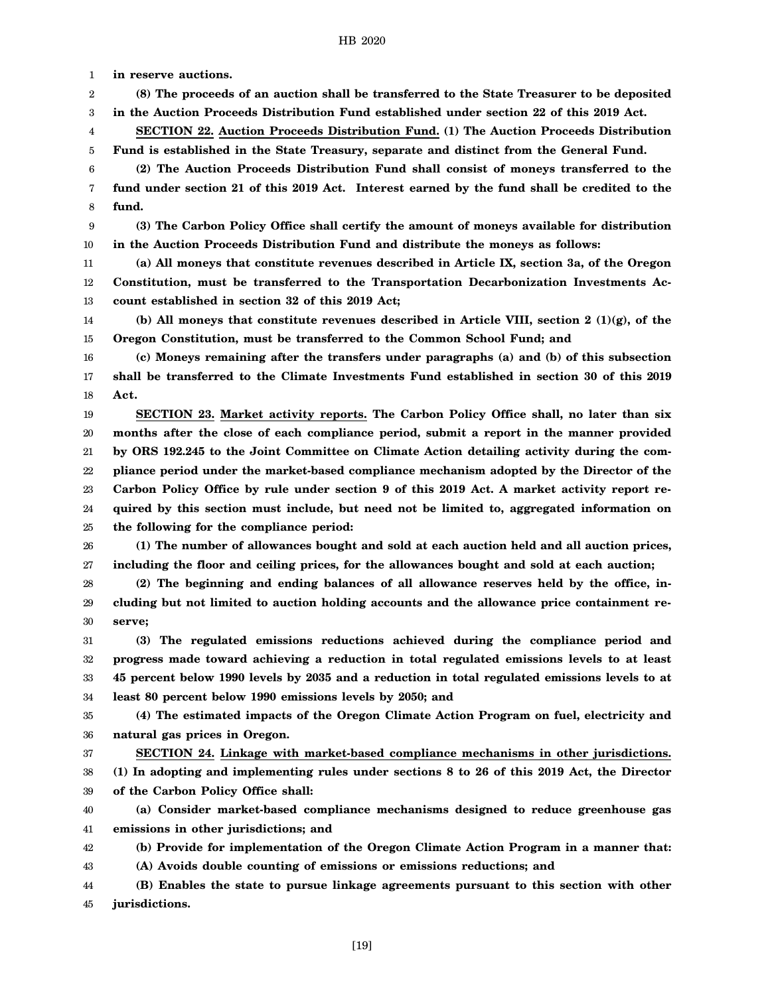1 **in reserve auctions.**

2 **(8) The proceeds of an auction shall be transferred to the State Treasurer to be deposited**

3 **in the Auction Proceeds Distribution Fund established under section 22 of this 2019 Act.**

4 5 **SECTION 22. Auction Proceeds Distribution Fund. (1) The Auction Proceeds Distribution Fund is established in the State Treasury, separate and distinct from the General Fund.**

6 7 8 **(2) The Auction Proceeds Distribution Fund shall consist of moneys transferred to the fund under section 21 of this 2019 Act. Interest earned by the fund shall be credited to the fund.**

9 10 **(3) The Carbon Policy Office shall certify the amount of moneys available for distribution in the Auction Proceeds Distribution Fund and distribute the moneys as follows:**

11 12 13 **(a) All moneys that constitute revenues described in Article IX, section 3a, of the Oregon Constitution, must be transferred to the Transportation Decarbonization Investments Account established in section 32 of this 2019 Act;**

14 15 **(b) All moneys that constitute revenues described in Article VIII, section 2 (1)(g), of the Oregon Constitution, must be transferred to the Common School Fund; and**

16 17 18 **(c) Moneys remaining after the transfers under paragraphs (a) and (b) of this subsection shall be transferred to the Climate Investments Fund established in section 30 of this 2019 Act.**

19 20 21 22 23 24 25 **SECTION 23. Market activity reports. The Carbon Policy Office shall, no later than six months after the close of each compliance period, submit a report in the manner provided by ORS 192.245 to the Joint Committee on Climate Action detailing activity during the compliance period under the market-based compliance mechanism adopted by the Director of the Carbon Policy Office by rule under section 9 of this 2019 Act. A market activity report required by this section must include, but need not be limited to, aggregated information on the following for the compliance period:**

26 27 **(1) The number of allowances bought and sold at each auction held and all auction prices, including the floor and ceiling prices, for the allowances bought and sold at each auction;**

28 29 30 **(2) The beginning and ending balances of all allowance reserves held by the office, including but not limited to auction holding accounts and the allowance price containment reserve;**

31 32 33 34 **(3) The regulated emissions reductions achieved during the compliance period and progress made toward achieving a reduction in total regulated emissions levels to at least 45 percent below 1990 levels by 2035 and a reduction in total regulated emissions levels to at least 80 percent below 1990 emissions levels by 2050; and**

35 36 **(4) The estimated impacts of the Oregon Climate Action Program on fuel, electricity and natural gas prices in Oregon.**

37 38 39 **SECTION 24. Linkage with market-based compliance mechanisms in other jurisdictions. (1) In adopting and implementing rules under sections 8 to 26 of this 2019 Act, the Director of the Carbon Policy Office shall:**

40 41 **(a) Consider market-based compliance mechanisms designed to reduce greenhouse gas emissions in other jurisdictions; and**

42 **(b) Provide for implementation of the Oregon Climate Action Program in a manner that:**

43 **(A) Avoids double counting of emissions or emissions reductions; and**

44 45 **(B) Enables the state to pursue linkage agreements pursuant to this section with other jurisdictions.**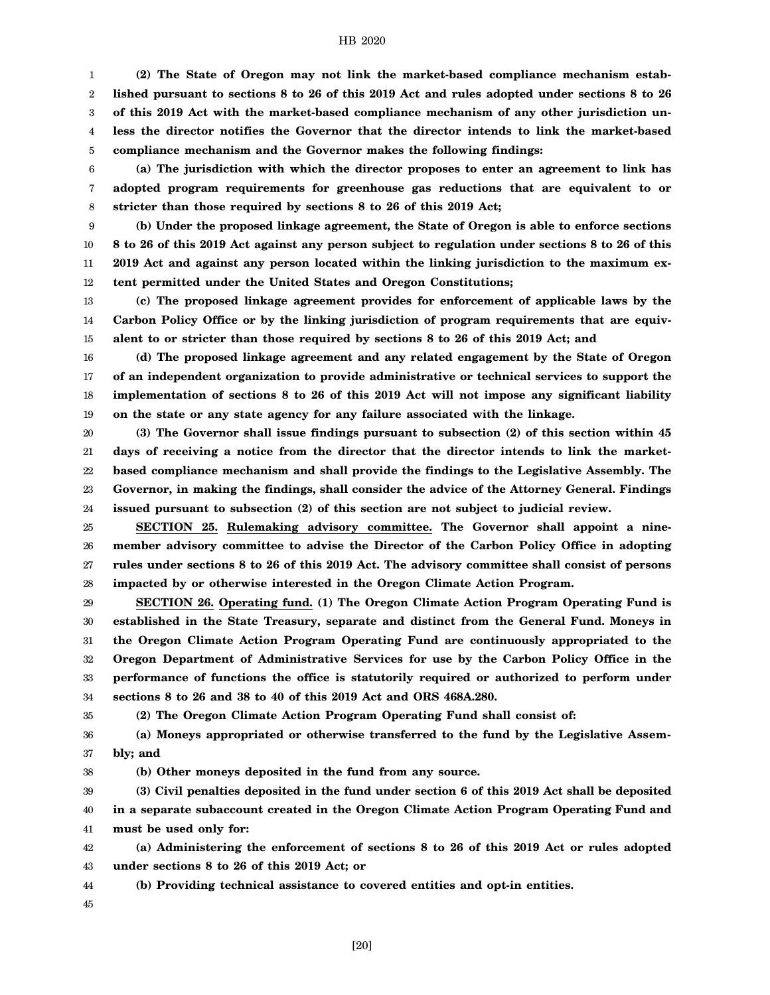1 2 3 4 5 **(2) The State of Oregon may not link the market-based compliance mechanism established pursuant to sections 8 to 26 of this 2019 Act and rules adopted under sections 8 to 26 of this 2019 Act with the market-based compliance mechanism of any other jurisdiction unless the director notifies the Governor that the director intends to link the market-based compliance mechanism and the Governor makes the following findings:**

6 7 8 **(a) The jurisdiction with which the director proposes to enter an agreement to link has adopted program requirements for greenhouse gas reductions that are equivalent to or stricter than those required by sections 8 to 26 of this 2019 Act;**

9 10 11 12 **(b) Under the proposed linkage agreement, the State of Oregon is able to enforce sections 8 to 26 of this 2019 Act against any person subject to regulation under sections 8 to 26 of this 2019 Act and against any person located within the linking jurisdiction to the maximum extent permitted under the United States and Oregon Constitutions;**

13 14 15 **(c) The proposed linkage agreement provides for enforcement of applicable laws by the Carbon Policy Office or by the linking jurisdiction of program requirements that are equivalent to or stricter than those required by sections 8 to 26 of this 2019 Act; and**

16 17 18 19 **(d) The proposed linkage agreement and any related engagement by the State of Oregon of an independent organization to provide administrative or technical services to support the implementation of sections 8 to 26 of this 2019 Act will not impose any significant liability on the state or any state agency for any failure associated with the linkage.**

20 21 22 23 24 **(3) The Governor shall issue findings pursuant to subsection (2) of this section within 45 days of receiving a notice from the director that the director intends to link the marketbased compliance mechanism and shall provide the findings to the Legislative Assembly. The Governor, in making the findings, shall consider the advice of the Attorney General. Findings issued pursuant to subsection (2) of this section are not subject to judicial review.**

25 26 27 28 **SECTION 25. Rulemaking advisory committee. The Governor shall appoint a ninemember advisory committee to advise the Director of the Carbon Policy Office in adopting rules under sections 8 to 26 of this 2019 Act. The advisory committee shall consist of persons impacted by or otherwise interested in the Oregon Climate Action Program.**

29 30 31 32 33 34 **SECTION 26. Operating fund. (1) The Oregon Climate Action Program Operating Fund is established in the State Treasury, separate and distinct from the General Fund. Moneys in the Oregon Climate Action Program Operating Fund are continuously appropriated to the Oregon Department of Administrative Services for use by the Carbon Policy Office in the performance of functions the office is statutorily required or authorized to perform under sections 8 to 26 and 38 to 40 of this 2019 Act and ORS 468A.280.**

35

**(2) The Oregon Climate Action Program Operating Fund shall consist of:**

36 37 **(a) Moneys appropriated or otherwise transferred to the fund by the Legislative Assembly; and**

38 **(b) Other moneys deposited in the fund from any source.**

39 40 41 **(3) Civil penalties deposited in the fund under section 6 of this 2019 Act shall be deposited in a separate subaccount created in the Oregon Climate Action Program Operating Fund and must be used only for:**

42 43 **(a) Administering the enforcement of sections 8 to 26 of this 2019 Act or rules adopted under sections 8 to 26 of this 2019 Act; or**

44 **(b) Providing technical assistance to covered entities and opt-in entities.**

45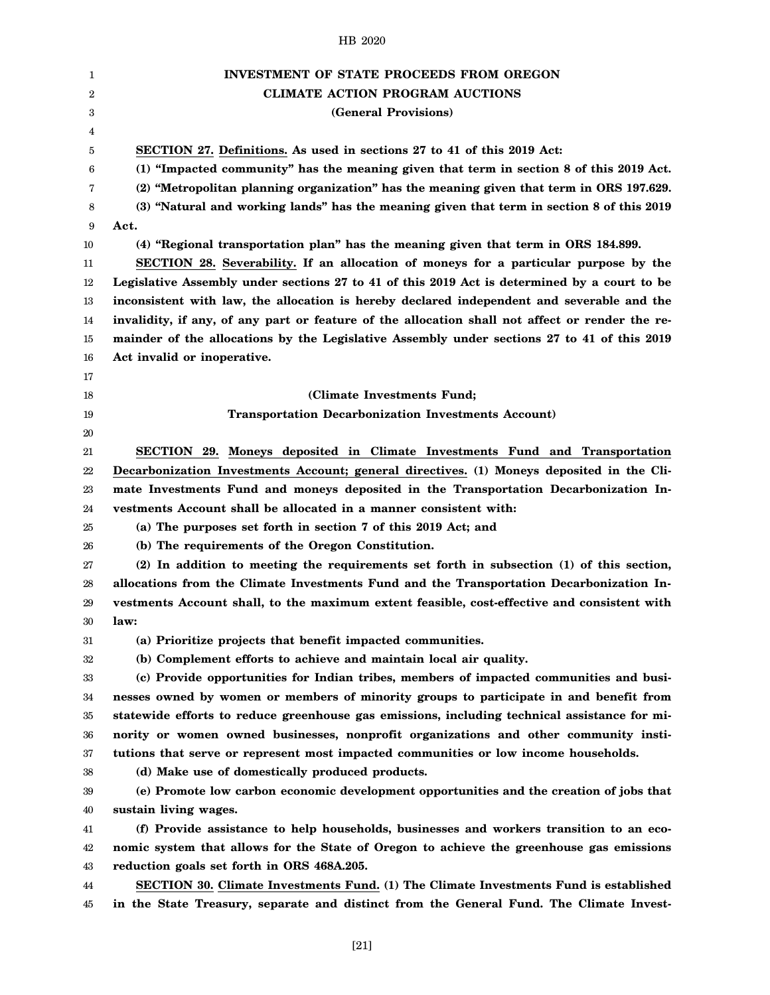| 1  | <b>INVESTMENT OF STATE PROCEEDS FROM OREGON</b>                                                 |
|----|-------------------------------------------------------------------------------------------------|
| 2  | <b>CLIMATE ACTION PROGRAM AUCTIONS</b>                                                          |
| 3  | (General Provisions)                                                                            |
| 4  |                                                                                                 |
| 5  | SECTION 27. Definitions. As used in sections 27 to 41 of this 2019 Act:                         |
| 6  | (1) "Impacted community" has the meaning given that term in section 8 of this 2019 Act.         |
| 7  | (2) "Metropolitan planning organization" has the meaning given that term in ORS 197.629.        |
| 8  | (3) "Natural and working lands" has the meaning given that term in section 8 of this 2019       |
| 9  | Act.                                                                                            |
| 10 | (4) "Regional transportation plan" has the meaning given that term in ORS 184.899.              |
| 11 | SECTION 28. Severability. If an allocation of moneys for a particular purpose by the            |
| 12 | Legislative Assembly under sections 27 to 41 of this 2019 Act is determined by a court to be    |
| 13 | inconsistent with law, the allocation is hereby declared independent and severable and the      |
| 14 | invalidity, if any, of any part or feature of the allocation shall not affect or render the re- |
| 15 | mainder of the allocations by the Legislative Assembly under sections 27 to 41 of this 2019     |
| 16 | Act invalid or inoperative.                                                                     |
| 17 |                                                                                                 |
| 18 | (Climate Investments Fund;                                                                      |
| 19 | <b>Transportation Decarbonization Investments Account)</b>                                      |
| 20 |                                                                                                 |
| 21 | SECTION 29. Moneys deposited in Climate Investments Fund and Transportation                     |
| 22 | Decarbonization Investments Account; general directives. (1) Moneys deposited in the Cli-       |
| 23 | mate Investments Fund and moneys deposited in the Transportation Decarbonization In-            |
| 24 | vestments Account shall be allocated in a manner consistent with:                               |
| 25 | (a) The purposes set forth in section 7 of this 2019 Act; and                                   |
| 26 | (b) The requirements of the Oregon Constitution.                                                |
| 27 | (2) In addition to meeting the requirements set forth in subsection (1) of this section,        |
| 28 | allocations from the Climate Investments Fund and the Transportation Decarbonization In-        |
| 29 | vestments Account shall, to the maximum extent feasible, cost-effective and consistent with     |
| 30 | law:                                                                                            |
| 31 | (a) Prioritize projects that benefit impacted communities.                                      |
| 32 | (b) Complement efforts to achieve and maintain local air quality.                               |
| 33 | (c) Provide opportunities for Indian tribes, members of impacted communities and busi-          |
| 34 | nesses owned by women or members of minority groups to participate in and benefit from          |
| 35 | statewide efforts to reduce greenhouse gas emissions, including technical assistance for mi-    |
| 36 | nority or women owned businesses, nonprofit organizations and other community insti-            |
| 37 | tutions that serve or represent most impacted communities or low income households.             |
| 38 | (d) Make use of domestically produced products.                                                 |
| 39 | (e) Promote low carbon economic development opportunities and the creation of jobs that         |
| 40 | sustain living wages.                                                                           |
| 41 | (f) Provide assistance to help households, businesses and workers transition to an eco-         |
| 42 | nomic system that allows for the State of Oregon to achieve the greenhouse gas emissions        |
| 43 | reduction goals set forth in ORS 468A.205.                                                      |
| 44 | SECTION 30. Climate Investments Fund. (1) The Climate Investments Fund is established           |
| 45 | in the State Treasury, separate and distinct from the General Fund. The Climate Invest-         |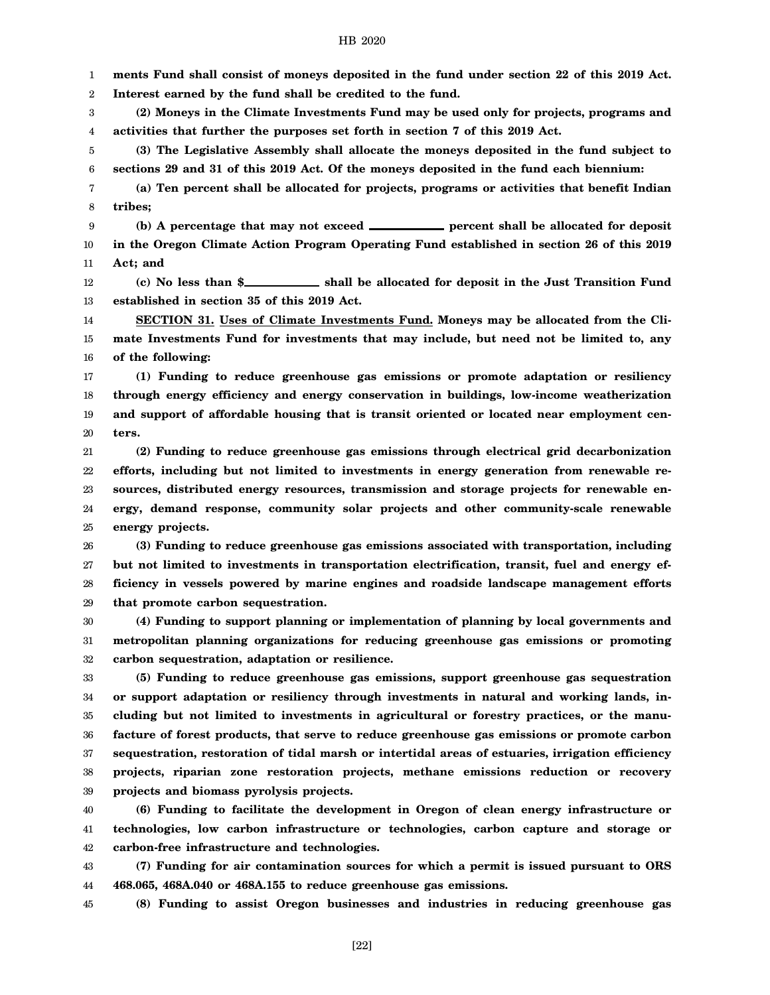1 **ments Fund shall consist of moneys deposited in the fund under section 22 of this 2019 Act.**

2 **Interest earned by the fund shall be credited to the fund.**

3 4 **(2) Moneys in the Climate Investments Fund may be used only for projects, programs and activities that further the purposes set forth in section 7 of this 2019 Act.**

5 6 **(3) The Legislative Assembly shall allocate the moneys deposited in the fund subject to sections 29 and 31 of this 2019 Act. Of the moneys deposited in the fund each biennium:**

7 8 **(a) Ten percent shall be allocated for projects, programs or activities that benefit Indian tribes;**

9 (b) A percentage that may not exceed **percent shall be allocated for deposit** 

10 11 **in the Oregon Climate Action Program Operating Fund established in section 26 of this 2019 Act; and**

12 13 (c) No less than \$<br> **(c)** No less than \$<br> **Shall be allocated for deposit in the Just Transition Fund established in section 35 of this 2019 Act.**

14 15 16 **SECTION 31. Uses of Climate Investments Fund. Moneys may be allocated from the Climate Investments Fund for investments that may include, but need not be limited to, any of the following:**

17 18 19 20 **(1) Funding to reduce greenhouse gas emissions or promote adaptation or resiliency through energy efficiency and energy conservation in buildings, low-income weatherization and support of affordable housing that is transit oriented or located near employment centers.**

21 22 23 24 25 **(2) Funding to reduce greenhouse gas emissions through electrical grid decarbonization efforts, including but not limited to investments in energy generation from renewable resources, distributed energy resources, transmission and storage projects for renewable energy, demand response, community solar projects and other community-scale renewable energy projects.**

26 27 28 29 **(3) Funding to reduce greenhouse gas emissions associated with transportation, including but not limited to investments in transportation electrification, transit, fuel and energy efficiency in vessels powered by marine engines and roadside landscape management efforts that promote carbon sequestration.**

30 31 32 **(4) Funding to support planning or implementation of planning by local governments and metropolitan planning organizations for reducing greenhouse gas emissions or promoting carbon sequestration, adaptation or resilience.**

33 34 35 36 37 38 39 **(5) Funding to reduce greenhouse gas emissions, support greenhouse gas sequestration or support adaptation or resiliency through investments in natural and working lands, including but not limited to investments in agricultural or forestry practices, or the manufacture of forest products, that serve to reduce greenhouse gas emissions or promote carbon sequestration, restoration of tidal marsh or intertidal areas of estuaries, irrigation efficiency projects, riparian zone restoration projects, methane emissions reduction or recovery projects and biomass pyrolysis projects.**

40 41 42 **(6) Funding to facilitate the development in Oregon of clean energy infrastructure or technologies, low carbon infrastructure or technologies, carbon capture and storage or carbon-free infrastructure and technologies.**

43 44 **(7) Funding for air contamination sources for which a permit is issued pursuant to ORS 468.065, 468A.040 or 468A.155 to reduce greenhouse gas emissions.**

45 **(8) Funding to assist Oregon businesses and industries in reducing greenhouse gas**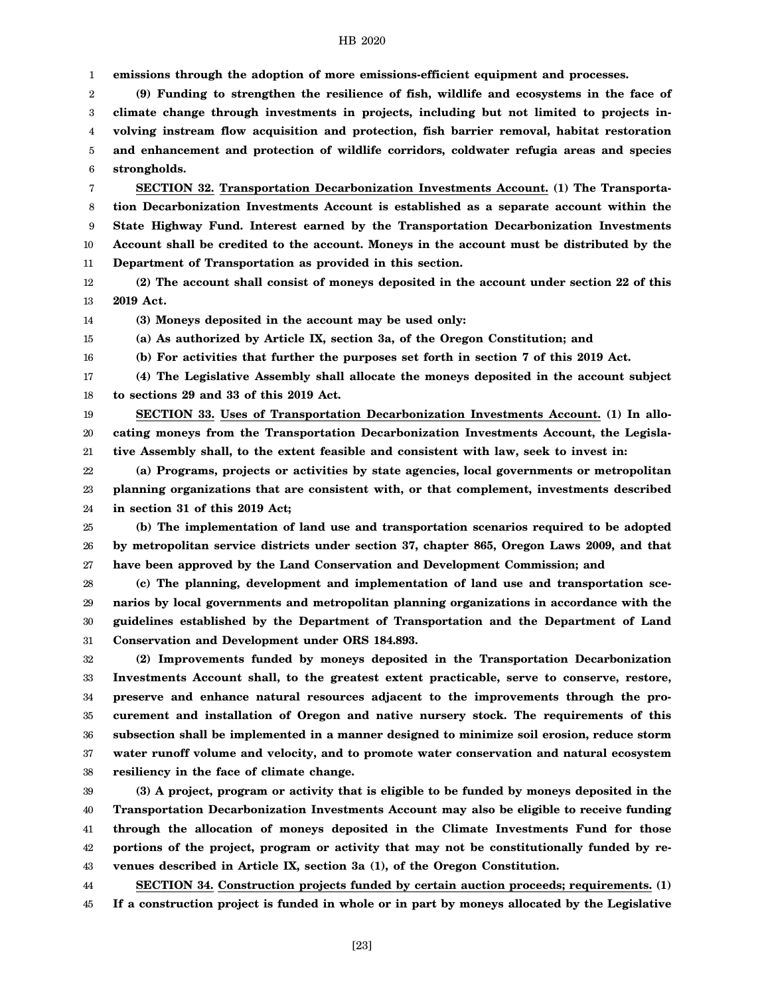1 **emissions through the adoption of more emissions-efficient equipment and processes.**

2 3 4 5 6 **(9) Funding to strengthen the resilience of fish, wildlife and ecosystems in the face of climate change through investments in projects, including but not limited to projects involving instream flow acquisition and protection, fish barrier removal, habitat restoration and enhancement and protection of wildlife corridors, coldwater refugia areas and species strongholds.**

7 8 9 10 11 **SECTION 32. Transportation Decarbonization Investments Account. (1) The Transportation Decarbonization Investments Account is established as a separate account within the State Highway Fund. Interest earned by the Transportation Decarbonization Investments Account shall be credited to the account. Moneys in the account must be distributed by the Department of Transportation as provided in this section.**

12 13 **(2) The account shall consist of moneys deposited in the account under section 22 of this 2019 Act.**

14 **(3) Moneys deposited in the account may be used only:**

16

15 **(a) As authorized by Article IX, section 3a, of the Oregon Constitution; and**

**(b) For activities that further the purposes set forth in section 7 of this 2019 Act.**

17 18 **(4) The Legislative Assembly shall allocate the moneys deposited in the account subject to sections 29 and 33 of this 2019 Act.**

19 20 21 **SECTION 33. Uses of Transportation Decarbonization Investments Account. (1) In allocating moneys from the Transportation Decarbonization Investments Account, the Legislative Assembly shall, to the extent feasible and consistent with law, seek to invest in:**

22 23 24 **(a) Programs, projects or activities by state agencies, local governments or metropolitan planning organizations that are consistent with, or that complement, investments described in section 31 of this 2019 Act;**

25 26 27 **(b) The implementation of land use and transportation scenarios required to be adopted by metropolitan service districts under section 37, chapter 865, Oregon Laws 2009, and that have been approved by the Land Conservation and Development Commission; and**

28 29 30 31 **(c) The planning, development and implementation of land use and transportation scenarios by local governments and metropolitan planning organizations in accordance with the guidelines established by the Department of Transportation and the Department of Land Conservation and Development under ORS 184.893.**

32 33 34 35 36 37 38 **(2) Improvements funded by moneys deposited in the Transportation Decarbonization Investments Account shall, to the greatest extent practicable, serve to conserve, restore, preserve and enhance natural resources adjacent to the improvements through the procurement and installation of Oregon and native nursery stock. The requirements of this subsection shall be implemented in a manner designed to minimize soil erosion, reduce storm water runoff volume and velocity, and to promote water conservation and natural ecosystem resiliency in the face of climate change.**

39 40 41 42 43 **(3) A project, program or activity that is eligible to be funded by moneys deposited in the Transportation Decarbonization Investments Account may also be eligible to receive funding through the allocation of moneys deposited in the Climate Investments Fund for those portions of the project, program or activity that may not be constitutionally funded by revenues described in Article IX, section 3a (1), of the Oregon Constitution.**

44 **SECTION 34. Construction projects funded by certain auction proceeds; requirements. (1)**

45 **If a construction project is funded in whole or in part by moneys allocated by the Legislative**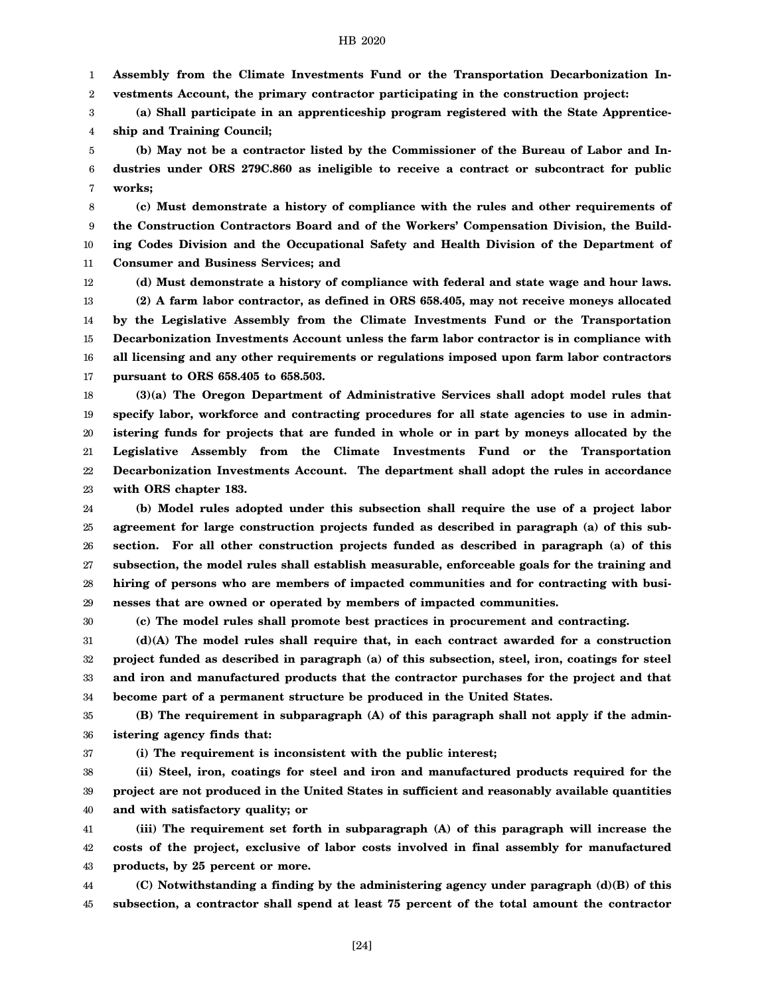1 **Assembly from the Climate Investments Fund or the Transportation Decarbonization In-**

2 **vestments Account, the primary contractor participating in the construction project:**

3 4 **(a) Shall participate in an apprenticeship program registered with the State Apprenticeship and Training Council;**

5 6 7 **(b) May not be a contractor listed by the Commissioner of the Bureau of Labor and Industries under ORS 279C.860 as ineligible to receive a contract or subcontract for public works;**

8 9 10 11 **(c) Must demonstrate a history of compliance with the rules and other requirements of the Construction Contractors Board and of the Workers' Compensation Division, the Building Codes Division and the Occupational Safety and Health Division of the Department of Consumer and Business Services; and**

12

13 14 15 16 17 **(d) Must demonstrate a history of compliance with federal and state wage and hour laws. (2) A farm labor contractor, as defined in ORS 658.405, may not receive moneys allocated by the Legislative Assembly from the Climate Investments Fund or the Transportation Decarbonization Investments Account unless the farm labor contractor is in compliance with all licensing and any other requirements or regulations imposed upon farm labor contractors pursuant to ORS 658.405 to 658.503.**

18 19 20 21 22 23 **(3)(a) The Oregon Department of Administrative Services shall adopt model rules that specify labor, workforce and contracting procedures for all state agencies to use in administering funds for projects that are funded in whole or in part by moneys allocated by the Legislative Assembly from the Climate Investments Fund or the Transportation Decarbonization Investments Account. The department shall adopt the rules in accordance with ORS chapter 183.**

24 25 26 27 28 29 **(b) Model rules adopted under this subsection shall require the use of a project labor agreement for large construction projects funded as described in paragraph (a) of this subsection. For all other construction projects funded as described in paragraph (a) of this subsection, the model rules shall establish measurable, enforceable goals for the training and hiring of persons who are members of impacted communities and for contracting with businesses that are owned or operated by members of impacted communities.**

30

**(c) The model rules shall promote best practices in procurement and contracting.**

31 32 33 34 **(d)(A) The model rules shall require that, in each contract awarded for a construction project funded as described in paragraph (a) of this subsection, steel, iron, coatings for steel and iron and manufactured products that the contractor purchases for the project and that become part of a permanent structure be produced in the United States.**

35 36 **(B) The requirement in subparagraph (A) of this paragraph shall not apply if the administering agency finds that:**

37

**(i) The requirement is inconsistent with the public interest;**

38 39 40 **(ii) Steel, iron, coatings for steel and iron and manufactured products required for the project are not produced in the United States in sufficient and reasonably available quantities and with satisfactory quality; or**

41 42 43 **(iii) The requirement set forth in subparagraph (A) of this paragraph will increase the costs of the project, exclusive of labor costs involved in final assembly for manufactured products, by 25 percent or more.**

44 45 **(C) Notwithstanding a finding by the administering agency under paragraph (d)(B) of this subsection, a contractor shall spend at least 75 percent of the total amount the contractor**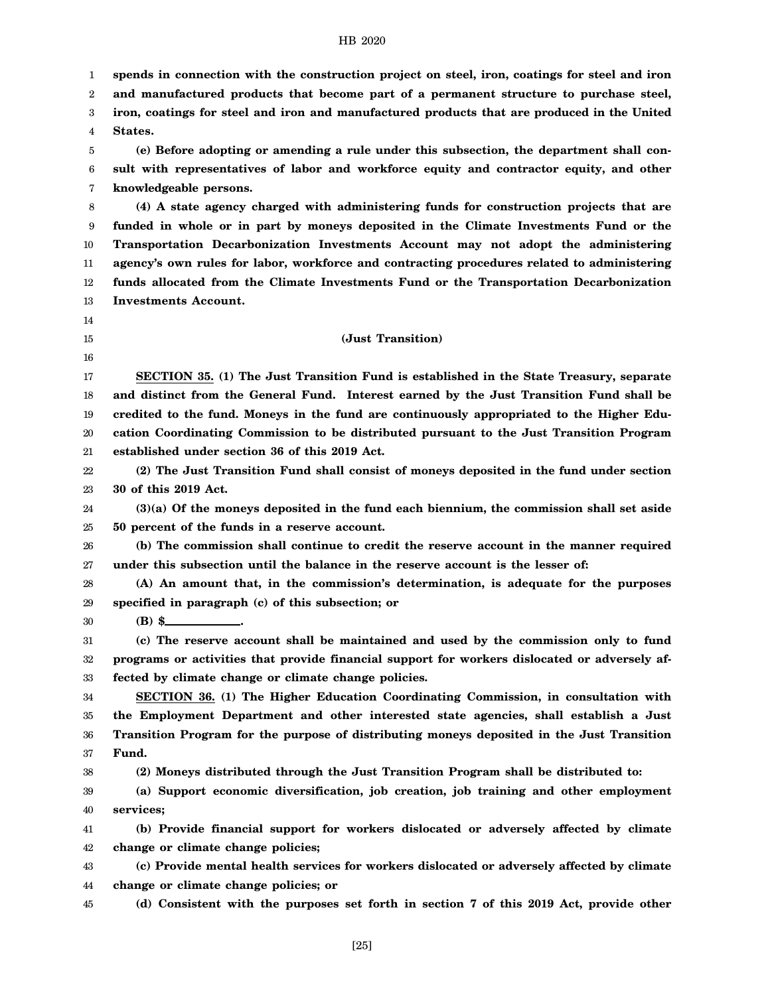1 2 3 4 5 6 7 8 9 10 11 12 13 14 15 16 17 18 19 20 21 22 23 24 25 26 27 28 29 30 31 32 33 34 35 36 37 38 39 40 41 42 43 44 45 **spends in connection with the construction project on steel, iron, coatings for steel and iron and manufactured products that become part of a permanent structure to purchase steel, iron, coatings for steel and iron and manufactured products that are produced in the United States. (e) Before adopting or amending a rule under this subsection, the department shall consult with representatives of labor and workforce equity and contractor equity, and other knowledgeable persons. (4) A state agency charged with administering funds for construction projects that are funded in whole or in part by moneys deposited in the Climate Investments Fund or the Transportation Decarbonization Investments Account may not adopt the administering agency's own rules for labor, workforce and contracting procedures related to administering funds allocated from the Climate Investments Fund or the Transportation Decarbonization Investments Account. (Just Transition) SECTION 35. (1) The Just Transition Fund is established in the State Treasury, separate and distinct from the General Fund. Interest earned by the Just Transition Fund shall be credited to the fund. Moneys in the fund are continuously appropriated to the Higher Education Coordinating Commission to be distributed pursuant to the Just Transition Program established under section 36 of this 2019 Act. (2) The Just Transition Fund shall consist of moneys deposited in the fund under section 30 of this 2019 Act. (3)(a) Of the moneys deposited in the fund each biennium, the commission shall set aside 50 percent of the funds in a reserve account. (b) The commission shall continue to credit the reserve account in the manner required under this subsection until the balance in the reserve account is the lesser of: (A) An amount that, in the commission's determination, is adequate for the purposes specified in paragraph (c) of this subsection; or (B) \$ . (c) The reserve account shall be maintained and used by the commission only to fund programs or activities that provide financial support for workers dislocated or adversely affected by climate change or climate change policies. SECTION 36. (1) The Higher Education Coordinating Commission, in consultation with the Employment Department and other interested state agencies, shall establish a Just Transition Program for the purpose of distributing moneys deposited in the Just Transition Fund. (2) Moneys distributed through the Just Transition Program shall be distributed to: (a) Support economic diversification, job creation, job training and other employment services; (b) Provide financial support for workers dislocated or adversely affected by climate change or climate change policies; (c) Provide mental health services for workers dislocated or adversely affected by climate change or climate change policies; or (d) Consistent with the purposes set forth in section 7 of this 2019 Act, provide other**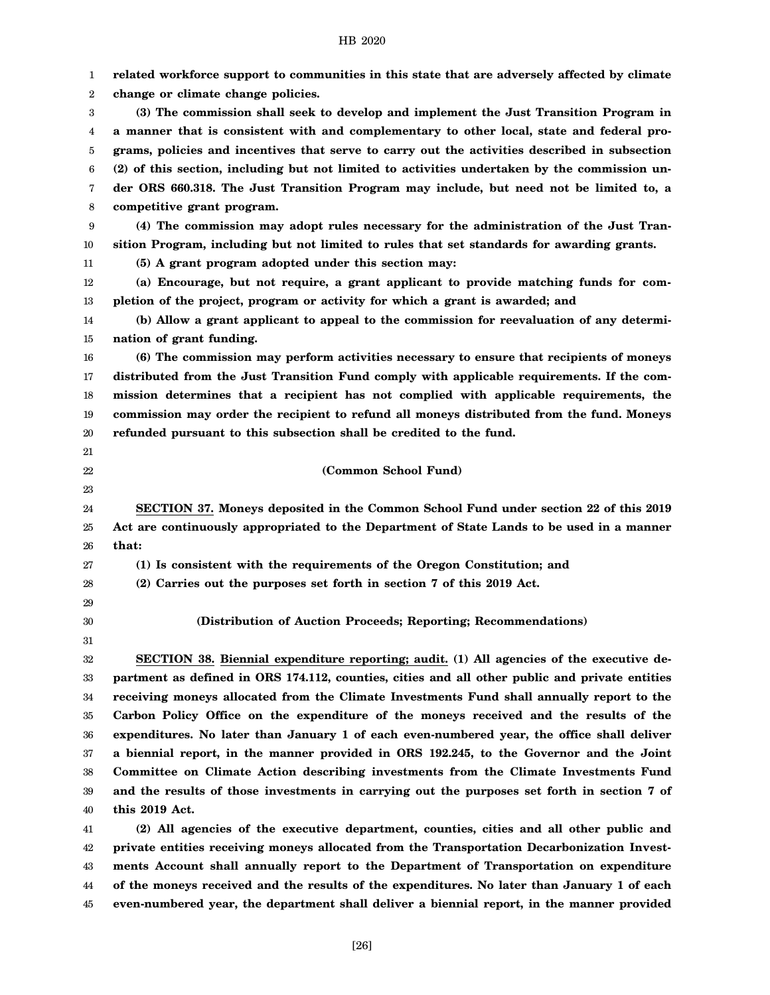| 1  | related workforce support to communities in this state that are adversely affected by climate  |
|----|------------------------------------------------------------------------------------------------|
| 2  | change or climate change policies.                                                             |
| 3  | (3) The commission shall seek to develop and implement the Just Transition Program in          |
| 4  | a manner that is consistent with and complementary to other local, state and federal pro-      |
| 5  | grams, policies and incentives that serve to carry out the activities described in subsection  |
| 6  | (2) of this section, including but not limited to activities undertaken by the commission un-  |
| 7  | der ORS 660.318. The Just Transition Program may include, but need not be limited to, a        |
| 8  | competitive grant program.                                                                     |
| 9  | (4) The commission may adopt rules necessary for the administration of the Just Tran-          |
| 10 | sition Program, including but not limited to rules that set standards for awarding grants.     |
| 11 | (5) A grant program adopted under this section may:                                            |
| 12 | (a) Encourage, but not require, a grant applicant to provide matching funds for com-           |
| 13 | pletion of the project, program or activity for which a grant is awarded; and                  |
| 14 | (b) Allow a grant applicant to appeal to the commission for reevaluation of any determi-       |
| 15 | nation of grant funding.                                                                       |
| 16 | (6) The commission may perform activities necessary to ensure that recipients of moneys        |
| 17 | distributed from the Just Transition Fund comply with applicable requirements. If the com-     |
| 18 | mission determines that a recipient has not complied with applicable requirements, the         |
| 19 | commission may order the recipient to refund all moneys distributed from the fund. Moneys      |
| 20 | refunded pursuant to this subsection shall be credited to the fund.                            |
| 21 |                                                                                                |
| 22 | (Common School Fund)                                                                           |
| 23 |                                                                                                |
| 24 | SECTION 37. Moneys deposited in the Common School Fund under section 22 of this 2019           |
| 25 | Act are continuously appropriated to the Department of State Lands to be used in a manner      |
| 26 | that:                                                                                          |
| 27 | (1) Is consistent with the requirements of the Oregon Constitution; and                        |
| 28 | (2) Carries out the purposes set forth in section 7 of this 2019 Act.                          |
| 29 |                                                                                                |
| 30 | (Distribution of Auction Proceeds; Reporting; Recommendations)                                 |
| 31 |                                                                                                |
| 32 | SECTION 38. Biennial expenditure reporting; audit. (1) All agencies of the executive de-       |
| 33 | partment as defined in ORS 174.112, counties, cities and all other public and private entities |
| 34 | receiving moneys allocated from the Climate Investments Fund shall annually report to the      |
| 35 | Carbon Policy Office on the expenditure of the moneys received and the results of the          |
| 36 | expenditures. No later than January 1 of each even-numbered year, the office shall deliver     |
| 37 | a biennial report, in the manner provided in ORS 192.245, to the Governor and the Joint        |
| 38 |                                                                                                |
| 39 | Committee on Climate Action describing investments from the Climate Investments Fund           |
|    | and the results of those investments in carrying out the purposes set forth in section 7 of    |
| 40 | this 2019 Act.                                                                                 |
| 41 | (2) All agencies of the executive department, counties, cities and all other public and        |
| 42 | private entities receiving moneys allocated from the Transportation Decarbonization Invest-    |

44 45 **of the moneys received and the results of the expenditures. No later than January 1 of each even-numbered year, the department shall deliver a biennial report, in the manner provided**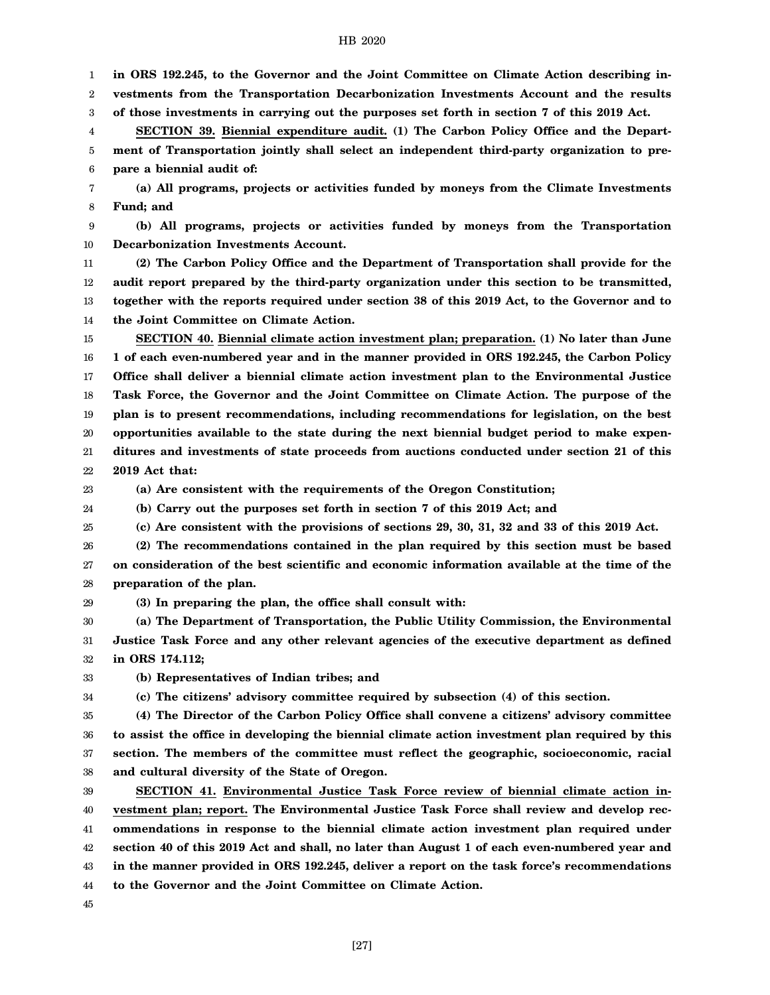1 **in ORS 192.245, to the Governor and the Joint Committee on Climate Action describing in-**

2 3 **vestments from the Transportation Decarbonization Investments Account and the results of those investments in carrying out the purposes set forth in section 7 of this 2019 Act.**

4 **SECTION 39. Biennial expenditure audit. (1) The Carbon Policy Office and the Depart-**

5 6 **ment of Transportation jointly shall select an independent third-party organization to prepare a biennial audit of:**

7 8 **(a) All programs, projects or activities funded by moneys from the Climate Investments Fund; and**

9 10 **(b) All programs, projects or activities funded by moneys from the Transportation Decarbonization Investments Account.**

11 12 13 14 **(2) The Carbon Policy Office and the Department of Transportation shall provide for the audit report prepared by the third-party organization under this section to be transmitted, together with the reports required under section 38 of this 2019 Act, to the Governor and to the Joint Committee on Climate Action.**

15 16 17 18 19 20 21 22 **SECTION 40. Biennial climate action investment plan; preparation. (1) No later than June 1 of each even-numbered year and in the manner provided in ORS 192.245, the Carbon Policy Office shall deliver a biennial climate action investment plan to the Environmental Justice Task Force, the Governor and the Joint Committee on Climate Action. The purpose of the plan is to present recommendations, including recommendations for legislation, on the best opportunities available to the state during the next biennial budget period to make expenditures and investments of state proceeds from auctions conducted under section 21 of this 2019 Act that:**

23

**(a) Are consistent with the requirements of the Oregon Constitution;**

24 **(b) Carry out the purposes set forth in section 7 of this 2019 Act; and**

25 **(c) Are consistent with the provisions of sections 29, 30, 31, 32 and 33 of this 2019 Act.**

26 27 28 **(2) The recommendations contained in the plan required by this section must be based on consideration of the best scientific and economic information available at the time of the preparation of the plan.**

29 **(3) In preparing the plan, the office shall consult with:**

30 31 32 **(a) The Department of Transportation, the Public Utility Commission, the Environmental Justice Task Force and any other relevant agencies of the executive department as defined in ORS 174.112;**

33 **(b) Representatives of Indian tribes; and**

34

**(c) The citizens' advisory committee required by subsection (4) of this section.**

35 36 37 38 **(4) The Director of the Carbon Policy Office shall convene a citizens' advisory committee to assist the office in developing the biennial climate action investment plan required by this section. The members of the committee must reflect the geographic, socioeconomic, racial and cultural diversity of the State of Oregon.**

39 40 41 42 43 44 **SECTION 41. Environmental Justice Task Force review of biennial climate action investment plan; report. The Environmental Justice Task Force shall review and develop recommendations in response to the biennial climate action investment plan required under section 40 of this 2019 Act and shall, no later than August 1 of each even-numbered year and in the manner provided in ORS 192.245, deliver a report on the task force's recommendations to the Governor and the Joint Committee on Climate Action.**

45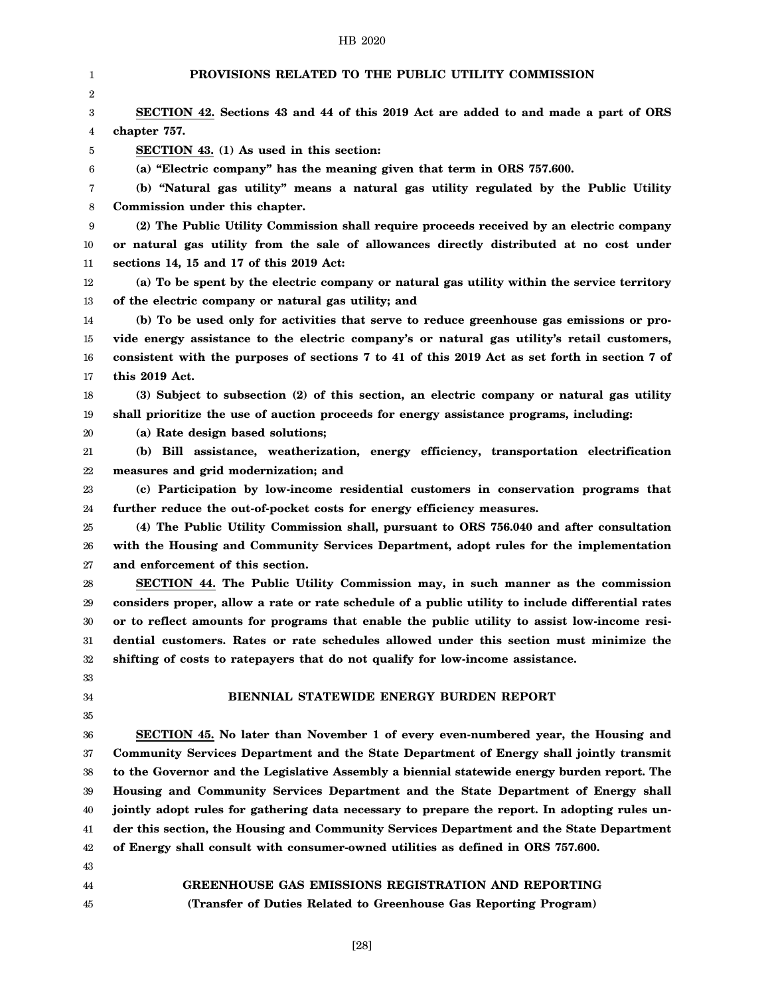| 1        | PROVISIONS RELATED TO THE PUBLIC UTILITY COMMISSION                                                                                                                          |
|----------|------------------------------------------------------------------------------------------------------------------------------------------------------------------------------|
| 2        |                                                                                                                                                                              |
| 3        | SECTION 42. Sections 43 and 44 of this 2019 Act are added to and made a part of ORS                                                                                          |
| 4        | chapter 757.                                                                                                                                                                 |
| 5        | SECTION 43. (1) As used in this section:                                                                                                                                     |
| 6        | (a) "Electric company" has the meaning given that term in ORS 757.600.                                                                                                       |
| 7        | (b) "Natural gas utility" means a natural gas utility regulated by the Public Utility                                                                                        |
| 8        | Commission under this chapter.                                                                                                                                               |
| 9        | (2) The Public Utility Commission shall require proceeds received by an electric company                                                                                     |
| 10       | or natural gas utility from the sale of allowances directly distributed at no cost under                                                                                     |
| 11       | sections 14, 15 and 17 of this 2019 Act:                                                                                                                                     |
| 12       | (a) To be spent by the electric company or natural gas utility within the service territory                                                                                  |
| 13       | of the electric company or natural gas utility; and                                                                                                                          |
| 14       | (b) To be used only for activities that serve to reduce greenhouse gas emissions or pro-                                                                                     |
| 15       | vide energy assistance to the electric company's or natural gas utility's retail customers,                                                                                  |
| 16       | consistent with the purposes of sections 7 to 41 of this 2019 Act as set forth in section 7 of                                                                               |
| 17       | this 2019 Act.                                                                                                                                                               |
| 18       | (3) Subject to subsection (2) of this section, an electric company or natural gas utility                                                                                    |
| 19       | shall prioritize the use of auction proceeds for energy assistance programs, including:                                                                                      |
| 20       | (a) Rate design based solutions;                                                                                                                                             |
| 21       | (b) Bill assistance, weatherization, energy efficiency, transportation electrification                                                                                       |
| 22       | measures and grid modernization; and                                                                                                                                         |
| 23       | (c) Participation by low-income residential customers in conservation programs that                                                                                          |
| 24       | further reduce the out-of-pocket costs for energy efficiency measures.                                                                                                       |
| 25       | (4) The Public Utility Commission shall, pursuant to ORS 756.040 and after consultation                                                                                      |
| 26       | with the Housing and Community Services Department, adopt rules for the implementation                                                                                       |
| 27       | and enforcement of this section.                                                                                                                                             |
| 28       | SECTION 44. The Public Utility Commission may, in such manner as the commission                                                                                              |
| 29       | considers proper, allow a rate or rate schedule of a public utility to include differential rates                                                                            |
| 30       | or to reflect amounts for programs that enable the public utility to assist low-income resi-                                                                                 |
| 31       | dential customers. Rates or rate schedules allowed under this section must minimize the                                                                                      |
| 32       | shifting of costs to ratepayers that do not qualify for low-income assistance.                                                                                               |
| 33       |                                                                                                                                                                              |
| 34       | BIENNIAL STATEWIDE ENERGY BURDEN REPORT                                                                                                                                      |
| 35       |                                                                                                                                                                              |
| 36       | SECTION 45. No later than November 1 of every even-numbered year, the Housing and                                                                                            |
| 37       | Community Services Department and the State Department of Energy shall jointly transmit                                                                                      |
| 38       | to the Governor and the Legislative Assembly a biennial statewide energy burden report. The                                                                                  |
| 39       | Housing and Community Services Department and the State Department of Energy shall                                                                                           |
| 40       | jointly adopt rules for gathering data necessary to prepare the report. In adopting rules un-                                                                                |
| 41<br>42 | der this section, the Housing and Community Services Department and the State Department<br>of Energy shall consult with consumer-owned utilities as defined in ORS 757.600. |
| 43       |                                                                                                                                                                              |
| 44       | <b>GREENHOUSE GAS EMISSIONS REGISTRATION AND REPORTING</b>                                                                                                                   |
| 45       | (Transfer of Duties Related to Greenhouse Gas Reporting Program)                                                                                                             |
|          |                                                                                                                                                                              |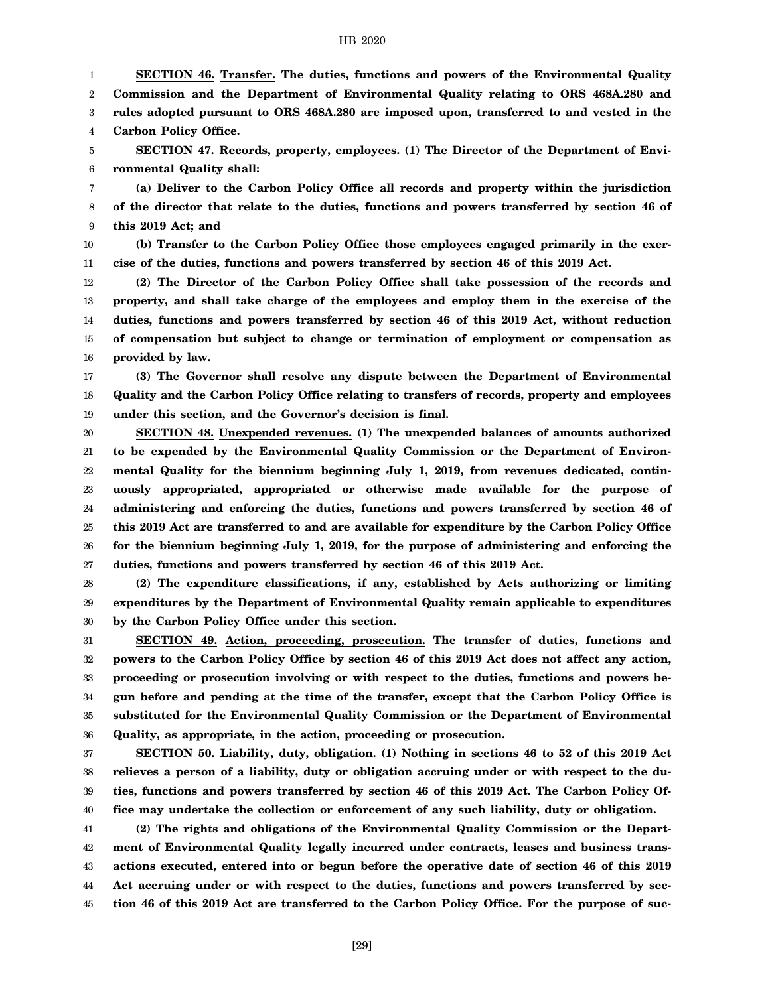1 2 3 4 **SECTION 46. Transfer. The duties, functions and powers of the Environmental Quality Commission and the Department of Environmental Quality relating to ORS 468A.280 and rules adopted pursuant to ORS 468A.280 are imposed upon, transferred to and vested in the Carbon Policy Office.**

5 6 **SECTION 47. Records, property, employees. (1) The Director of the Department of Environmental Quality shall:**

7 8 9 **(a) Deliver to the Carbon Policy Office all records and property within the jurisdiction of the director that relate to the duties, functions and powers transferred by section 46 of this 2019 Act; and**

10 11 **(b) Transfer to the Carbon Policy Office those employees engaged primarily in the exercise of the duties, functions and powers transferred by section 46 of this 2019 Act.**

12 13 14 15 16 **(2) The Director of the Carbon Policy Office shall take possession of the records and property, and shall take charge of the employees and employ them in the exercise of the duties, functions and powers transferred by section 46 of this 2019 Act, without reduction of compensation but subject to change or termination of employment or compensation as provided by law.**

17 18 19 **(3) The Governor shall resolve any dispute between the Department of Environmental Quality and the Carbon Policy Office relating to transfers of records, property and employees under this section, and the Governor's decision is final.**

20 21 22 23 24 25 26 27 **SECTION 48. Unexpended revenues. (1) The unexpended balances of amounts authorized to be expended by the Environmental Quality Commission or the Department of Environmental Quality for the biennium beginning July 1, 2019, from revenues dedicated, continuously appropriated, appropriated or otherwise made available for the purpose of administering and enforcing the duties, functions and powers transferred by section 46 of this 2019 Act are transferred to and are available for expenditure by the Carbon Policy Office for the biennium beginning July 1, 2019, for the purpose of administering and enforcing the duties, functions and powers transferred by section 46 of this 2019 Act.**

28 29 30 **(2) The expenditure classifications, if any, established by Acts authorizing or limiting expenditures by the Department of Environmental Quality remain applicable to expenditures by the Carbon Policy Office under this section.**

31 32 33 34 35 36 **SECTION 49. Action, proceeding, prosecution. The transfer of duties, functions and powers to the Carbon Policy Office by section 46 of this 2019 Act does not affect any action, proceeding or prosecution involving or with respect to the duties, functions and powers begun before and pending at the time of the transfer, except that the Carbon Policy Office is substituted for the Environmental Quality Commission or the Department of Environmental Quality, as appropriate, in the action, proceeding or prosecution.**

37 38 39 40 **SECTION 50. Liability, duty, obligation. (1) Nothing in sections 46 to 52 of this 2019 Act relieves a person of a liability, duty or obligation accruing under or with respect to the duties, functions and powers transferred by section 46 of this 2019 Act. The Carbon Policy Office may undertake the collection or enforcement of any such liability, duty or obligation.**

41 42 43 44 45 **(2) The rights and obligations of the Environmental Quality Commission or the Department of Environmental Quality legally incurred under contracts, leases and business transactions executed, entered into or begun before the operative date of section 46 of this 2019 Act accruing under or with respect to the duties, functions and powers transferred by section 46 of this 2019 Act are transferred to the Carbon Policy Office. For the purpose of suc-**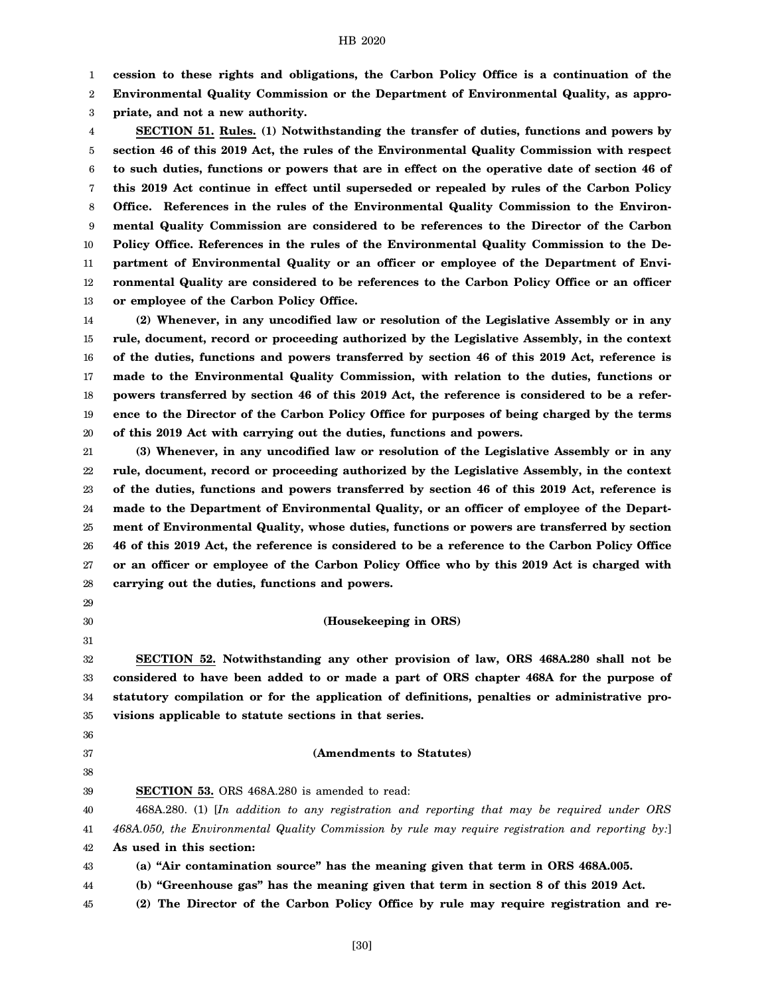1 **cession to these rights and obligations, the Carbon Policy Office is a continuation of the**

2 **Environmental Quality Commission or the Department of Environmental Quality, as appro-**

3 **priate, and not a new authority.**

4 5 6 7 8 9 10 11 12 13 **SECTION 51. Rules. (1) Notwithstanding the transfer of duties, functions and powers by section 46 of this 2019 Act, the rules of the Environmental Quality Commission with respect to such duties, functions or powers that are in effect on the operative date of section 46 of this 2019 Act continue in effect until superseded or repealed by rules of the Carbon Policy Office. References in the rules of the Environmental Quality Commission to the Environmental Quality Commission are considered to be references to the Director of the Carbon Policy Office. References in the rules of the Environmental Quality Commission to the Department of Environmental Quality or an officer or employee of the Department of Environmental Quality are considered to be references to the Carbon Policy Office or an officer or employee of the Carbon Policy Office.**

14 15 16 17 18 19 20 **(2) Whenever, in any uncodified law or resolution of the Legislative Assembly or in any rule, document, record or proceeding authorized by the Legislative Assembly, in the context of the duties, functions and powers transferred by section 46 of this 2019 Act, reference is made to the Environmental Quality Commission, with relation to the duties, functions or powers transferred by section 46 of this 2019 Act, the reference is considered to be a reference to the Director of the Carbon Policy Office for purposes of being charged by the terms of this 2019 Act with carrying out the duties, functions and powers.**

21 22 23 24 25 26 27 28 **(3) Whenever, in any uncodified law or resolution of the Legislative Assembly or in any rule, document, record or proceeding authorized by the Legislative Assembly, in the context of the duties, functions and powers transferred by section 46 of this 2019 Act, reference is made to the Department of Environmental Quality, or an officer of employee of the Department of Environmental Quality, whose duties, functions or powers are transferred by section 46 of this 2019 Act, the reference is considered to be a reference to the Carbon Policy Office or an officer or employee of the Carbon Policy Office who by this 2019 Act is charged with carrying out the duties, functions and powers.**

- 29
- 30 31

**(Housekeeping in ORS)**

32 33 34 35 **SECTION 52. Notwithstanding any other provision of law, ORS 468A.280 shall not be considered to have been added to or made a part of ORS chapter 468A for the purpose of statutory compilation or for the application of definitions, penalties or administrative provisions applicable to statute sections in that series.**

36 37

38 39

# **(Amendments to Statutes)**

**SECTION 53.** ORS 468A.280 is amended to read:

40 41 42 468A.280. (1) [*In addition to any registration and reporting that may be required under ORS 468A.050, the Environmental Quality Commission by rule may require registration and reporting by:*] **As used in this section:**

- 43 **(a) "Air contamination source" has the meaning given that term in ORS 468A.005.**
- 44 **(b) "Greenhouse gas" has the meaning given that term in section 8 of this 2019 Act.**
- 45 **(2) The Director of the Carbon Policy Office by rule may require registration and re-**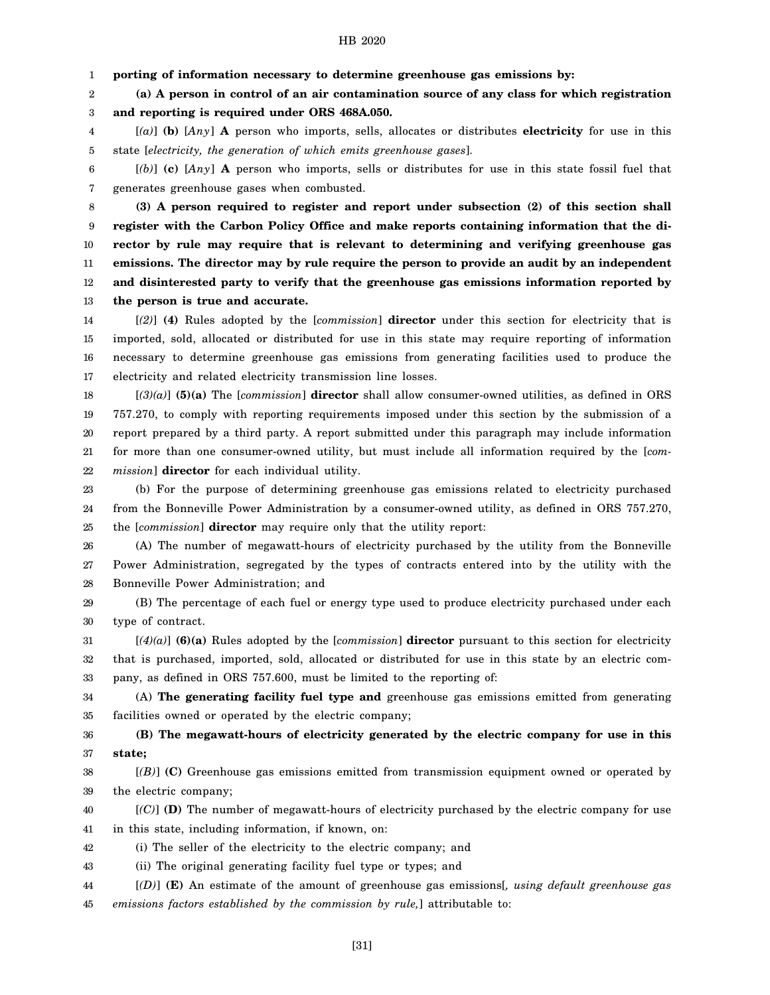1 **porting of information necessary to determine greenhouse gas emissions by:**

2 3 **(a) A person in control of an air contamination source of any class for which registration and reporting is required under ORS 468A.050.**

4 5 [*(a)*] **(b)** [*Any*] **A** person who imports, sells, allocates or distributes **electricity** for use in this state [*electricity, the generation of which emits greenhouse gases*].

6 7 [*(b)*] **(c)** [*Any*] **A** person who imports, sells or distributes for use in this state fossil fuel that generates greenhouse gases when combusted.

8 9 10 11 12 13 **(3) A person required to register and report under subsection (2) of this section shall register with the Carbon Policy Office and make reports containing information that the director by rule may require that is relevant to determining and verifying greenhouse gas emissions. The director may by rule require the person to provide an audit by an independent and disinterested party to verify that the greenhouse gas emissions information reported by the person is true and accurate.**

14 15 16 17 [*(2)*] **(4)** Rules adopted by the [*commission*] **director** under this section for electricity that is imported, sold, allocated or distributed for use in this state may require reporting of information necessary to determine greenhouse gas emissions from generating facilities used to produce the electricity and related electricity transmission line losses.

18 19 20 21 22 [*(3)(a)*] **(5)(a)** The [*commission*] **director** shall allow consumer-owned utilities, as defined in ORS 757.270, to comply with reporting requirements imposed under this section by the submission of a report prepared by a third party. A report submitted under this paragraph may include information for more than one consumer-owned utility, but must include all information required by the [*commission*] **director** for each individual utility.

23 24 25 (b) For the purpose of determining greenhouse gas emissions related to electricity purchased from the Bonneville Power Administration by a consumer-owned utility, as defined in ORS 757.270, the [*commission*] **director** may require only that the utility report:

26 27 28 (A) The number of megawatt-hours of electricity purchased by the utility from the Bonneville Power Administration, segregated by the types of contracts entered into by the utility with the Bonneville Power Administration; and

29 30 (B) The percentage of each fuel or energy type used to produce electricity purchased under each type of contract.

31 32 33 [*(4)(a)*] **(6)(a)** Rules adopted by the [*commission*] **director** pursuant to this section for electricity that is purchased, imported, sold, allocated or distributed for use in this state by an electric company, as defined in ORS 757.600, must be limited to the reporting of:

34 35 (A) **The generating facility fuel type and** greenhouse gas emissions emitted from generating facilities owned or operated by the electric company;

36 37 **(B) The megawatt-hours of electricity generated by the electric company for use in this state;**

38 39 [*(B)*] **(C)** Greenhouse gas emissions emitted from transmission equipment owned or operated by the electric company;

40 41 [*(C)*] **(D)** The number of megawatt-hours of electricity purchased by the electric company for use in this state, including information, if known, on:

42 (i) The seller of the electricity to the electric company; and

43 (ii) The original generating facility fuel type or types; and

44 45 [*(D)*] **(E)** An estimate of the amount of greenhouse gas emissions[*, using default greenhouse gas emissions factors established by the commission by rule,*] attributable to: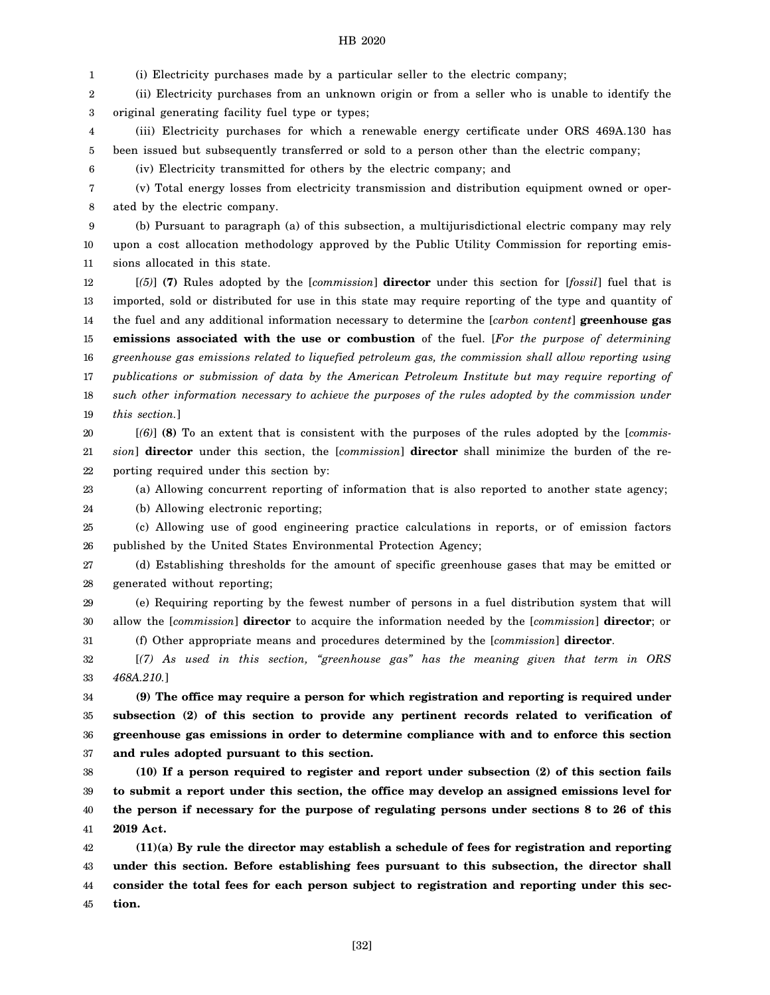1 (i) Electricity purchases made by a particular seller to the electric company;

2 3 (ii) Electricity purchases from an unknown origin or from a seller who is unable to identify the original generating facility fuel type or types;

4 5 (iii) Electricity purchases for which a renewable energy certificate under ORS 469A.130 has been issued but subsequently transferred or sold to a person other than the electric company;

(iv) Electricity transmitted for others by the electric company; and

7 8 (v) Total energy losses from electricity transmission and distribution equipment owned or operated by the electric company.

9 10 11 (b) Pursuant to paragraph (a) of this subsection, a multijurisdictional electric company may rely upon a cost allocation methodology approved by the Public Utility Commission for reporting emissions allocated in this state.

12 13 14 15 16 17 18 19 [*(5)*] **(7)** Rules adopted by the [*commission*] **director** under this section for [*fossil*] fuel that is imported, sold or distributed for use in this state may require reporting of the type and quantity of the fuel and any additional information necessary to determine the [*carbon content*] **greenhouse gas emissions associated with the use or combustion** of the fuel. [*For the purpose of determining greenhouse gas emissions related to liquefied petroleum gas, the commission shall allow reporting using publications or submission of data by the American Petroleum Institute but may require reporting of such other information necessary to achieve the purposes of the rules adopted by the commission under this section.*]

20 21 22 [*(6)*] **(8)** To an extent that is consistent with the purposes of the rules adopted by the [*commission*] **director** under this section, the [*commission*] **director** shall minimize the burden of the reporting required under this section by:

23 (a) Allowing concurrent reporting of information that is also reported to another state agency;

24 (b) Allowing electronic reporting;

6

25 26 (c) Allowing use of good engineering practice calculations in reports, or of emission factors published by the United States Environmental Protection Agency;

27 28 (d) Establishing thresholds for the amount of specific greenhouse gases that may be emitted or generated without reporting;

29 30 31 (e) Requiring reporting by the fewest number of persons in a fuel distribution system that will allow the [*commission*] **director** to acquire the information needed by the [*commission*] **director**; or (f) Other appropriate means and procedures determined by the [*commission*] **director**.

32 33 [*(7) As used in this section, "greenhouse gas" has the meaning given that term in ORS 468A.210.*]

34 35 36 37 **(9) The office may require a person for which registration and reporting is required under subsection (2) of this section to provide any pertinent records related to verification of greenhouse gas emissions in order to determine compliance with and to enforce this section and rules adopted pursuant to this section.**

38 39 40 41 **(10) If a person required to register and report under subsection (2) of this section fails to submit a report under this section, the office may develop an assigned emissions level for the person if necessary for the purpose of regulating persons under sections 8 to 26 of this 2019 Act.**

42 43 44 45 **(11)(a) By rule the director may establish a schedule of fees for registration and reporting under this section. Before establishing fees pursuant to this subsection, the director shall consider the total fees for each person subject to registration and reporting under this section.**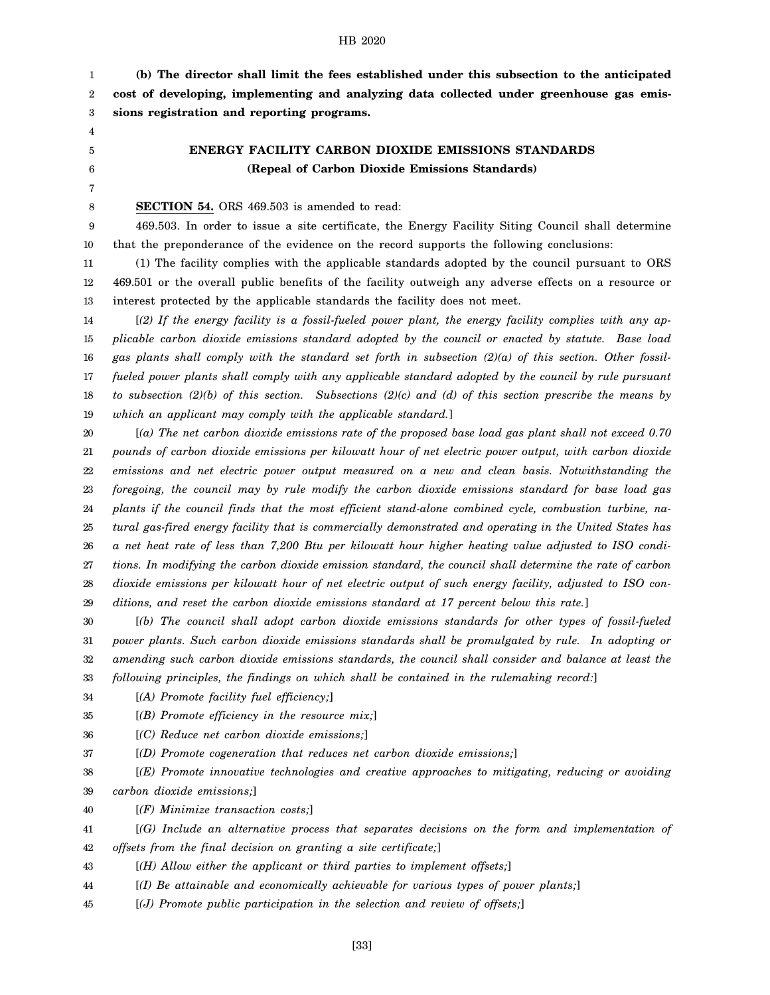1 2 3 **(b) The director shall limit the fees established under this subsection to the anticipated cost of developing, implementing and analyzing data collected under greenhouse gas emissions registration and reporting programs.**

- 4
- 5 6

**ENERGY FACILITY CARBON DIOXIDE EMISSIONS STANDARDS (Repeal of Carbon Dioxide Emissions Standards)**

7 8

**SECTION 54.** ORS 469.503 is amended to read:

9 10 469.503. In order to issue a site certificate, the Energy Facility Siting Council shall determine that the preponderance of the evidence on the record supports the following conclusions:

11 12 13 (1) The facility complies with the applicable standards adopted by the council pursuant to ORS 469.501 or the overall public benefits of the facility outweigh any adverse effects on a resource or interest protected by the applicable standards the facility does not meet.

14 15 16 17 18 19 [*(2) If the energy facility is a fossil-fueled power plant, the energy facility complies with any applicable carbon dioxide emissions standard adopted by the council or enacted by statute. Base load gas plants shall comply with the standard set forth in subsection (2)(a) of this section. Other fossilfueled power plants shall comply with any applicable standard adopted by the council by rule pursuant to subsection (2)(b) of this section. Subsections (2)(c) and (d) of this section prescribe the means by which an applicant may comply with the applicable standard.*]

20 21 22 23 24 25 26 27 28 29 [*(a) The net carbon dioxide emissions rate of the proposed base load gas plant shall not exceed 0.70 pounds of carbon dioxide emissions per kilowatt hour of net electric power output, with carbon dioxide emissions and net electric power output measured on a new and clean basis. Notwithstanding the foregoing, the council may by rule modify the carbon dioxide emissions standard for base load gas plants if the council finds that the most efficient stand-alone combined cycle, combustion turbine, natural gas-fired energy facility that is commercially demonstrated and operating in the United States has a net heat rate of less than 7,200 Btu per kilowatt hour higher heating value adjusted to ISO conditions. In modifying the carbon dioxide emission standard, the council shall determine the rate of carbon dioxide emissions per kilowatt hour of net electric output of such energy facility, adjusted to ISO conditions, and reset the carbon dioxide emissions standard at 17 percent below this rate.*]

30 31 32 33 [*(b) The council shall adopt carbon dioxide emissions standards for other types of fossil-fueled power plants. Such carbon dioxide emissions standards shall be promulgated by rule. In adopting or amending such carbon dioxide emissions standards, the council shall consider and balance at least the following principles, the findings on which shall be contained in the rulemaking record:*]

34 [*(A) Promote facility fuel efficiency;*]

35 [*(B) Promote efficiency in the resource mix;*]

36 [*(C) Reduce net carbon dioxide emissions;*]

37 [*(D) Promote cogeneration that reduces net carbon dioxide emissions;*]

38 39 [*(E) Promote innovative technologies and creative approaches to mitigating, reducing or avoiding carbon dioxide emissions;*]

40 [*(F) Minimize transaction costs;*]

41 [*(G) Include an alternative process that separates decisions on the form and implementation of*

42 *offsets from the final decision on granting a site certificate;*]

43 [*(H) Allow either the applicant or third parties to implement offsets;*]

44 [*(I) Be attainable and economically achievable for various types of power plants;*]

45 [*(J) Promote public participation in the selection and review of offsets;*]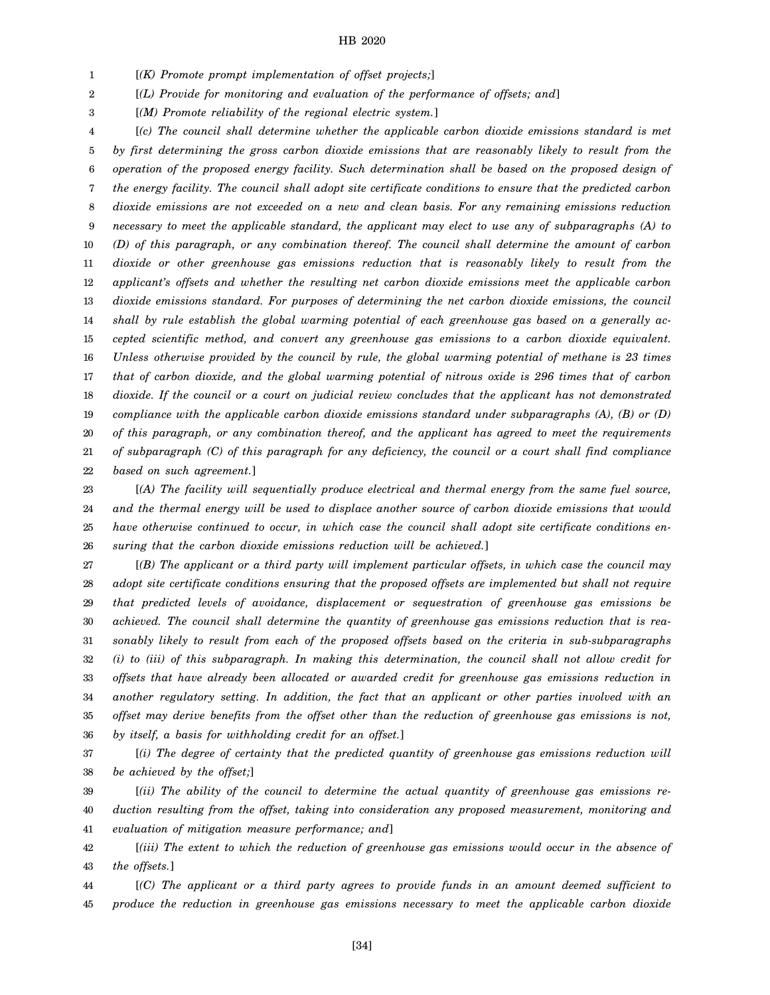1 [*(K) Promote prompt implementation of offset projects;*]

2 [*(L) Provide for monitoring and evaluation of the performance of offsets; and*]

3 [*(M) Promote reliability of the regional electric system.*]

4 5 6 7 8 9 10 11 12 13 14 15 16 17 18 19 20 21 22 [*(c) The council shall determine whether the applicable carbon dioxide emissions standard is met by first determining the gross carbon dioxide emissions that are reasonably likely to result from the operation of the proposed energy facility. Such determination shall be based on the proposed design of the energy facility. The council shall adopt site certificate conditions to ensure that the predicted carbon dioxide emissions are not exceeded on a new and clean basis. For any remaining emissions reduction necessary to meet the applicable standard, the applicant may elect to use any of subparagraphs (A) to (D) of this paragraph, or any combination thereof. The council shall determine the amount of carbon dioxide or other greenhouse gas emissions reduction that is reasonably likely to result from the applicant's offsets and whether the resulting net carbon dioxide emissions meet the applicable carbon dioxide emissions standard. For purposes of determining the net carbon dioxide emissions, the council shall by rule establish the global warming potential of each greenhouse gas based on a generally accepted scientific method, and convert any greenhouse gas emissions to a carbon dioxide equivalent. Unless otherwise provided by the council by rule, the global warming potential of methane is 23 times that of carbon dioxide, and the global warming potential of nitrous oxide is 296 times that of carbon dioxide. If the council or a court on judicial review concludes that the applicant has not demonstrated compliance with the applicable carbon dioxide emissions standard under subparagraphs (A), (B) or (D) of this paragraph, or any combination thereof, and the applicant has agreed to meet the requirements of subparagraph (C) of this paragraph for any deficiency, the council or a court shall find compliance based on such agreement.*]

23 24 25 26 [*(A) The facility will sequentially produce electrical and thermal energy from the same fuel source, and the thermal energy will be used to displace another source of carbon dioxide emissions that would have otherwise continued to occur, in which case the council shall adopt site certificate conditions ensuring that the carbon dioxide emissions reduction will be achieved.*]

27 28 29 30 31 32 33 34 35 36 [*(B) The applicant or a third party will implement particular offsets, in which case the council may adopt site certificate conditions ensuring that the proposed offsets are implemented but shall not require that predicted levels of avoidance, displacement or sequestration of greenhouse gas emissions be achieved. The council shall determine the quantity of greenhouse gas emissions reduction that is reasonably likely to result from each of the proposed offsets based on the criteria in sub-subparagraphs (i) to (iii) of this subparagraph. In making this determination, the council shall not allow credit for offsets that have already been allocated or awarded credit for greenhouse gas emissions reduction in another regulatory setting. In addition, the fact that an applicant or other parties involved with an offset may derive benefits from the offset other than the reduction of greenhouse gas emissions is not, by itself, a basis for withholding credit for an offset.*]

37 38 [*(i) The degree of certainty that the predicted quantity of greenhouse gas emissions reduction will be achieved by the offset;*]

39 40 41 [*(ii) The ability of the council to determine the actual quantity of greenhouse gas emissions reduction resulting from the offset, taking into consideration any proposed measurement, monitoring and evaluation of mitigation measure performance; and*]

42 43 [*(iii) The extent to which the reduction of greenhouse gas emissions would occur in the absence of the offsets.*]

44 45 [*(C) The applicant or a third party agrees to provide funds in an amount deemed sufficient to produce the reduction in greenhouse gas emissions necessary to meet the applicable carbon dioxide*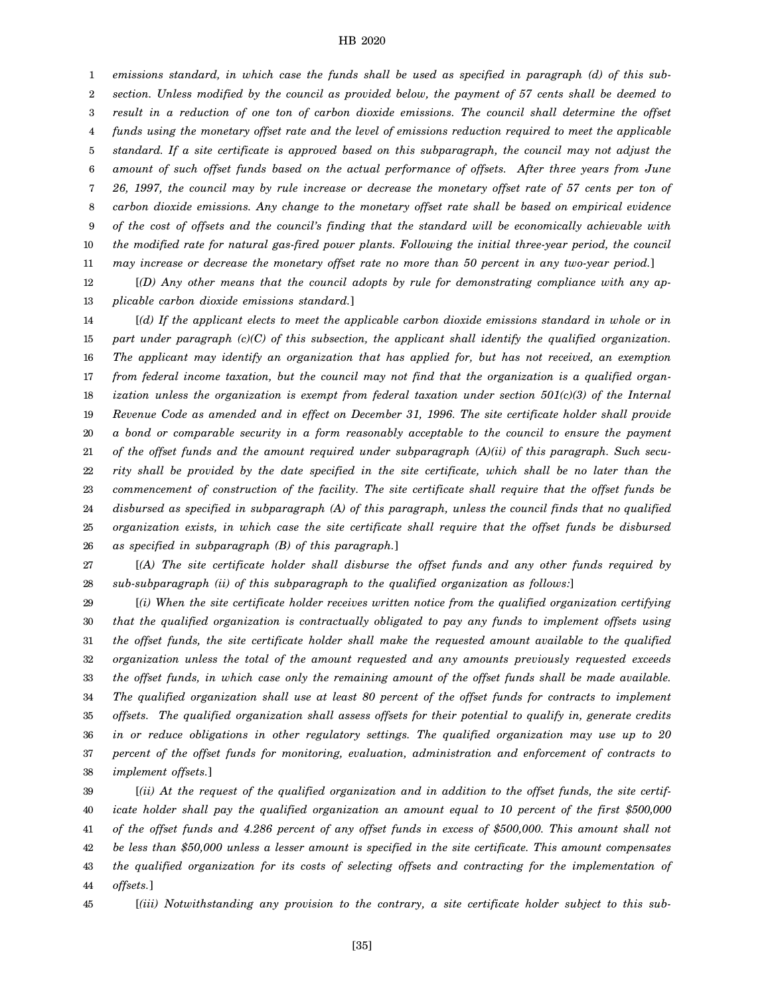1 2 3 4 5 6 7 8 9 10 11 *emissions standard, in which case the funds shall be used as specified in paragraph (d) of this subsection. Unless modified by the council as provided below, the payment of 57 cents shall be deemed to result in a reduction of one ton of carbon dioxide emissions. The council shall determine the offset funds using the monetary offset rate and the level of emissions reduction required to meet the applicable standard. If a site certificate is approved based on this subparagraph, the council may not adjust the amount of such offset funds based on the actual performance of offsets. After three years from June 26, 1997, the council may by rule increase or decrease the monetary offset rate of 57 cents per ton of carbon dioxide emissions. Any change to the monetary offset rate shall be based on empirical evidence of the cost of offsets and the council's finding that the standard will be economically achievable with the modified rate for natural gas-fired power plants. Following the initial three-year period, the council may increase or decrease the monetary offset rate no more than 50 percent in any two-year period.*]

12 13 [*(D) Any other means that the council adopts by rule for demonstrating compliance with any applicable carbon dioxide emissions standard.*]

14 15 16 17 18 19 20 21 22 23 24 25 26 [*(d) If the applicant elects to meet the applicable carbon dioxide emissions standard in whole or in part under paragraph (c)(C) of this subsection, the applicant shall identify the qualified organization. The applicant may identify an organization that has applied for, but has not received, an exemption from federal income taxation, but the council may not find that the organization is a qualified organization unless the organization is exempt from federal taxation under section 501(c)(3) of the Internal Revenue Code as amended and in effect on December 31, 1996. The site certificate holder shall provide a bond or comparable security in a form reasonably acceptable to the council to ensure the payment of the offset funds and the amount required under subparagraph (A)(ii) of this paragraph. Such security shall be provided by the date specified in the site certificate, which shall be no later than the commencement of construction of the facility. The site certificate shall require that the offset funds be disbursed as specified in subparagraph (A) of this paragraph, unless the council finds that no qualified organization exists, in which case the site certificate shall require that the offset funds be disbursed as specified in subparagraph (B) of this paragraph.*]

27 28 [*(A) The site certificate holder shall disburse the offset funds and any other funds required by sub-subparagraph (ii) of this subparagraph to the qualified organization as follows:*]

29 30 31 32 33 34 35 36 37 38 [*(i) When the site certificate holder receives written notice from the qualified organization certifying that the qualified organization is contractually obligated to pay any funds to implement offsets using the offset funds, the site certificate holder shall make the requested amount available to the qualified organization unless the total of the amount requested and any amounts previously requested exceeds the offset funds, in which case only the remaining amount of the offset funds shall be made available. The qualified organization shall use at least 80 percent of the offset funds for contracts to implement offsets. The qualified organization shall assess offsets for their potential to qualify in, generate credits in or reduce obligations in other regulatory settings. The qualified organization may use up to 20 percent of the offset funds for monitoring, evaluation, administration and enforcement of contracts to implement offsets.*]

39 40 41 42 43 44 [*(ii) At the request of the qualified organization and in addition to the offset funds, the site certificate holder shall pay the qualified organization an amount equal to 10 percent of the first \$500,000 of the offset funds and 4.286 percent of any offset funds in excess of \$500,000. This amount shall not be less than \$50,000 unless a lesser amount is specified in the site certificate. This amount compensates the qualified organization for its costs of selecting offsets and contracting for the implementation of offsets.*]

45

[*(iii) Notwithstanding any provision to the contrary, a site certificate holder subject to this sub-*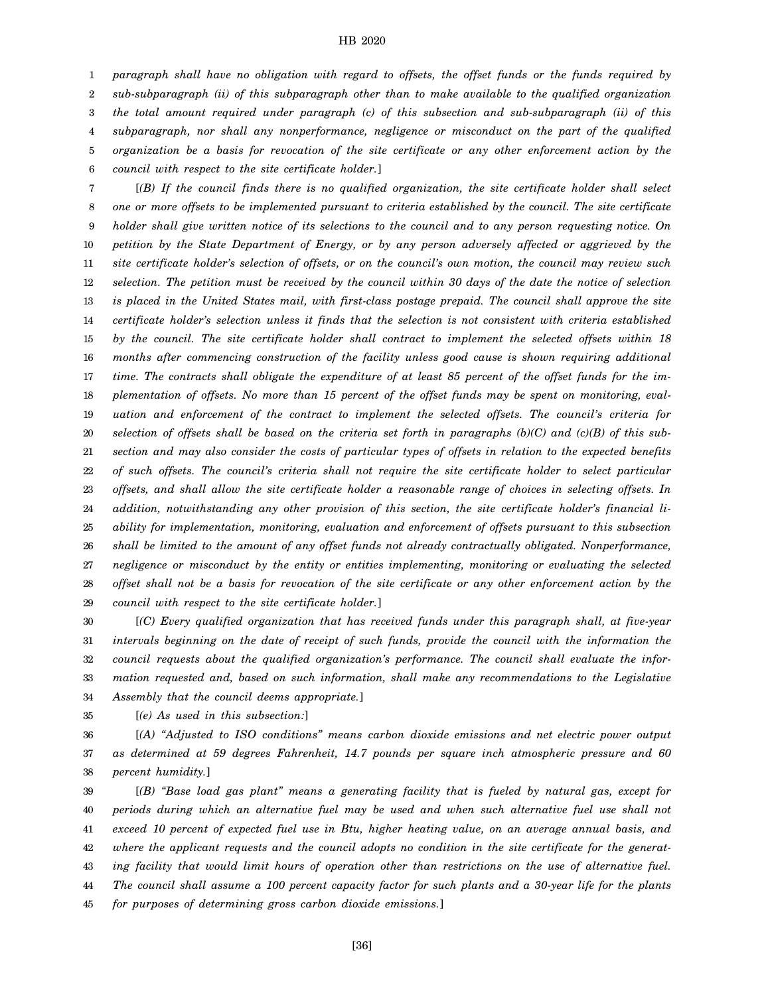1 2 3 4 5 6 *paragraph shall have no obligation with regard to offsets, the offset funds or the funds required by sub-subparagraph (ii) of this subparagraph other than to make available to the qualified organization the total amount required under paragraph (c) of this subsection and sub-subparagraph (ii) of this subparagraph, nor shall any nonperformance, negligence or misconduct on the part of the qualified organization be a basis for revocation of the site certificate or any other enforcement action by the council with respect to the site certificate holder.*]

7 8 9 10 11 12 13 14 15 16 17 18 19 20 21 22 23 24 25 26 27 28 29 [*(B) If the council finds there is no qualified organization, the site certificate holder shall select one or more offsets to be implemented pursuant to criteria established by the council. The site certificate holder shall give written notice of its selections to the council and to any person requesting notice. On petition by the State Department of Energy, or by any person adversely affected or aggrieved by the site certificate holder's selection of offsets, or on the council's own motion, the council may review such selection. The petition must be received by the council within 30 days of the date the notice of selection is placed in the United States mail, with first-class postage prepaid. The council shall approve the site certificate holder's selection unless it finds that the selection is not consistent with criteria established by the council. The site certificate holder shall contract to implement the selected offsets within 18 months after commencing construction of the facility unless good cause is shown requiring additional time. The contracts shall obligate the expenditure of at least 85 percent of the offset funds for the implementation of offsets. No more than 15 percent of the offset funds may be spent on monitoring, evaluation and enforcement of the contract to implement the selected offsets. The council's criteria for selection of offsets shall be based on the criteria set forth in paragraphs (b)(C) and (c)(B) of this subsection and may also consider the costs of particular types of offsets in relation to the expected benefits of such offsets. The council's criteria shall not require the site certificate holder to select particular offsets, and shall allow the site certificate holder a reasonable range of choices in selecting offsets. In addition, notwithstanding any other provision of this section, the site certificate holder's financial liability for implementation, monitoring, evaluation and enforcement of offsets pursuant to this subsection shall be limited to the amount of any offset funds not already contractually obligated. Nonperformance, negligence or misconduct by the entity or entities implementing, monitoring or evaluating the selected offset shall not be a basis for revocation of the site certificate or any other enforcement action by the council with respect to the site certificate holder.*]

30 31 32 33 34 [*(C) Every qualified organization that has received funds under this paragraph shall, at five-year intervals beginning on the date of receipt of such funds, provide the council with the information the council requests about the qualified organization's performance. The council shall evaluate the information requested and, based on such information, shall make any recommendations to the Legislative Assembly that the council deems appropriate.*]

35 [*(e) As used in this subsection:*]

36 37 38 [*(A) "Adjusted to ISO conditions" means carbon dioxide emissions and net electric power output as determined at 59 degrees Fahrenheit, 14.7 pounds per square inch atmospheric pressure and 60 percent humidity.*]

39 40 41 42 43 44 45 [*(B) "Base load gas plant" means a generating facility that is fueled by natural gas, except for periods during which an alternative fuel may be used and when such alternative fuel use shall not exceed 10 percent of expected fuel use in Btu, higher heating value, on an average annual basis, and where the applicant requests and the council adopts no condition in the site certificate for the generating facility that would limit hours of operation other than restrictions on the use of alternative fuel. The council shall assume a 100 percent capacity factor for such plants and a 30-year life for the plants for purposes of determining gross carbon dioxide emissions.*]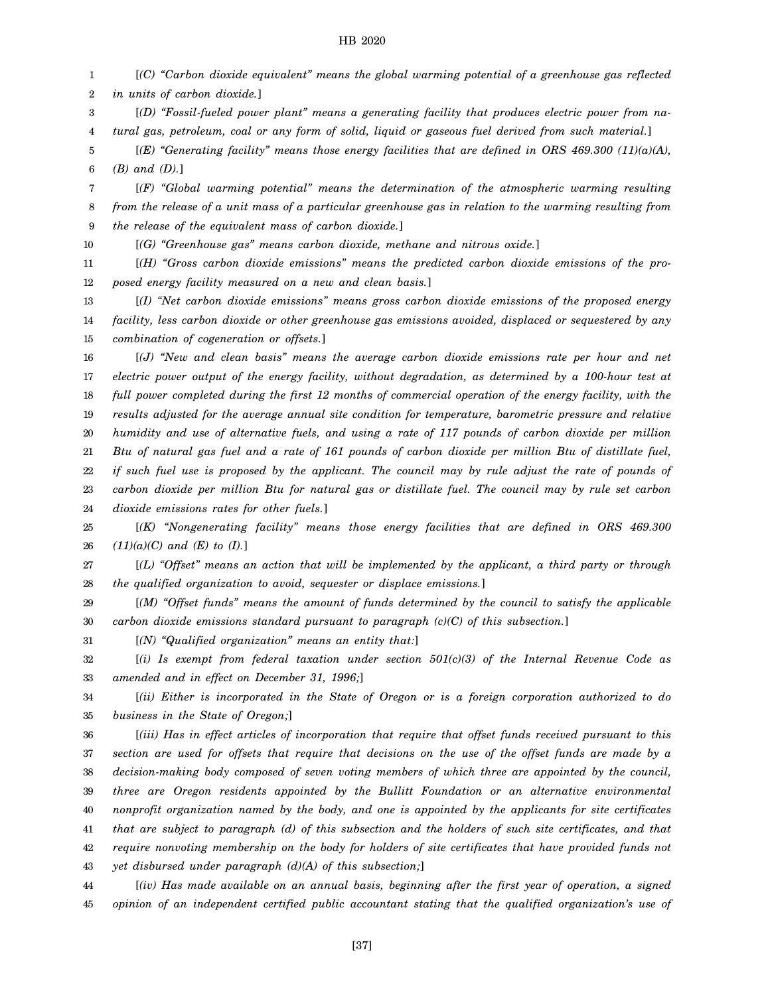1 2 [*(C) "Carbon dioxide equivalent" means the global warming potential of a greenhouse gas reflected in units of carbon dioxide.*]

3 4 [*(D) "Fossil-fueled power plant" means a generating facility that produces electric power from natural gas, petroleum, coal or any form of solid, liquid or gaseous fuel derived from such material.*]

5 6 [*(E) "Generating facility" means those energy facilities that are defined in ORS 469.300 (11)(a)(A), (B) and (D).*]

7 8 9 [*(F) "Global warming potential" means the determination of the atmospheric warming resulting from the release of a unit mass of a particular greenhouse gas in relation to the warming resulting from the release of the equivalent mass of carbon dioxide.*]

10 [*(G) "Greenhouse gas" means carbon dioxide, methane and nitrous oxide.*]

11 12 [*(H) "Gross carbon dioxide emissions" means the predicted carbon dioxide emissions of the proposed energy facility measured on a new and clean basis.*]

13 14 15 [*(I) "Net carbon dioxide emissions" means gross carbon dioxide emissions of the proposed energy facility, less carbon dioxide or other greenhouse gas emissions avoided, displaced or sequestered by any combination of cogeneration or offsets.*]

16 17 18 19 20 21 22 23 24 [*(J) "New and clean basis" means the average carbon dioxide emissions rate per hour and net electric power output of the energy facility, without degradation, as determined by a 100-hour test at full power completed during the first 12 months of commercial operation of the energy facility, with the results adjusted for the average annual site condition for temperature, barometric pressure and relative humidity and use of alternative fuels, and using a rate of 117 pounds of carbon dioxide per million Btu of natural gas fuel and a rate of 161 pounds of carbon dioxide per million Btu of distillate fuel, if such fuel use is proposed by the applicant. The council may by rule adjust the rate of pounds of carbon dioxide per million Btu for natural gas or distillate fuel. The council may by rule set carbon dioxide emissions rates for other fuels.*]

25 26 [*(K) "Nongenerating facility" means those energy facilities that are defined in ORS 469.300 (11)(a)(C) and (E) to (I).*]

27 28 [*(L) "Offset" means an action that will be implemented by the applicant, a third party or through the qualified organization to avoid, sequester or displace emissions.*]

29 30 [*(M) "Offset funds" means the amount of funds determined by the council to satisfy the applicable carbon dioxide emissions standard pursuant to paragraph (c)(C) of this subsection.*]

31 [*(N) "Qualified organization" means an entity that:*]

32 33 [*(i) Is exempt from federal taxation under section 501(c)(3) of the Internal Revenue Code as amended and in effect on December 31, 1996;*]

34 35 [*(ii) Either is incorporated in the State of Oregon or is a foreign corporation authorized to do business in the State of Oregon;*]

36 37 38 39 40 41 42 43 [*(iii) Has in effect articles of incorporation that require that offset funds received pursuant to this section are used for offsets that require that decisions on the use of the offset funds are made by a decision-making body composed of seven voting members of which three are appointed by the council, three are Oregon residents appointed by the Bullitt Foundation or an alternative environmental nonprofit organization named by the body, and one is appointed by the applicants for site certificates that are subject to paragraph (d) of this subsection and the holders of such site certificates, and that require nonvoting membership on the body for holders of site certificates that have provided funds not yet disbursed under paragraph (d)(A) of this subsection;*]

44 45 [*(iv) Has made available on an annual basis, beginning after the first year of operation, a signed opinion of an independent certified public accountant stating that the qualified organization's use of*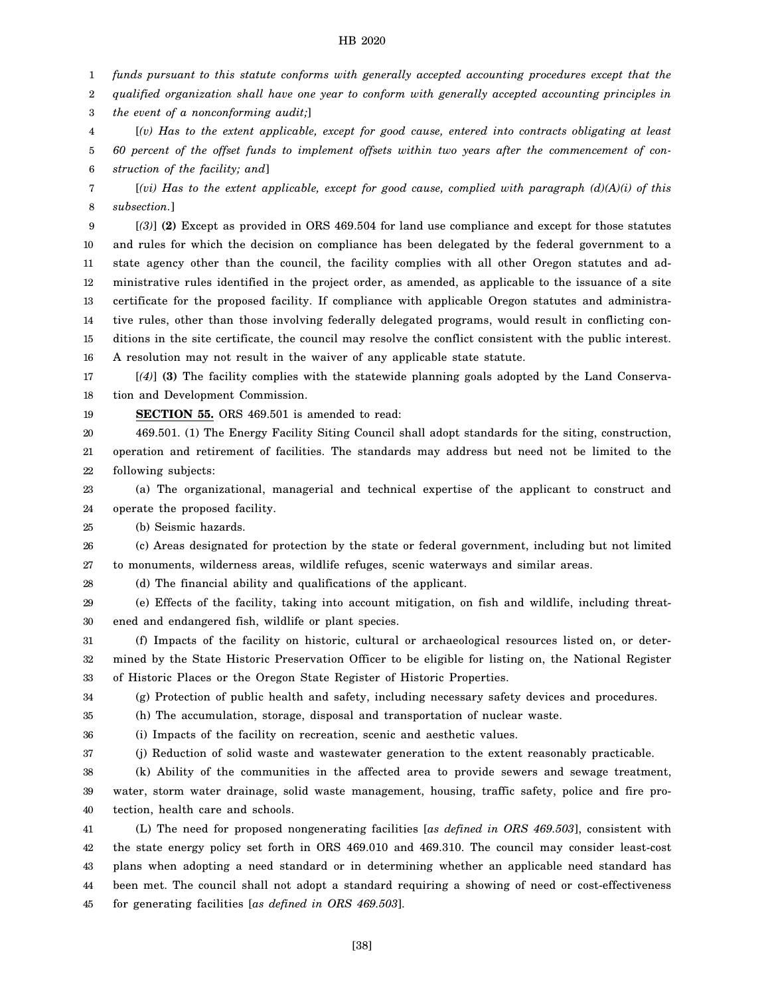1 *funds pursuant to this statute conforms with generally accepted accounting procedures except that the*

2 *qualified organization shall have one year to conform with generally accepted accounting principles in*

3 *the event of a nonconforming audit;*]

4 5 6 [*(v) Has to the extent applicable, except for good cause, entered into contracts obligating at least 60 percent of the offset funds to implement offsets within two years after the commencement of construction of the facility; and*]

7 8 [*(vi) Has to the extent applicable, except for good cause, complied with paragraph (d)(A)(i) of this subsection.*]

9 10 11 12 13 14 15 16 [*(3)*] **(2)** Except as provided in ORS 469.504 for land use compliance and except for those statutes and rules for which the decision on compliance has been delegated by the federal government to a state agency other than the council, the facility complies with all other Oregon statutes and administrative rules identified in the project order, as amended, as applicable to the issuance of a site certificate for the proposed facility. If compliance with applicable Oregon statutes and administrative rules, other than those involving federally delegated programs, would result in conflicting conditions in the site certificate, the council may resolve the conflict consistent with the public interest. A resolution may not result in the waiver of any applicable state statute.

17 18 [*(4)*] **(3)** The facility complies with the statewide planning goals adopted by the Land Conservation and Development Commission.

19 **SECTION 55.** ORS 469.501 is amended to read:

20 21 22 469.501. (1) The Energy Facility Siting Council shall adopt standards for the siting, construction, operation and retirement of facilities. The standards may address but need not be limited to the following subjects:

23 24 (a) The organizational, managerial and technical expertise of the applicant to construct and operate the proposed facility.

25 (b) Seismic hazards.

26 27 (c) Areas designated for protection by the state or federal government, including but not limited to monuments, wilderness areas, wildlife refuges, scenic waterways and similar areas.

28 (d) The financial ability and qualifications of the applicant.

29 30 (e) Effects of the facility, taking into account mitigation, on fish and wildlife, including threatened and endangered fish, wildlife or plant species.

31 32 33 (f) Impacts of the facility on historic, cultural or archaeological resources listed on, or determined by the State Historic Preservation Officer to be eligible for listing on, the National Register of Historic Places or the Oregon State Register of Historic Properties.

34 (g) Protection of public health and safety, including necessary safety devices and procedures.

35 (h) The accumulation, storage, disposal and transportation of nuclear waste.

36 (i) Impacts of the facility on recreation, scenic and aesthetic values.

37 (j) Reduction of solid waste and wastewater generation to the extent reasonably practicable.

38 39 (k) Ability of the communities in the affected area to provide sewers and sewage treatment, water, storm water drainage, solid waste management, housing, traffic safety, police and fire pro-

40 tection, health care and schools.

41 42 43 44 45 (L) The need for proposed nongenerating facilities [*as defined in ORS 469.503*], consistent with the state energy policy set forth in ORS 469.010 and 469.310. The council may consider least-cost plans when adopting a need standard or in determining whether an applicable need standard has been met. The council shall not adopt a standard requiring a showing of need or cost-effectiveness for generating facilities [*as defined in ORS 469.503*].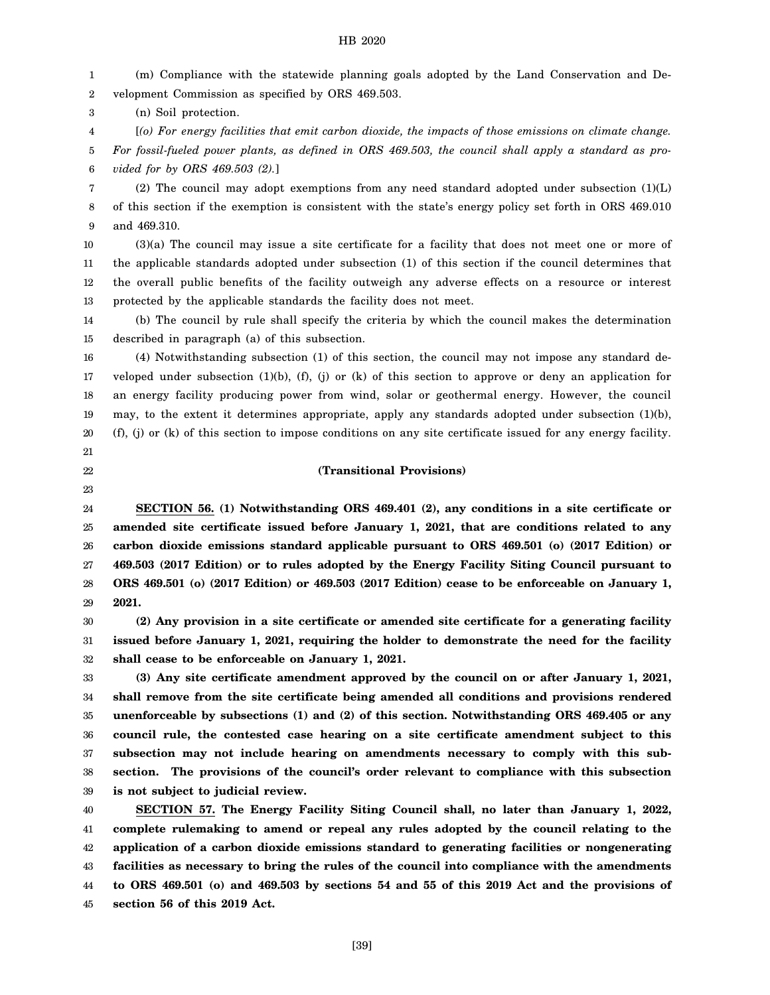1 2 (m) Compliance with the statewide planning goals adopted by the Land Conservation and Development Commission as specified by ORS 469.503.

3 (n) Soil protection.

4 5 6 [*(o) For energy facilities that emit carbon dioxide, the impacts of those emissions on climate change. For fossil-fueled power plants, as defined in ORS 469.503, the council shall apply a standard as provided for by ORS 469.503 (2).*]

7 8 9 (2) The council may adopt exemptions from any need standard adopted under subsection (1)(L) of this section if the exemption is consistent with the state's energy policy set forth in ORS 469.010 and 469.310.

10 11 12 13 (3)(a) The council may issue a site certificate for a facility that does not meet one or more of the applicable standards adopted under subsection (1) of this section if the council determines that the overall public benefits of the facility outweigh any adverse effects on a resource or interest protected by the applicable standards the facility does not meet.

14 15 (b) The council by rule shall specify the criteria by which the council makes the determination described in paragraph (a) of this subsection.

16 17 18 19 20 (4) Notwithstanding subsection (1) of this section, the council may not impose any standard developed under subsection (1)(b), (f), (j) or (k) of this section to approve or deny an application for an energy facility producing power from wind, solar or geothermal energy. However, the council may, to the extent it determines appropriate, apply any standards adopted under subsection (1)(b), (f), (j) or (k) of this section to impose conditions on any site certificate issued for any energy facility.

# 21

22 23 **(Transitional Provisions)**

24 25 26 27 28 29 **SECTION 56. (1) Notwithstanding ORS 469.401 (2), any conditions in a site certificate or amended site certificate issued before January 1, 2021, that are conditions related to any carbon dioxide emissions standard applicable pursuant to ORS 469.501 (o) (2017 Edition) or 469.503 (2017 Edition) or to rules adopted by the Energy Facility Siting Council pursuant to ORS 469.501 (o) (2017 Edition) or 469.503 (2017 Edition) cease to be enforceable on January 1, 2021.**

30 31 32 **(2) Any provision in a site certificate or amended site certificate for a generating facility issued before January 1, 2021, requiring the holder to demonstrate the need for the facility shall cease to be enforceable on January 1, 2021.**

33 34 35 36 37 38 39 **(3) Any site certificate amendment approved by the council on or after January 1, 2021, shall remove from the site certificate being amended all conditions and provisions rendered unenforceable by subsections (1) and (2) of this section. Notwithstanding ORS 469.405 or any council rule, the contested case hearing on a site certificate amendment subject to this subsection may not include hearing on amendments necessary to comply with this subsection. The provisions of the council's order relevant to compliance with this subsection is not subject to judicial review.**

40 41 42 43 44 45 **SECTION 57. The Energy Facility Siting Council shall, no later than January 1, 2022, complete rulemaking to amend or repeal any rules adopted by the council relating to the application of a carbon dioxide emissions standard to generating facilities or nongenerating facilities as necessary to bring the rules of the council into compliance with the amendments to ORS 469.501 (o) and 469.503 by sections 54 and 55 of this 2019 Act and the provisions of section 56 of this 2019 Act.**

[39]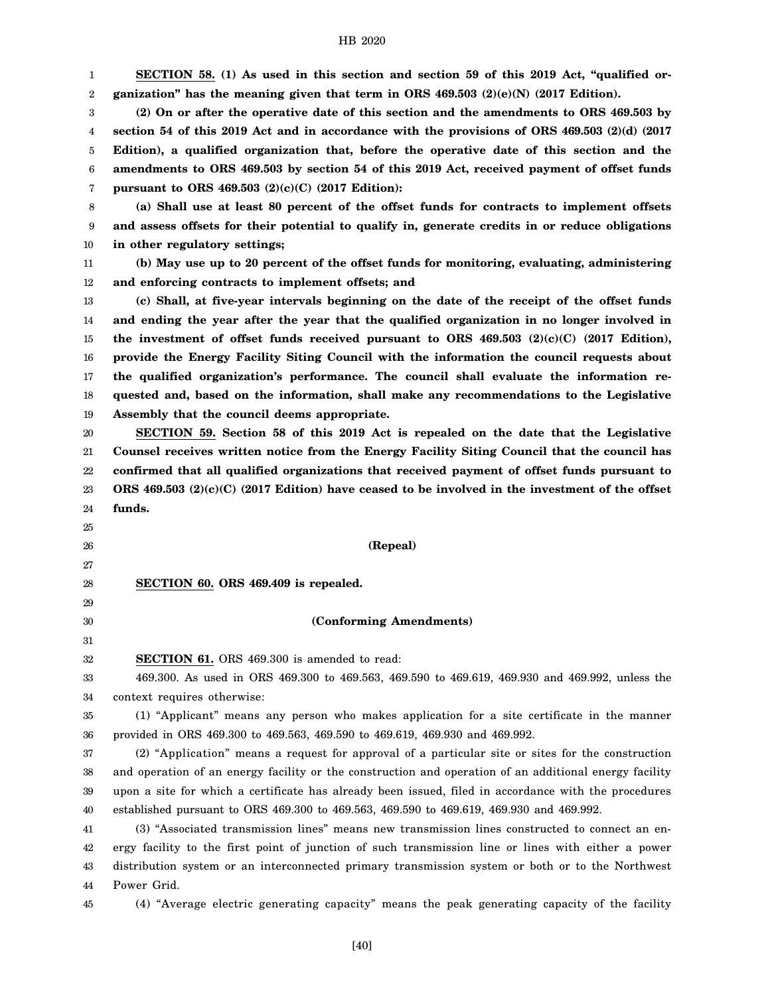1 2 **SECTION 58. (1) As used in this section and section 59 of this 2019 Act, "qualified organization" has the meaning given that term in ORS 469.503 (2)(e)(N) (2017 Edition).**

3 4 5 6 7 **(2) On or after the operative date of this section and the amendments to ORS 469.503 by section 54 of this 2019 Act and in accordance with the provisions of ORS 469.503 (2)(d) (2017 Edition), a qualified organization that, before the operative date of this section and the amendments to ORS 469.503 by section 54 of this 2019 Act, received payment of offset funds pursuant to ORS 469.503 (2)(c)(C) (2017 Edition):**

8 9 10 **(a) Shall use at least 80 percent of the offset funds for contracts to implement offsets and assess offsets for their potential to qualify in, generate credits in or reduce obligations in other regulatory settings;**

11 12 **(b) May use up to 20 percent of the offset funds for monitoring, evaluating, administering and enforcing contracts to implement offsets; and**

13 14 15 16 17 18 19 **(c) Shall, at five-year intervals beginning on the date of the receipt of the offset funds and ending the year after the year that the qualified organization in no longer involved in the investment of offset funds received pursuant to ORS 469.503 (2)(c)(C) (2017 Edition), provide the Energy Facility Siting Council with the information the council requests about the qualified organization's performance. The council shall evaluate the information requested and, based on the information, shall make any recommendations to the Legislative Assembly that the council deems appropriate.**

20 21 22 23 24 **SECTION 59. Section 58 of this 2019 Act is repealed on the date that the Legislative Counsel receives written notice from the Energy Facility Siting Council that the council has confirmed that all qualified organizations that received payment of offset funds pursuant to ORS 469.503 (2)(c)(C) (2017 Edition) have ceased to be involved in the investment of the offset funds.**

25 26

27

29 30 31

## **(Repeal)**

28 **SECTION 60. ORS 469.409 is repealed.**

# **(Conforming Amendments)**

32 **SECTION 61.** ORS 469.300 is amended to read:

33 34 469.300. As used in ORS 469.300 to 469.563, 469.590 to 469.619, 469.930 and 469.992, unless the context requires otherwise:

35 36 (1) "Applicant" means any person who makes application for a site certificate in the manner provided in ORS 469.300 to 469.563, 469.590 to 469.619, 469.930 and 469.992.

37 38 39 40 (2) "Application" means a request for approval of a particular site or sites for the construction and operation of an energy facility or the construction and operation of an additional energy facility upon a site for which a certificate has already been issued, filed in accordance with the procedures established pursuant to ORS 469.300 to 469.563, 469.590 to 469.619, 469.930 and 469.992.

41 42 43 44 (3) "Associated transmission lines" means new transmission lines constructed to connect an energy facility to the first point of junction of such transmission line or lines with either a power distribution system or an interconnected primary transmission system or both or to the Northwest Power Grid.

45

(4) "Average electric generating capacity" means the peak generating capacity of the facility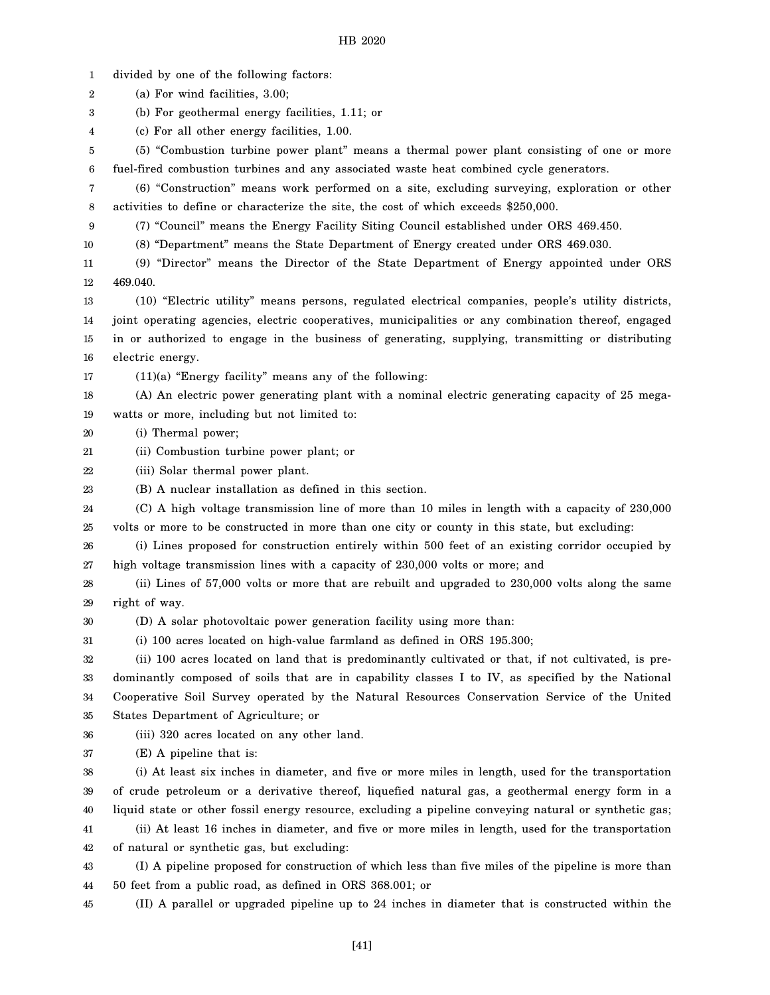1 divided by one of the following factors:

2 (a) For wind facilities, 3.00;

3 (b) For geothermal energy facilities, 1.11; or

4 (c) For all other energy facilities, 1.00.

5 6 (5) "Combustion turbine power plant" means a thermal power plant consisting of one or more fuel-fired combustion turbines and any associated waste heat combined cycle generators.

7 8 (6) "Construction" means work performed on a site, excluding surveying, exploration or other activities to define or characterize the site, the cost of which exceeds \$250,000.

9 (7) "Council" means the Energy Facility Siting Council established under ORS 469.450.

10

(8) "Department" means the State Department of Energy created under ORS 469.030.

11 12 (9) "Director" means the Director of the State Department of Energy appointed under ORS 469.040.

13 14 15 16 (10) "Electric utility" means persons, regulated electrical companies, people's utility districts, joint operating agencies, electric cooperatives, municipalities or any combination thereof, engaged in or authorized to engage in the business of generating, supplying, transmitting or distributing electric energy.

17 (11)(a) "Energy facility" means any of the following:

18 19 (A) An electric power generating plant with a nominal electric generating capacity of 25 megawatts or more, including but not limited to:

20 (i) Thermal power;

21 (ii) Combustion turbine power plant; or

22 (iii) Solar thermal power plant.

23 (B) A nuclear installation as defined in this section.

24 25 (C) A high voltage transmission line of more than 10 miles in length with a capacity of 230,000 volts or more to be constructed in more than one city or county in this state, but excluding:

26 27 (i) Lines proposed for construction entirely within 500 feet of an existing corridor occupied by high voltage transmission lines with a capacity of 230,000 volts or more; and

28 29 (ii) Lines of 57,000 volts or more that are rebuilt and upgraded to 230,000 volts along the same right of way.

30 (D) A solar photovoltaic power generation facility using more than:

31 (i) 100 acres located on high-value farmland as defined in ORS 195.300;

32 33 34 35 (ii) 100 acres located on land that is predominantly cultivated or that, if not cultivated, is predominantly composed of soils that are in capability classes I to IV, as specified by the National Cooperative Soil Survey operated by the Natural Resources Conservation Service of the United States Department of Agriculture; or

36 (iii) 320 acres located on any other land.

37 (E) A pipeline that is:

38 39 40 41 (i) At least six inches in diameter, and five or more miles in length, used for the transportation of crude petroleum or a derivative thereof, liquefied natural gas, a geothermal energy form in a liquid state or other fossil energy resource, excluding a pipeline conveying natural or synthetic gas; (ii) At least 16 inches in diameter, and five or more miles in length, used for the transportation

42 of natural or synthetic gas, but excluding:

43 44 (I) A pipeline proposed for construction of which less than five miles of the pipeline is more than 50 feet from a public road, as defined in ORS 368.001; or

45 (II) A parallel or upgraded pipeline up to 24 inches in diameter that is constructed within the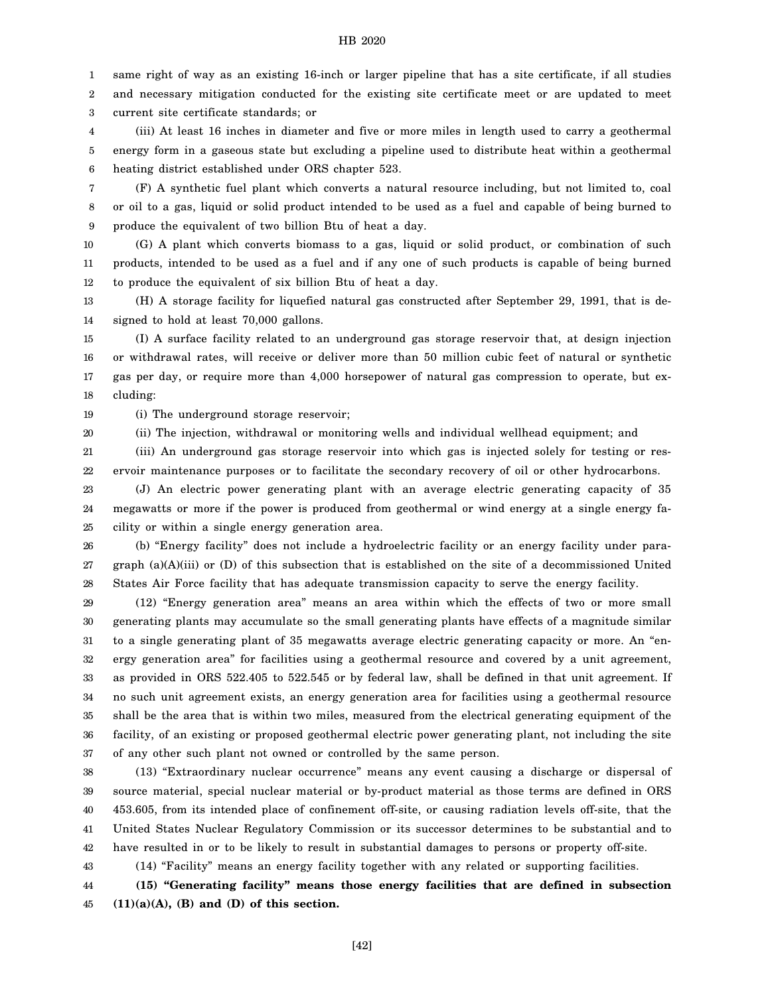1 same right of way as an existing 16-inch or larger pipeline that has a site certificate, if all studies

2 3 and necessary mitigation conducted for the existing site certificate meet or are updated to meet current site certificate standards; or

4 5 6 (iii) At least 16 inches in diameter and five or more miles in length used to carry a geothermal energy form in a gaseous state but excluding a pipeline used to distribute heat within a geothermal heating district established under ORS chapter 523.

7 8 9 (F) A synthetic fuel plant which converts a natural resource including, but not limited to, coal or oil to a gas, liquid or solid product intended to be used as a fuel and capable of being burned to produce the equivalent of two billion Btu of heat a day.

10 11 12 (G) A plant which converts biomass to a gas, liquid or solid product, or combination of such products, intended to be used as a fuel and if any one of such products is capable of being burned to produce the equivalent of six billion Btu of heat a day.

13 14 (H) A storage facility for liquefied natural gas constructed after September 29, 1991, that is designed to hold at least 70,000 gallons.

15 16 17 18 (I) A surface facility related to an underground gas storage reservoir that, at design injection or withdrawal rates, will receive or deliver more than 50 million cubic feet of natural or synthetic gas per day, or require more than 4,000 horsepower of natural gas compression to operate, but excluding:

19 (i) The underground storage reservoir;

43

20 (ii) The injection, withdrawal or monitoring wells and individual wellhead equipment; and

21 22 (iii) An underground gas storage reservoir into which gas is injected solely for testing or reservoir maintenance purposes or to facilitate the secondary recovery of oil or other hydrocarbons.

23 24 25 (J) An electric power generating plant with an average electric generating capacity of 35 megawatts or more if the power is produced from geothermal or wind energy at a single energy facility or within a single energy generation area.

26 27 28 (b) "Energy facility" does not include a hydroelectric facility or an energy facility under paragraph (a)(A)(iii) or (D) of this subsection that is established on the site of a decommissioned United States Air Force facility that has adequate transmission capacity to serve the energy facility.

29 30 31 32 33 34 35 36 37 (12) "Energy generation area" means an area within which the effects of two or more small generating plants may accumulate so the small generating plants have effects of a magnitude similar to a single generating plant of 35 megawatts average electric generating capacity or more. An "energy generation area" for facilities using a geothermal resource and covered by a unit agreement, as provided in ORS 522.405 to 522.545 or by federal law, shall be defined in that unit agreement. If no such unit agreement exists, an energy generation area for facilities using a geothermal resource shall be the area that is within two miles, measured from the electrical generating equipment of the facility, of an existing or proposed geothermal electric power generating plant, not including the site of any other such plant not owned or controlled by the same person.

38 39 40 41 42 (13) "Extraordinary nuclear occurrence" means any event causing a discharge or dispersal of source material, special nuclear material or by-product material as those terms are defined in ORS 453.605, from its intended place of confinement off-site, or causing radiation levels off-site, that the United States Nuclear Regulatory Commission or its successor determines to be substantial and to have resulted in or to be likely to result in substantial damages to persons or property off-site.

(14) "Facility" means an energy facility together with any related or supporting facilities.

44 45 **(15) "Generating facility" means those energy facilities that are defined in subsection (11)(a)(A), (B) and (D) of this section.**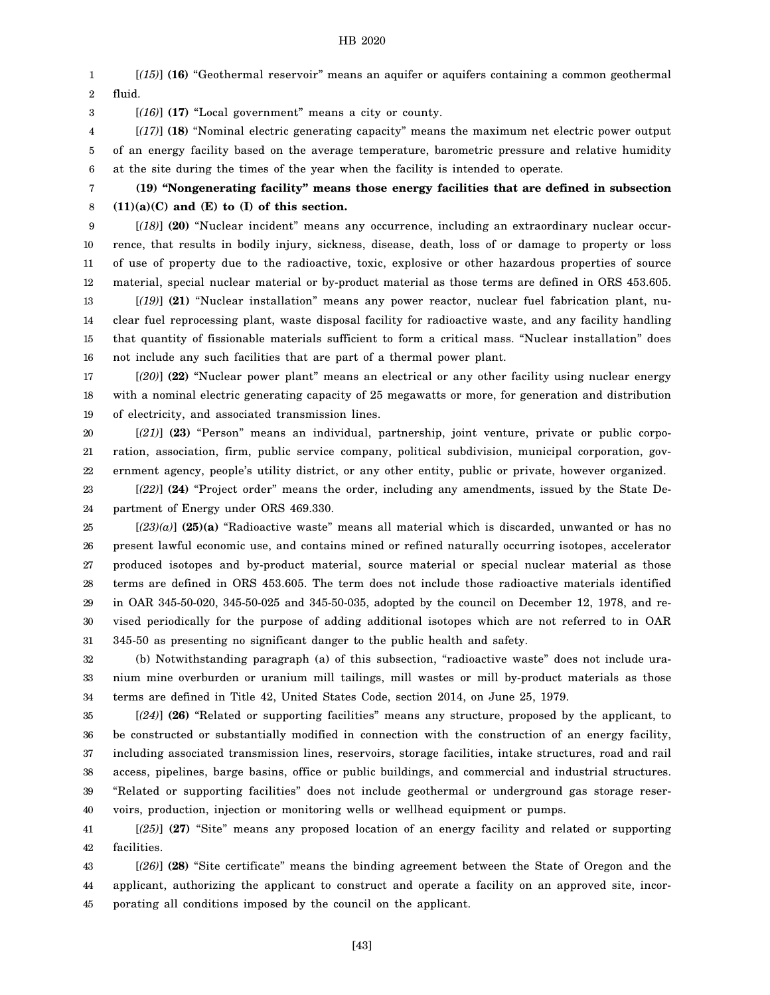1 2 [*(15)*] **(16)** "Geothermal reservoir" means an aquifer or aquifers containing a common geothermal fluid.

3 [*(16)*] **(17)** "Local government" means a city or county.

4 5 6 [*(17)*] **(18)** "Nominal electric generating capacity" means the maximum net electric power output of an energy facility based on the average temperature, barometric pressure and relative humidity at the site during the times of the year when the facility is intended to operate.

7 **(19) "Nongenerating facility" means those energy facilities that are defined in subsection (11)(a)(C) and (E) to (I) of this section.**

8

9 10 11 12 [*(18)*] **(20)** "Nuclear incident" means any occurrence, including an extraordinary nuclear occurrence, that results in bodily injury, sickness, disease, death, loss of or damage to property or loss of use of property due to the radioactive, toxic, explosive or other hazardous properties of source material, special nuclear material or by-product material as those terms are defined in ORS 453.605.

13 14 15 16 [*(19)*] **(21)** "Nuclear installation" means any power reactor, nuclear fuel fabrication plant, nuclear fuel reprocessing plant, waste disposal facility for radioactive waste, and any facility handling that quantity of fissionable materials sufficient to form a critical mass. "Nuclear installation" does not include any such facilities that are part of a thermal power plant.

17 18 19 [*(20)*] **(22)** "Nuclear power plant" means an electrical or any other facility using nuclear energy with a nominal electric generating capacity of 25 megawatts or more, for generation and distribution of electricity, and associated transmission lines.

20 21 22 [*(21)*] **(23)** "Person" means an individual, partnership, joint venture, private or public corporation, association, firm, public service company, political subdivision, municipal corporation, government agency, people's utility district, or any other entity, public or private, however organized.

23 24 [*(22)*] **(24)** "Project order" means the order, including any amendments, issued by the State Department of Energy under ORS 469.330.

25 26 27 28 29 30 31  $[(23)(a)]$  (25)(a) "Radioactive waste" means all material which is discarded, unwanted or has no present lawful economic use, and contains mined or refined naturally occurring isotopes, accelerator produced isotopes and by-product material, source material or special nuclear material as those terms are defined in ORS 453.605. The term does not include those radioactive materials identified in OAR 345-50-020, 345-50-025 and 345-50-035, adopted by the council on December 12, 1978, and revised periodically for the purpose of adding additional isotopes which are not referred to in OAR 345-50 as presenting no significant danger to the public health and safety.

32 33 34 (b) Notwithstanding paragraph (a) of this subsection, "radioactive waste" does not include uranium mine overburden or uranium mill tailings, mill wastes or mill by-product materials as those terms are defined in Title 42, United States Code, section 2014, on June 25, 1979.

35 36 37 38 39 40 [*(24)*] **(26)** "Related or supporting facilities" means any structure, proposed by the applicant, to be constructed or substantially modified in connection with the construction of an energy facility, including associated transmission lines, reservoirs, storage facilities, intake structures, road and rail access, pipelines, barge basins, office or public buildings, and commercial and industrial structures. "Related or supporting facilities" does not include geothermal or underground gas storage reservoirs, production, injection or monitoring wells or wellhead equipment or pumps.

41 42 [*(25)*] **(27)** "Site" means any proposed location of an energy facility and related or supporting facilities.

43 44 45 [*(26)*] **(28)** "Site certificate" means the binding agreement between the State of Oregon and the applicant, authorizing the applicant to construct and operate a facility on an approved site, incorporating all conditions imposed by the council on the applicant.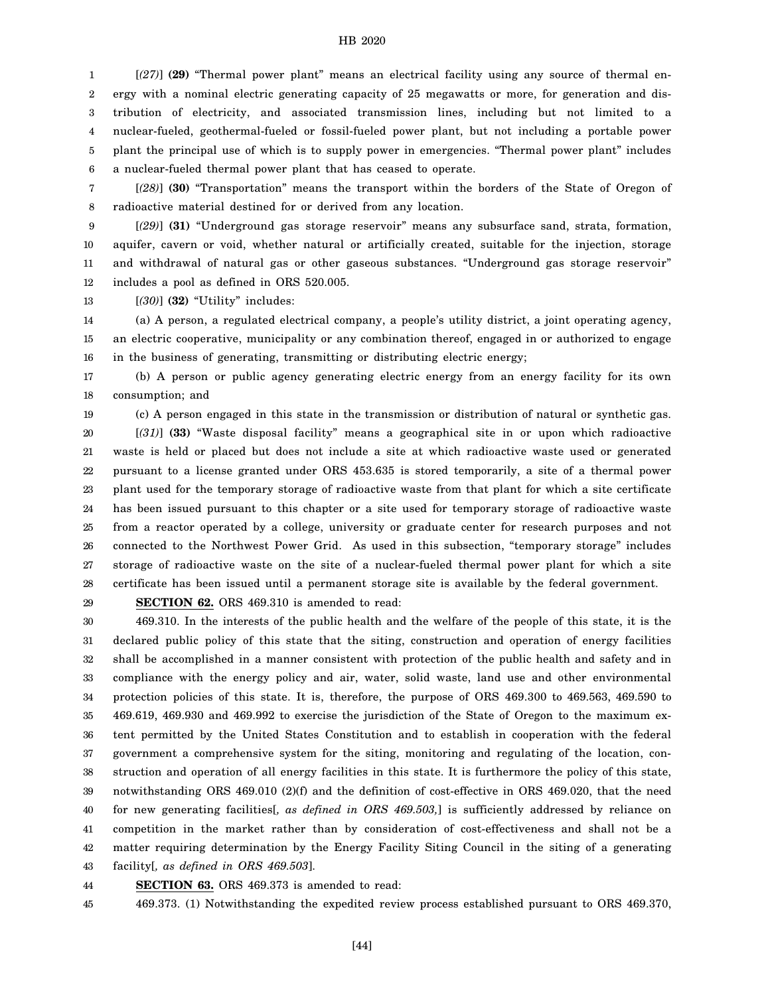1 2 3 4 5 6 [*(27)*] **(29)** "Thermal power plant" means an electrical facility using any source of thermal energy with a nominal electric generating capacity of 25 megawatts or more, for generation and distribution of electricity, and associated transmission lines, including but not limited to a nuclear-fueled, geothermal-fueled or fossil-fueled power plant, but not including a portable power plant the principal use of which is to supply power in emergencies. "Thermal power plant" includes a nuclear-fueled thermal power plant that has ceased to operate.

7 8 [*(28)*] **(30)** "Transportation" means the transport within the borders of the State of Oregon of radioactive material destined for or derived from any location.

9 10 11 12 [*(29)*] **(31)** "Underground gas storage reservoir" means any subsurface sand, strata, formation, aquifer, cavern or void, whether natural or artificially created, suitable for the injection, storage and withdrawal of natural gas or other gaseous substances. "Underground gas storage reservoir" includes a pool as defined in ORS 520.005.

13 [*(30)*] **(32)** "Utility" includes:

14 15 16 (a) A person, a regulated electrical company, a people's utility district, a joint operating agency, an electric cooperative, municipality or any combination thereof, engaged in or authorized to engage in the business of generating, transmitting or distributing electric energy;

17 18 (b) A person or public agency generating electric energy from an energy facility for its own consumption; and

19

20 (c) A person engaged in this state in the transmission or distribution of natural or synthetic gas. [*(31)*] **(33)** "Waste disposal facility" means a geographical site in or upon which radioactive

21 22 23 24 25 26 27 28 waste is held or placed but does not include a site at which radioactive waste used or generated pursuant to a license granted under ORS 453.635 is stored temporarily, a site of a thermal power plant used for the temporary storage of radioactive waste from that plant for which a site certificate has been issued pursuant to this chapter or a site used for temporary storage of radioactive waste from a reactor operated by a college, university or graduate center for research purposes and not connected to the Northwest Power Grid. As used in this subsection, "temporary storage" includes storage of radioactive waste on the site of a nuclear-fueled thermal power plant for which a site certificate has been issued until a permanent storage site is available by the federal government.

29

**SECTION 62.** ORS 469.310 is amended to read:

30 31 32 33 34 35 36 37 38 39 40 41 42 43 469.310. In the interests of the public health and the welfare of the people of this state, it is the declared public policy of this state that the siting, construction and operation of energy facilities shall be accomplished in a manner consistent with protection of the public health and safety and in compliance with the energy policy and air, water, solid waste, land use and other environmental protection policies of this state. It is, therefore, the purpose of ORS 469.300 to 469.563, 469.590 to 469.619, 469.930 and 469.992 to exercise the jurisdiction of the State of Oregon to the maximum extent permitted by the United States Constitution and to establish in cooperation with the federal government a comprehensive system for the siting, monitoring and regulating of the location, construction and operation of all energy facilities in this state. It is furthermore the policy of this state, notwithstanding ORS 469.010 (2)(f) and the definition of cost-effective in ORS 469.020, that the need for new generating facilities[*, as defined in ORS 469.503,*] is sufficiently addressed by reliance on competition in the market rather than by consideration of cost-effectiveness and shall not be a matter requiring determination by the Energy Facility Siting Council in the siting of a generating facility[*, as defined in ORS 469.503*].

44 **SECTION 63.** ORS 469.373 is amended to read:

45 469.373. (1) Notwithstanding the expedited review process established pursuant to ORS 469.370,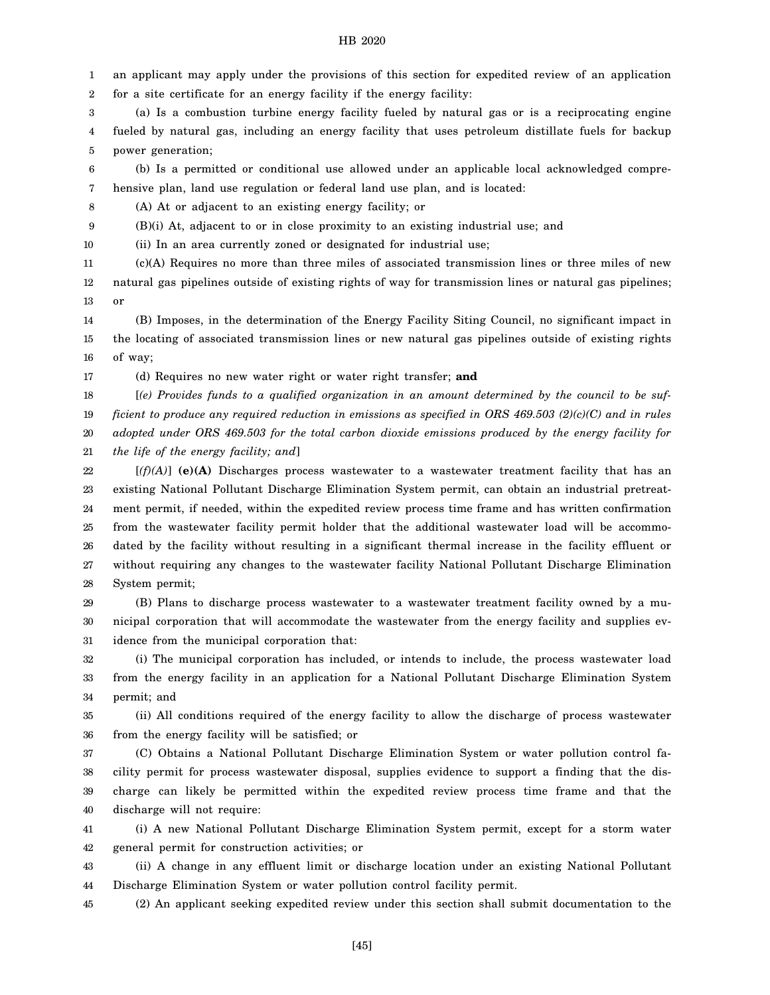1 an applicant may apply under the provisions of this section for expedited review of an application

2 for a site certificate for an energy facility if the energy facility:

3 4 5 (a) Is a combustion turbine energy facility fueled by natural gas or is a reciprocating engine fueled by natural gas, including an energy facility that uses petroleum distillate fuels for backup power generation;

6 7 (b) Is a permitted or conditional use allowed under an applicable local acknowledged comprehensive plan, land use regulation or federal land use plan, and is located:

8 (A) At or adjacent to an existing energy facility; or

9 (B)(i) At, adjacent to or in close proximity to an existing industrial use; and

10 (ii) In an area currently zoned or designated for industrial use;

11 12 13 (c)(A) Requires no more than three miles of associated transmission lines or three miles of new natural gas pipelines outside of existing rights of way for transmission lines or natural gas pipelines; or

14 15 16 (B) Imposes, in the determination of the Energy Facility Siting Council, no significant impact in the locating of associated transmission lines or new natural gas pipelines outside of existing rights of way;

17 (d) Requires no new water right or water right transfer; **and**

18 19 20 21 [*(e) Provides funds to a qualified organization in an amount determined by the council to be sufficient to produce any required reduction in emissions as specified in ORS 469.503 (2)(c)(C) and in rules adopted under ORS 469.503 for the total carbon dioxide emissions produced by the energy facility for the life of the energy facility; and*]

22 23 24 25 26 27 28 [*(f)(A)*] **(e)(A)** Discharges process wastewater to a wastewater treatment facility that has an existing National Pollutant Discharge Elimination System permit, can obtain an industrial pretreatment permit, if needed, within the expedited review process time frame and has written confirmation from the wastewater facility permit holder that the additional wastewater load will be accommodated by the facility without resulting in a significant thermal increase in the facility effluent or without requiring any changes to the wastewater facility National Pollutant Discharge Elimination System permit;

29 30 31 (B) Plans to discharge process wastewater to a wastewater treatment facility owned by a municipal corporation that will accommodate the wastewater from the energy facility and supplies evidence from the municipal corporation that:

32 33 34 (i) The municipal corporation has included, or intends to include, the process wastewater load from the energy facility in an application for a National Pollutant Discharge Elimination System permit; and

35 36 (ii) All conditions required of the energy facility to allow the discharge of process wastewater from the energy facility will be satisfied; or

37 38 39 40 (C) Obtains a National Pollutant Discharge Elimination System or water pollution control facility permit for process wastewater disposal, supplies evidence to support a finding that the discharge can likely be permitted within the expedited review process time frame and that the discharge will not require:

41 42 (i) A new National Pollutant Discharge Elimination System permit, except for a storm water general permit for construction activities; or

43 44 (ii) A change in any effluent limit or discharge location under an existing National Pollutant Discharge Elimination System or water pollution control facility permit.

45 (2) An applicant seeking expedited review under this section shall submit documentation to the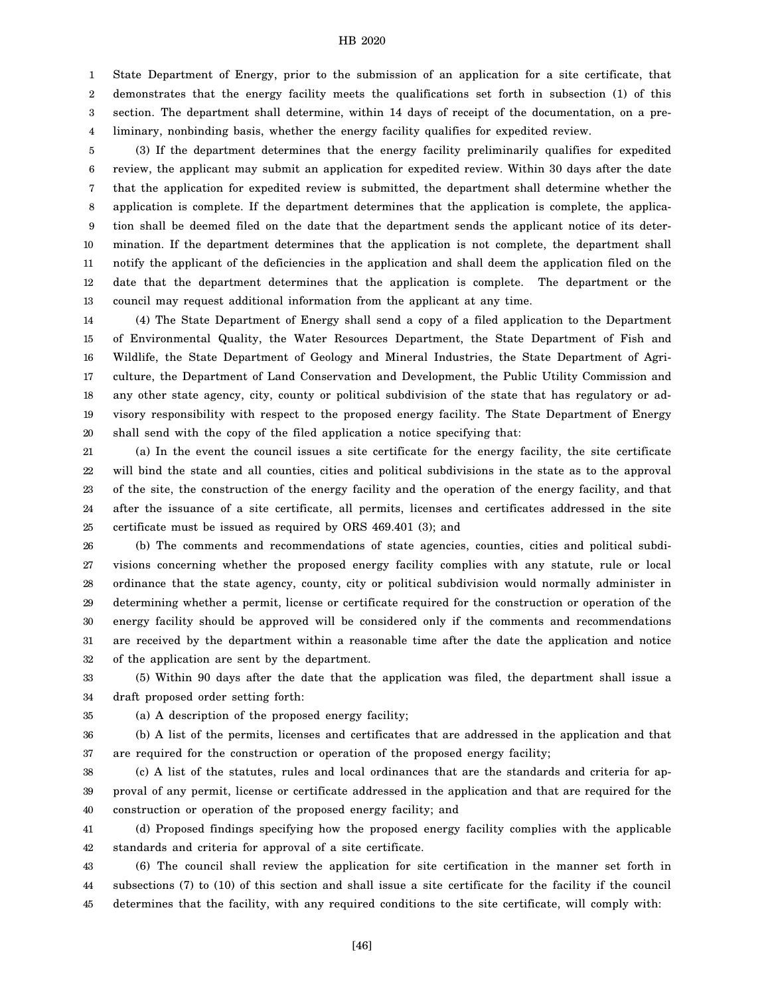1 2 3 4 State Department of Energy, prior to the submission of an application for a site certificate, that demonstrates that the energy facility meets the qualifications set forth in subsection (1) of this section. The department shall determine, within 14 days of receipt of the documentation, on a preliminary, nonbinding basis, whether the energy facility qualifies for expedited review.

5 6 7 8 9 10 11 12 13 (3) If the department determines that the energy facility preliminarily qualifies for expedited review, the applicant may submit an application for expedited review. Within 30 days after the date that the application for expedited review is submitted, the department shall determine whether the application is complete. If the department determines that the application is complete, the application shall be deemed filed on the date that the department sends the applicant notice of its determination. If the department determines that the application is not complete, the department shall notify the applicant of the deficiencies in the application and shall deem the application filed on the date that the department determines that the application is complete. The department or the council may request additional information from the applicant at any time.

14 15 16 17 18 19 20 (4) The State Department of Energy shall send a copy of a filed application to the Department of Environmental Quality, the Water Resources Department, the State Department of Fish and Wildlife, the State Department of Geology and Mineral Industries, the State Department of Agriculture, the Department of Land Conservation and Development, the Public Utility Commission and any other state agency, city, county or political subdivision of the state that has regulatory or advisory responsibility with respect to the proposed energy facility. The State Department of Energy shall send with the copy of the filed application a notice specifying that:

21 22 23 24 25 (a) In the event the council issues a site certificate for the energy facility, the site certificate will bind the state and all counties, cities and political subdivisions in the state as to the approval of the site, the construction of the energy facility and the operation of the energy facility, and that after the issuance of a site certificate, all permits, licenses and certificates addressed in the site certificate must be issued as required by ORS 469.401 (3); and

26 27 28 29 30 31 32 (b) The comments and recommendations of state agencies, counties, cities and political subdivisions concerning whether the proposed energy facility complies with any statute, rule or local ordinance that the state agency, county, city or political subdivision would normally administer in determining whether a permit, license or certificate required for the construction or operation of the energy facility should be approved will be considered only if the comments and recommendations are received by the department within a reasonable time after the date the application and notice of the application are sent by the department.

33 34 (5) Within 90 days after the date that the application was filed, the department shall issue a draft proposed order setting forth:

35

(a) A description of the proposed energy facility;

36 37 (b) A list of the permits, licenses and certificates that are addressed in the application and that are required for the construction or operation of the proposed energy facility;

38 39 40 (c) A list of the statutes, rules and local ordinances that are the standards and criteria for approval of any permit, license or certificate addressed in the application and that are required for the construction or operation of the proposed energy facility; and

41 42 (d) Proposed findings specifying how the proposed energy facility complies with the applicable standards and criteria for approval of a site certificate.

43 44 45 (6) The council shall review the application for site certification in the manner set forth in subsections (7) to (10) of this section and shall issue a site certificate for the facility if the council determines that the facility, with any required conditions to the site certificate, will comply with: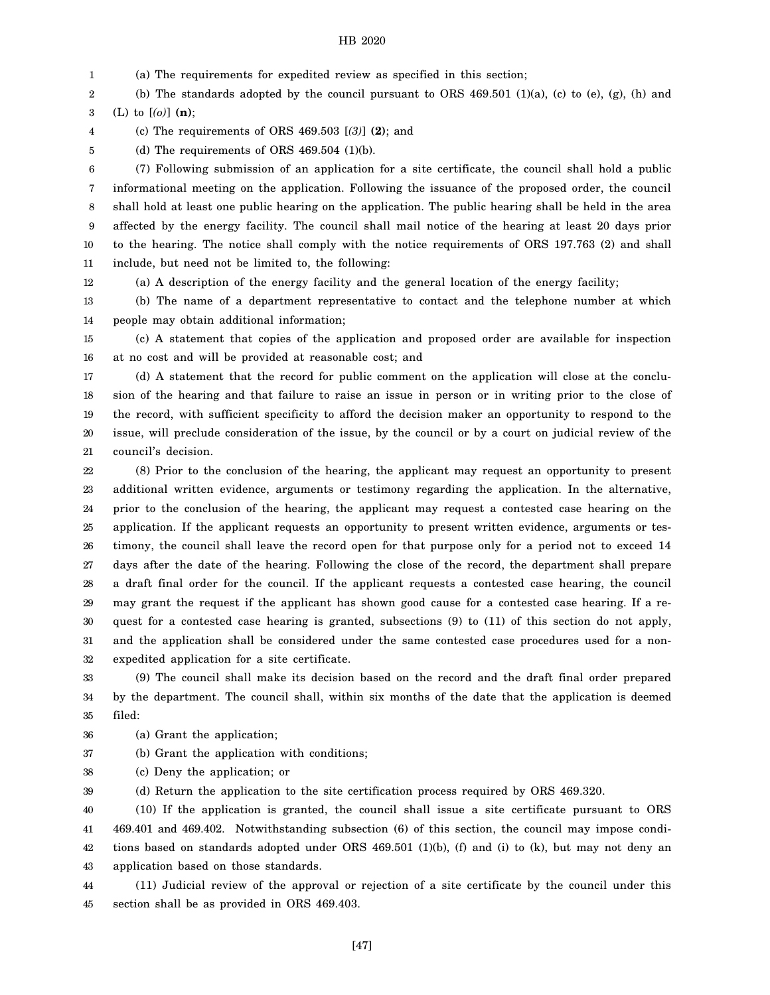1 (a) The requirements for expedited review as specified in this section;

2 3 (b) The standards adopted by the council pursuant to ORS  $469.501$  (1)(a), (c) to (e), (g), (h) and (L) to [*(o)*] **(n)**;

4 (c) The requirements of ORS 469.503 [*(3)*] **(2)**; and

5

(d) The requirements of ORS  $469.504$  (1)(b).

6 7 8 9 10 11 (7) Following submission of an application for a site certificate, the council shall hold a public informational meeting on the application. Following the issuance of the proposed order, the council shall hold at least one public hearing on the application. The public hearing shall be held in the area affected by the energy facility. The council shall mail notice of the hearing at least 20 days prior to the hearing. The notice shall comply with the notice requirements of ORS 197.763 (2) and shall include, but need not be limited to, the following:

12 (a) A description of the energy facility and the general location of the energy facility;

13 14 (b) The name of a department representative to contact and the telephone number at which people may obtain additional information;

15 16 (c) A statement that copies of the application and proposed order are available for inspection at no cost and will be provided at reasonable cost; and

17 18 19 20 21 (d) A statement that the record for public comment on the application will close at the conclusion of the hearing and that failure to raise an issue in person or in writing prior to the close of the record, with sufficient specificity to afford the decision maker an opportunity to respond to the issue, will preclude consideration of the issue, by the council or by a court on judicial review of the council's decision.

22 23 24 25 26 27 28 29 30 31 32 (8) Prior to the conclusion of the hearing, the applicant may request an opportunity to present additional written evidence, arguments or testimony regarding the application. In the alternative, prior to the conclusion of the hearing, the applicant may request a contested case hearing on the application. If the applicant requests an opportunity to present written evidence, arguments or testimony, the council shall leave the record open for that purpose only for a period not to exceed 14 days after the date of the hearing. Following the close of the record, the department shall prepare a draft final order for the council. If the applicant requests a contested case hearing, the council may grant the request if the applicant has shown good cause for a contested case hearing. If a request for a contested case hearing is granted, subsections (9) to (11) of this section do not apply, and the application shall be considered under the same contested case procedures used for a nonexpedited application for a site certificate.

33 34 35 (9) The council shall make its decision based on the record and the draft final order prepared by the department. The council shall, within six months of the date that the application is deemed filed:

36 (a) Grant the application;

37 (b) Grant the application with conditions;

38 (c) Deny the application; or

39 (d) Return the application to the site certification process required by ORS 469.320.

40 41 42 43 (10) If the application is granted, the council shall issue a site certificate pursuant to ORS 469.401 and 469.402. Notwithstanding subsection (6) of this section, the council may impose conditions based on standards adopted under ORS 469.501 (1)(b), (f) and (i) to (k), but may not deny an application based on those standards.

44 45 (11) Judicial review of the approval or rejection of a site certificate by the council under this section shall be as provided in ORS 469.403.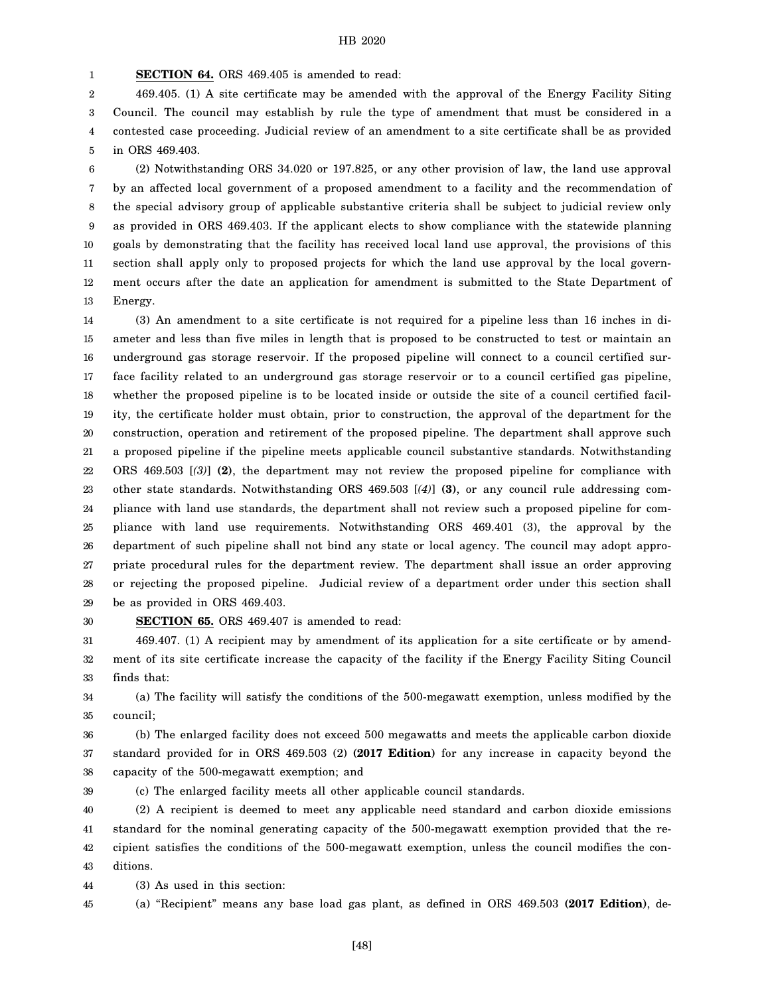1 **SECTION 64.** ORS 469.405 is amended to read:

2 3 4 5 469.405. (1) A site certificate may be amended with the approval of the Energy Facility Siting Council. The council may establish by rule the type of amendment that must be considered in a contested case proceeding. Judicial review of an amendment to a site certificate shall be as provided in ORS 469.403.

6 7 8 9 10 11 12 13 (2) Notwithstanding ORS 34.020 or 197.825, or any other provision of law, the land use approval by an affected local government of a proposed amendment to a facility and the recommendation of the special advisory group of applicable substantive criteria shall be subject to judicial review only as provided in ORS 469.403. If the applicant elects to show compliance with the statewide planning goals by demonstrating that the facility has received local land use approval, the provisions of this section shall apply only to proposed projects for which the land use approval by the local government occurs after the date an application for amendment is submitted to the State Department of Energy.

14 15 16 17 18 19 20 21 22 23 24 25 26 27 28 29 (3) An amendment to a site certificate is not required for a pipeline less than 16 inches in diameter and less than five miles in length that is proposed to be constructed to test or maintain an underground gas storage reservoir. If the proposed pipeline will connect to a council certified surface facility related to an underground gas storage reservoir or to a council certified gas pipeline, whether the proposed pipeline is to be located inside or outside the site of a council certified facility, the certificate holder must obtain, prior to construction, the approval of the department for the construction, operation and retirement of the proposed pipeline. The department shall approve such a proposed pipeline if the pipeline meets applicable council substantive standards. Notwithstanding ORS 469.503 [*(3)*] **(2)**, the department may not review the proposed pipeline for compliance with other state standards. Notwithstanding ORS 469.503 [*(4)*] **(3)**, or any council rule addressing compliance with land use standards, the department shall not review such a proposed pipeline for compliance with land use requirements. Notwithstanding ORS 469.401 (3), the approval by the department of such pipeline shall not bind any state or local agency. The council may adopt appropriate procedural rules for the department review. The department shall issue an order approving or rejecting the proposed pipeline. Judicial review of a department order under this section shall be as provided in ORS 469.403.

30

**SECTION 65.** ORS 469.407 is amended to read:

31 32 33 469.407. (1) A recipient may by amendment of its application for a site certificate or by amendment of its site certificate increase the capacity of the facility if the Energy Facility Siting Council finds that:

34 35 (a) The facility will satisfy the conditions of the 500-megawatt exemption, unless modified by the council;

36 37 38 (b) The enlarged facility does not exceed 500 megawatts and meets the applicable carbon dioxide standard provided for in ORS 469.503 (2) **(2017 Edition)** for any increase in capacity beyond the capacity of the 500-megawatt exemption; and

39 (c) The enlarged facility meets all other applicable council standards.

40 41 42 43 (2) A recipient is deemed to meet any applicable need standard and carbon dioxide emissions standard for the nominal generating capacity of the 500-megawatt exemption provided that the recipient satisfies the conditions of the 500-megawatt exemption, unless the council modifies the conditions.

44 (3) As used in this section:

45 (a) "Recipient" means any base load gas plant, as defined in ORS 469.503 **(2017 Edition)**, de-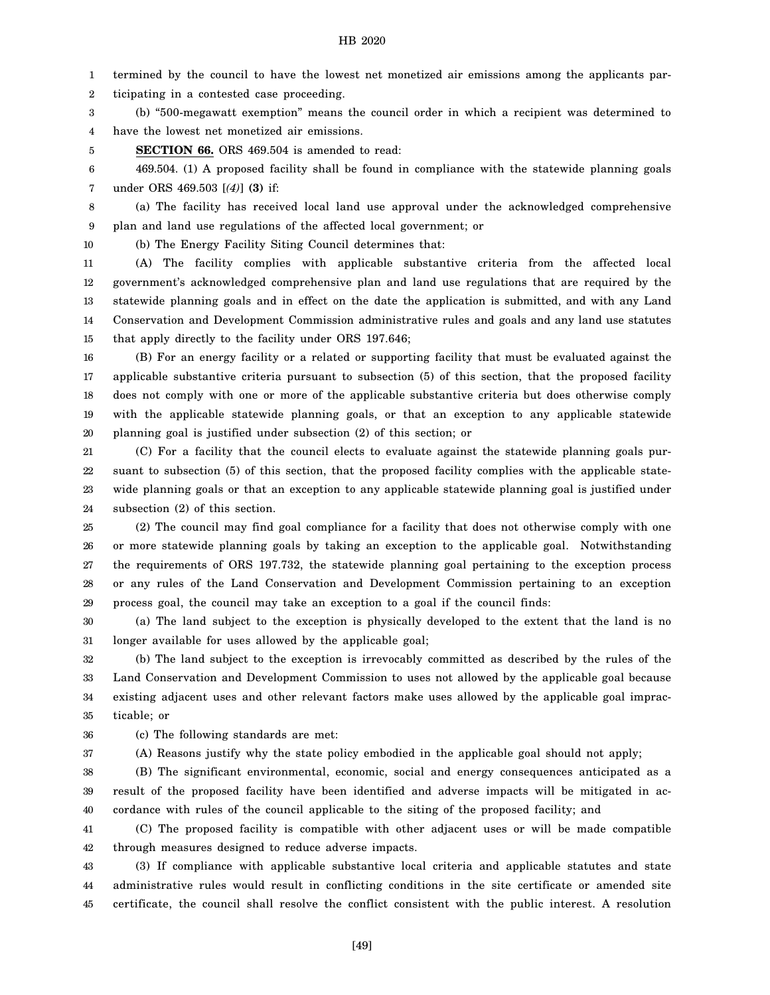1 termined by the council to have the lowest net monetized air emissions among the applicants par-

2 ticipating in a contested case proceeding.

3 4 (b) "500-megawatt exemption" means the council order in which a recipient was determined to have the lowest net monetized air emissions.

5 **SECTION 66.** ORS 469.504 is amended to read:

6 7 469.504. (1) A proposed facility shall be found in compliance with the statewide planning goals under ORS 469.503 [*(4)*] **(3)** if:

8 9 (a) The facility has received local land use approval under the acknowledged comprehensive plan and land use regulations of the affected local government; or

10

(b) The Energy Facility Siting Council determines that:

11 12 13 14 15 (A) The facility complies with applicable substantive criteria from the affected local government's acknowledged comprehensive plan and land use regulations that are required by the statewide planning goals and in effect on the date the application is submitted, and with any Land Conservation and Development Commission administrative rules and goals and any land use statutes that apply directly to the facility under ORS 197.646;

16 17 18 19 20 (B) For an energy facility or a related or supporting facility that must be evaluated against the applicable substantive criteria pursuant to subsection (5) of this section, that the proposed facility does not comply with one or more of the applicable substantive criteria but does otherwise comply with the applicable statewide planning goals, or that an exception to any applicable statewide planning goal is justified under subsection (2) of this section; or

21 22 23 24 (C) For a facility that the council elects to evaluate against the statewide planning goals pursuant to subsection (5) of this section, that the proposed facility complies with the applicable statewide planning goals or that an exception to any applicable statewide planning goal is justified under subsection (2) of this section.

25 26 27 28 29 (2) The council may find goal compliance for a facility that does not otherwise comply with one or more statewide planning goals by taking an exception to the applicable goal. Notwithstanding the requirements of ORS 197.732, the statewide planning goal pertaining to the exception process or any rules of the Land Conservation and Development Commission pertaining to an exception process goal, the council may take an exception to a goal if the council finds:

30 31 (a) The land subject to the exception is physically developed to the extent that the land is no longer available for uses allowed by the applicable goal;

32 33 34 35 (b) The land subject to the exception is irrevocably committed as described by the rules of the Land Conservation and Development Commission to uses not allowed by the applicable goal because existing adjacent uses and other relevant factors make uses allowed by the applicable goal impracticable; or

36 (c) The following standards are met:

37

(A) Reasons justify why the state policy embodied in the applicable goal should not apply;

38 39 40 (B) The significant environmental, economic, social and energy consequences anticipated as a result of the proposed facility have been identified and adverse impacts will be mitigated in accordance with rules of the council applicable to the siting of the proposed facility; and

41 42 (C) The proposed facility is compatible with other adjacent uses or will be made compatible through measures designed to reduce adverse impacts.

43 44 45 (3) If compliance with applicable substantive local criteria and applicable statutes and state administrative rules would result in conflicting conditions in the site certificate or amended site certificate, the council shall resolve the conflict consistent with the public interest. A resolution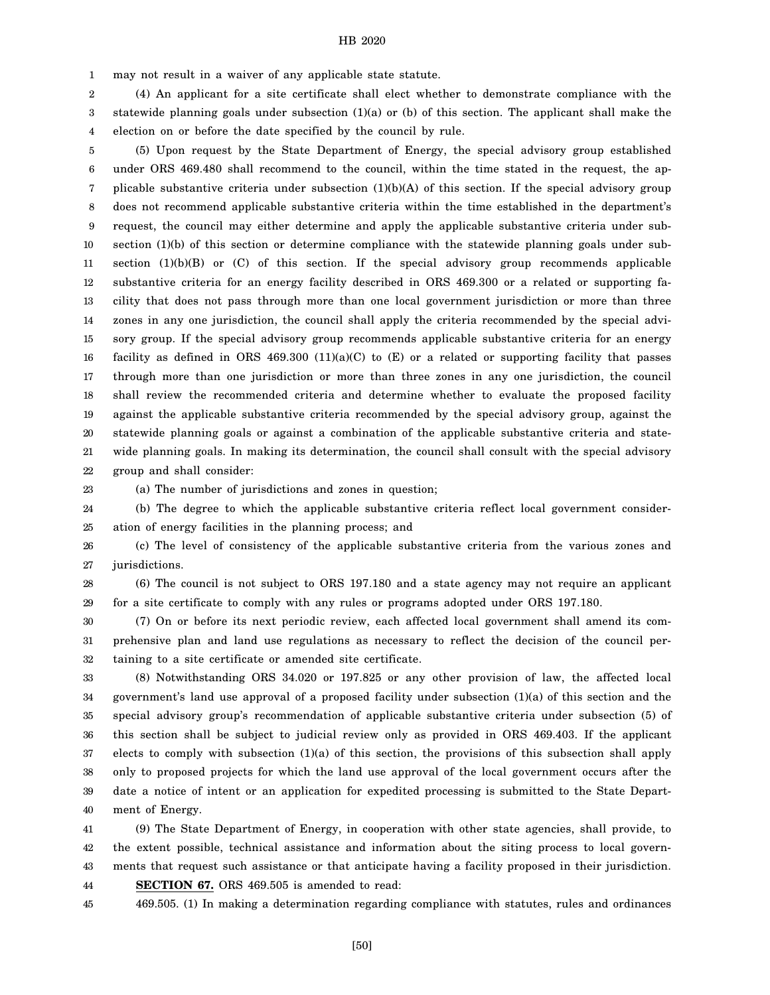1 may not result in a waiver of any applicable state statute.

2 3 4 (4) An applicant for a site certificate shall elect whether to demonstrate compliance with the statewide planning goals under subsection (1)(a) or (b) of this section. The applicant shall make the election on or before the date specified by the council by rule.

5 6 7 8 9 10 11 12 13 14 15 16 17 18 19 20 21 22 (5) Upon request by the State Department of Energy, the special advisory group established under ORS 469.480 shall recommend to the council, within the time stated in the request, the applicable substantive criteria under subsection  $(1)(b)(A)$  of this section. If the special advisory group does not recommend applicable substantive criteria within the time established in the department's request, the council may either determine and apply the applicable substantive criteria under subsection (1)(b) of this section or determine compliance with the statewide planning goals under subsection  $(1)(b)(B)$  or  $(C)$  of this section. If the special advisory group recommends applicable substantive criteria for an energy facility described in ORS 469.300 or a related or supporting facility that does not pass through more than one local government jurisdiction or more than three zones in any one jurisdiction, the council shall apply the criteria recommended by the special advisory group. If the special advisory group recommends applicable substantive criteria for an energy facility as defined in ORS  $469.300 \ (11)(a)(C)$  to  $(E)$  or a related or supporting facility that passes through more than one jurisdiction or more than three zones in any one jurisdiction, the council shall review the recommended criteria and determine whether to evaluate the proposed facility against the applicable substantive criteria recommended by the special advisory group, against the statewide planning goals or against a combination of the applicable substantive criteria and statewide planning goals. In making its determination, the council shall consult with the special advisory group and shall consider:

23

(a) The number of jurisdictions and zones in question;

24 25 (b) The degree to which the applicable substantive criteria reflect local government consideration of energy facilities in the planning process; and

26 27 (c) The level of consistency of the applicable substantive criteria from the various zones and jurisdictions.

28 29 (6) The council is not subject to ORS 197.180 and a state agency may not require an applicant for a site certificate to comply with any rules or programs adopted under ORS 197.180.

30 31 32 (7) On or before its next periodic review, each affected local government shall amend its comprehensive plan and land use regulations as necessary to reflect the decision of the council pertaining to a site certificate or amended site certificate.

33 34 35 36 37 38 39 40 (8) Notwithstanding ORS 34.020 or 197.825 or any other provision of law, the affected local government's land use approval of a proposed facility under subsection (1)(a) of this section and the special advisory group's recommendation of applicable substantive criteria under subsection (5) of this section shall be subject to judicial review only as provided in ORS 469.403. If the applicant elects to comply with subsection (1)(a) of this section, the provisions of this subsection shall apply only to proposed projects for which the land use approval of the local government occurs after the date a notice of intent or an application for expedited processing is submitted to the State Department of Energy.

41 42 43 44 (9) The State Department of Energy, in cooperation with other state agencies, shall provide, to the extent possible, technical assistance and information about the siting process to local governments that request such assistance or that anticipate having a facility proposed in their jurisdiction. **SECTION 67.** ORS 469.505 is amended to read:

45 469.505. (1) In making a determination regarding compliance with statutes, rules and ordinances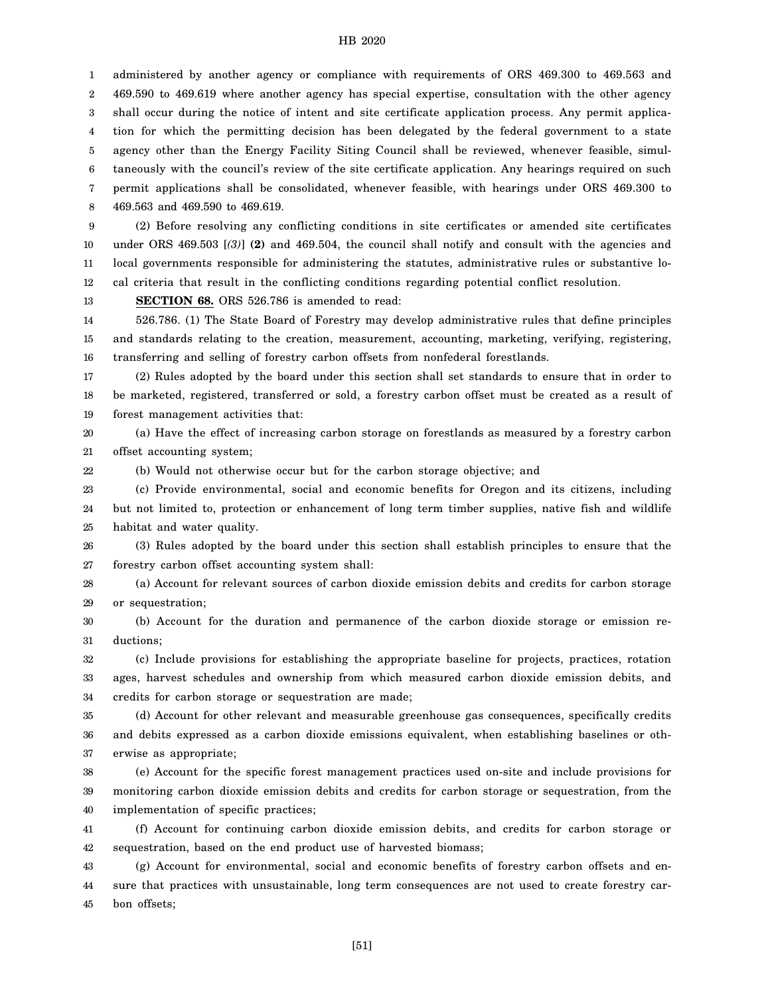1 2 3 4 5 6 7 8 administered by another agency or compliance with requirements of ORS 469.300 to 469.563 and 469.590 to 469.619 where another agency has special expertise, consultation with the other agency shall occur during the notice of intent and site certificate application process. Any permit application for which the permitting decision has been delegated by the federal government to a state agency other than the Energy Facility Siting Council shall be reviewed, whenever feasible, simultaneously with the council's review of the site certificate application. Any hearings required on such permit applications shall be consolidated, whenever feasible, with hearings under ORS 469.300 to 469.563 and 469.590 to 469.619.

9 10 11 12 (2) Before resolving any conflicting conditions in site certificates or amended site certificates under ORS 469.503 [*(3)*] **(2)** and 469.504, the council shall notify and consult with the agencies and local governments responsible for administering the statutes, administrative rules or substantive local criteria that result in the conflicting conditions regarding potential conflict resolution.

13 **SECTION 68.** ORS 526.786 is amended to read:

22

14 15 16 526.786. (1) The State Board of Forestry may develop administrative rules that define principles and standards relating to the creation, measurement, accounting, marketing, verifying, registering, transferring and selling of forestry carbon offsets from nonfederal forestlands.

17 18 19 (2) Rules adopted by the board under this section shall set standards to ensure that in order to be marketed, registered, transferred or sold, a forestry carbon offset must be created as a result of forest management activities that:

20 21 (a) Have the effect of increasing carbon storage on forestlands as measured by a forestry carbon offset accounting system;

(b) Would not otherwise occur but for the carbon storage objective; and

23 24 25 (c) Provide environmental, social and economic benefits for Oregon and its citizens, including but not limited to, protection or enhancement of long term timber supplies, native fish and wildlife habitat and water quality.

26 27 (3) Rules adopted by the board under this section shall establish principles to ensure that the forestry carbon offset accounting system shall:

28 29 (a) Account for relevant sources of carbon dioxide emission debits and credits for carbon storage or sequestration;

30 31 (b) Account for the duration and permanence of the carbon dioxide storage or emission reductions;

32 33 34 (c) Include provisions for establishing the appropriate baseline for projects, practices, rotation ages, harvest schedules and ownership from which measured carbon dioxide emission debits, and credits for carbon storage or sequestration are made;

35 36 37 (d) Account for other relevant and measurable greenhouse gas consequences, specifically credits and debits expressed as a carbon dioxide emissions equivalent, when establishing baselines or otherwise as appropriate;

38 39 40 (e) Account for the specific forest management practices used on-site and include provisions for monitoring carbon dioxide emission debits and credits for carbon storage or sequestration, from the implementation of specific practices;

41 42 (f) Account for continuing carbon dioxide emission debits, and credits for carbon storage or sequestration, based on the end product use of harvested biomass;

43 44 45 (g) Account for environmental, social and economic benefits of forestry carbon offsets and ensure that practices with unsustainable, long term consequences are not used to create forestry carbon offsets;

[51]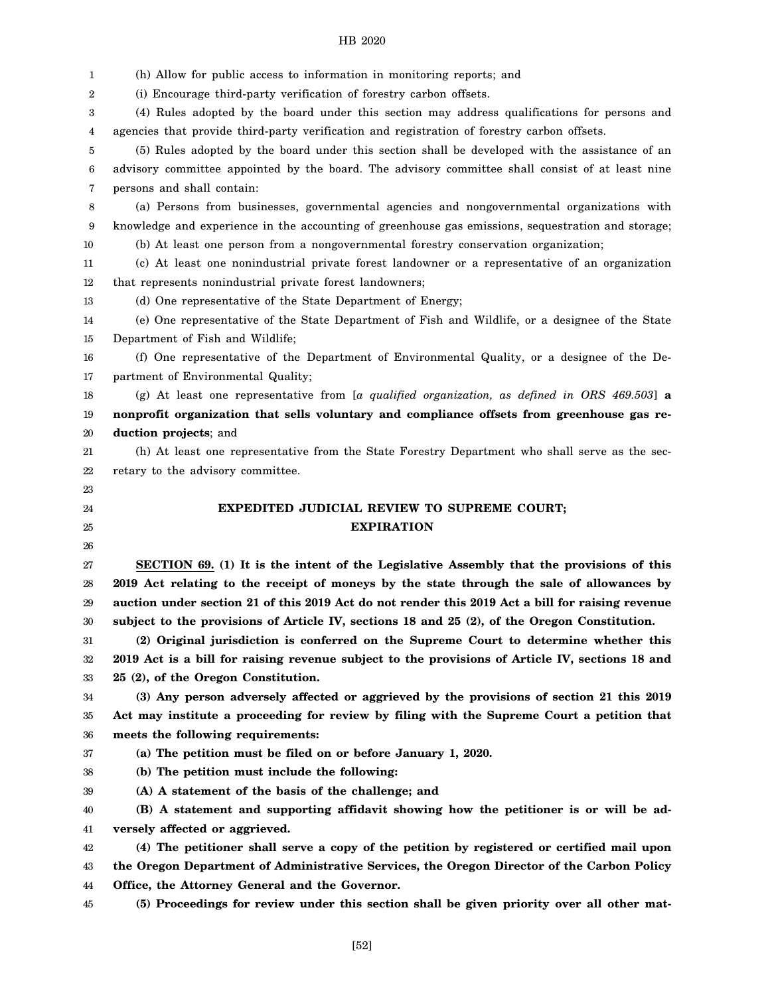| 2        | (h) Allow for public access to information in monitoring reports; and                                                                        |
|----------|----------------------------------------------------------------------------------------------------------------------------------------------|
|          | (i) Encourage third-party verification of forestry carbon offsets.                                                                           |
| 3        | (4) Rules adopted by the board under this section may address qualifications for persons and                                                 |
| 4        | agencies that provide third-party verification and registration of forestry carbon offsets.                                                  |
| 5        | (5) Rules adopted by the board under this section shall be developed with the assistance of an                                               |
| 6        | advisory committee appointed by the board. The advisory committee shall consist of at least nine                                             |
| 7        | persons and shall contain:                                                                                                                   |
| 8        | (a) Persons from businesses, governmental agencies and nongovernmental organizations with                                                    |
| 9        | knowledge and experience in the accounting of greenhouse gas emissions, sequestration and storage;                                           |
| 10       | (b) At least one person from a nongovernmental forestry conservation organization;                                                           |
| 11       | (c) At least one nonindustrial private forest landowner or a representative of an organization                                               |
| 12       | that represents nonindustrial private forest landowners;                                                                                     |
| 13       | (d) One representative of the State Department of Energy;                                                                                    |
| 14       | (e) One representative of the State Department of Fish and Wildlife, or a designee of the State                                              |
| 15       | Department of Fish and Wildlife;                                                                                                             |
| 16       | (f) One representative of the Department of Environmental Quality, or a designee of the De-                                                  |
| 17       | partment of Environmental Quality;                                                                                                           |
| 18       | (g) At least one representative from [a qualified organization, as defined in ORS 469.503] $\alpha$                                          |
| 19       | nonprofit organization that sells voluntary and compliance offsets from greenhouse gas re-                                                   |
| 20       | duction projects; and                                                                                                                        |
| 21       | (h) At least one representative from the State Forestry Department who shall serve as the sec-                                               |
| 22       | retary to the advisory committee.                                                                                                            |
| 23       |                                                                                                                                              |
| 24       | <b>EXPEDITED JUDICIAL REVIEW TO SUPREME COURT;</b>                                                                                           |
| 25       | <b>EXPIRATION</b>                                                                                                                            |
|          |                                                                                                                                              |
| 26       |                                                                                                                                              |
| 27       | SECTION 69. (1) It is the intent of the Legislative Assembly that the provisions of this                                                     |
| 28       | 2019 Act relating to the receipt of moneys by the state through the sale of allowances by                                                    |
| 29       | auction under section 21 of this 2019 Act do not render this 2019 Act a bill for raising revenue                                             |
| 30       | subject to the provisions of Article IV, sections 18 and 25 (2), of the Oregon Constitution.                                                 |
| 31       | (2) Original jurisdiction is conferred on the Supreme Court to determine whether this                                                        |
| 32       | 2019 Act is a bill for raising revenue subject to the provisions of Article IV, sections 18 and                                              |
| 33       | 25 (2), of the Oregon Constitution.                                                                                                          |
| 34       | (3) Any person adversely affected or aggrieved by the provisions of section 21 this 2019                                                     |
| 35       | Act may institute a proceeding for review by filing with the Supreme Court a petition that                                                   |
| 36       | meets the following requirements:                                                                                                            |
| 37       | (a) The petition must be filed on or before January 1, 2020.                                                                                 |
| 38       | (b) The petition must include the following:                                                                                                 |
| 39       | (A) A statement of the basis of the challenge; and                                                                                           |
| 40       | (B) A statement and supporting affidavit showing how the petitioner is or will be ad-                                                        |
| 41       | versely affected or aggrieved.                                                                                                               |
| 42       | (4) The petitioner shall serve a copy of the petition by registered or certified mail upon                                                   |
| 43<br>44 | the Oregon Department of Administrative Services, the Oregon Director of the Carbon Policy<br>Office, the Attorney General and the Governor. |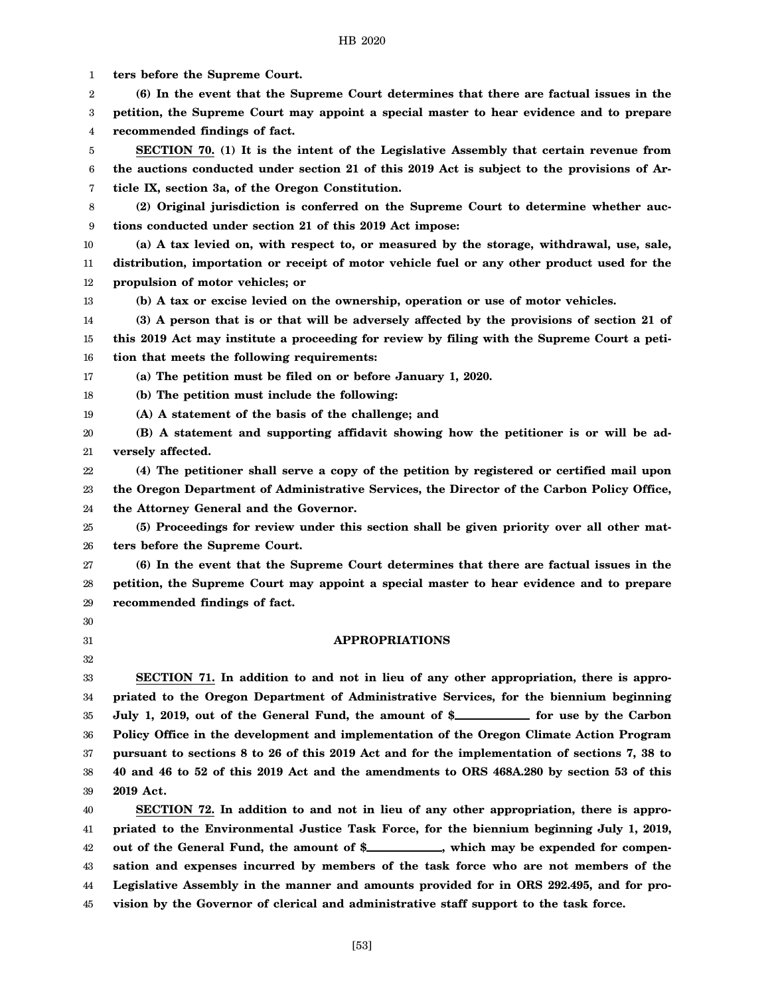1 2 3 4 5 6 7 8 9 10 11 12 13 14 15 16 17 18 19 20 21 22 23 24 25 26 27 28 29 30 31 32 33 34 35 36 37 38 39 40 41 42 43 44 45 **ters before the Supreme Court. (6) In the event that the Supreme Court determines that there are factual issues in the petition, the Supreme Court may appoint a special master to hear evidence and to prepare recommended findings of fact. SECTION 70. (1) It is the intent of the Legislative Assembly that certain revenue from the auctions conducted under section 21 of this 2019 Act is subject to the provisions of Article IX, section 3a, of the Oregon Constitution. (2) Original jurisdiction is conferred on the Supreme Court to determine whether auctions conducted under section 21 of this 2019 Act impose: (a) A tax levied on, with respect to, or measured by the storage, withdrawal, use, sale, distribution, importation or receipt of motor vehicle fuel or any other product used for the propulsion of motor vehicles; or (b) A tax or excise levied on the ownership, operation or use of motor vehicles. (3) A person that is or that will be adversely affected by the provisions of section 21 of this 2019 Act may institute a proceeding for review by filing with the Supreme Court a petition that meets the following requirements: (a) The petition must be filed on or before January 1, 2020. (b) The petition must include the following: (A) A statement of the basis of the challenge; and (B) A statement and supporting affidavit showing how the petitioner is or will be adversely affected. (4) The petitioner shall serve a copy of the petition by registered or certified mail upon the Oregon Department of Administrative Services, the Director of the Carbon Policy Office, the Attorney General and the Governor. (5) Proceedings for review under this section shall be given priority over all other matters before the Supreme Court. (6) In the event that the Supreme Court determines that there are factual issues in the petition, the Supreme Court may appoint a special master to hear evidence and to prepare recommended findings of fact. APPROPRIATIONS SECTION 71. In addition to and not in lieu of any other appropriation, there is appropriated to the Oregon Department of Administrative Services, for the biennium beginning** July 1, 2019, out of the General Fund, the amount of \$**\_\_\_\_\_\_\_\_\_** for use by the Carbon **Policy Office in the development and implementation of the Oregon Climate Action Program pursuant to sections 8 to 26 of this 2019 Act and for the implementation of sections 7, 38 to 40 and 46 to 52 of this 2019 Act and the amendments to ORS 468A.280 by section 53 of this 2019 Act. SECTION 72. In addition to and not in lieu of any other appropriation, there is appropriated to the Environmental Justice Task Force, for the biennium beginning July 1, 2019,** out of the General Fund, the amount of \$\_\_\_\_\_\_\_\_\_, which may be expended for compen**sation and expenses incurred by members of the task force who are not members of the Legislative Assembly in the manner and amounts provided for in ORS 292.495, and for provision by the Governor of clerical and administrative staff support to the task force.**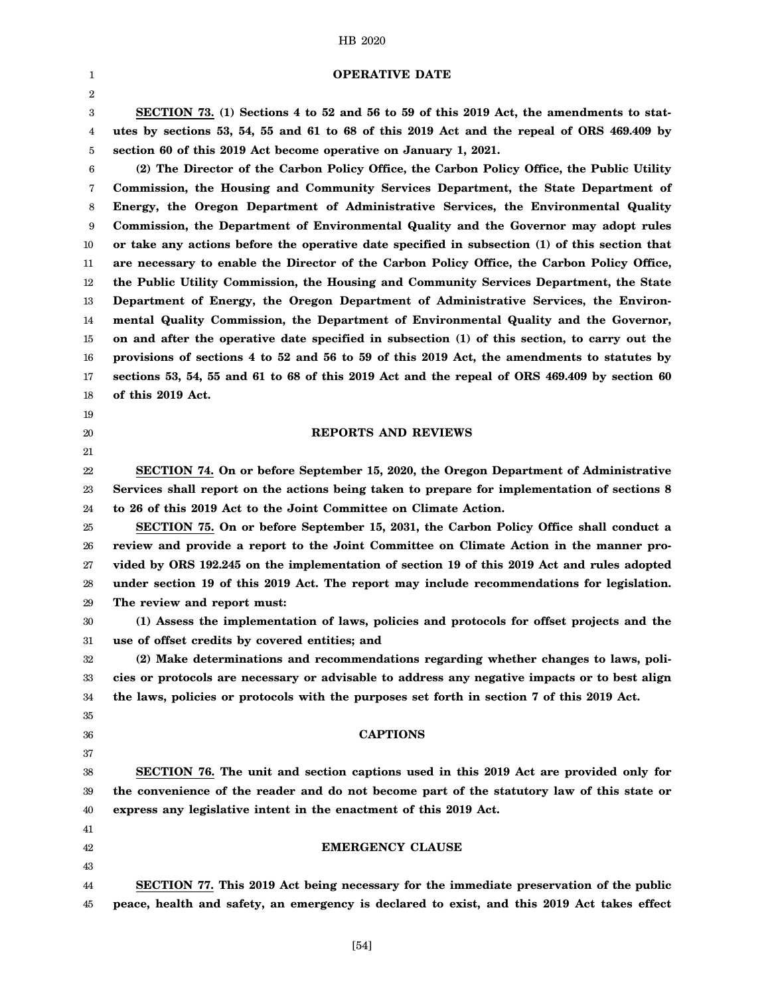### **OPERATIVE DATE**

3 4 5 **SECTION 73. (1) Sections 4 to 52 and 56 to 59 of this 2019 Act, the amendments to statutes by sections 53, 54, 55 and 61 to 68 of this 2019 Act and the repeal of ORS 469.409 by section 60 of this 2019 Act become operative on January 1, 2021.**

6 7 8 9 10 11 12 13 14 15 16 17 18 **(2) The Director of the Carbon Policy Office, the Carbon Policy Office, the Public Utility Commission, the Housing and Community Services Department, the State Department of Energy, the Oregon Department of Administrative Services, the Environmental Quality Commission, the Department of Environmental Quality and the Governor may adopt rules or take any actions before the operative date specified in subsection (1) of this section that are necessary to enable the Director of the Carbon Policy Office, the Carbon Policy Office, the Public Utility Commission, the Housing and Community Services Department, the State Department of Energy, the Oregon Department of Administrative Services, the Environmental Quality Commission, the Department of Environmental Quality and the Governor, on and after the operative date specified in subsection (1) of this section, to carry out the provisions of sections 4 to 52 and 56 to 59 of this 2019 Act, the amendments to statutes by sections 53, 54, 55 and 61 to 68 of this 2019 Act and the repeal of ORS 469.409 by section 60 of this 2019 Act.**

# 19

1 2

# 20 21

#### **REPORTS AND REVIEWS**

22 23 24 **SECTION 74. On or before September 15, 2020, the Oregon Department of Administrative Services shall report on the actions being taken to prepare for implementation of sections 8 to 26 of this 2019 Act to the Joint Committee on Climate Action.**

25 26 27 28 29 **SECTION 75. On or before September 15, 2031, the Carbon Policy Office shall conduct a review and provide a report to the Joint Committee on Climate Action in the manner provided by ORS 192.245 on the implementation of section 19 of this 2019 Act and rules adopted under section 19 of this 2019 Act. The report may include recommendations for legislation. The review and report must:**

30 31 **(1) Assess the implementation of laws, policies and protocols for offset projects and the use of offset credits by covered entities; and**

32 33 34 **(2) Make determinations and recommendations regarding whether changes to laws, policies or protocols are necessary or advisable to address any negative impacts or to best align the laws, policies or protocols with the purposes set forth in section 7 of this 2019 Act.**

35 36

37

41 42 43

# **CAPTIONS**

38 39 40 **SECTION 76. The unit and section captions used in this 2019 Act are provided only for the convenience of the reader and do not become part of the statutory law of this state or express any legislative intent in the enactment of this 2019 Act.**

**EMERGENCY CLAUSE**

44 45 **SECTION 77. This 2019 Act being necessary for the immediate preservation of the public peace, health and safety, an emergency is declared to exist, and this 2019 Act takes effect**